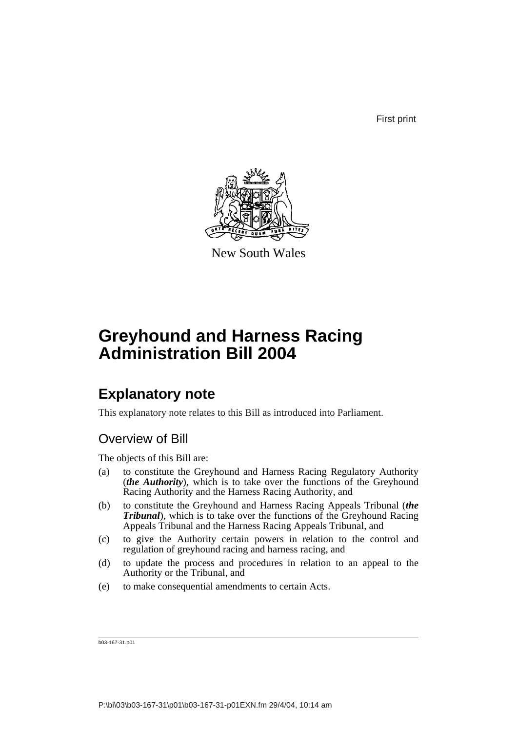First print



New South Wales

# **Greyhound and Harness Racing Administration Bill 2004**

# **Explanatory note**

This explanatory note relates to this Bill as introduced into Parliament.

# Overview of Bill

The objects of this Bill are:

- (a) to constitute the Greyhound and Harness Racing Regulatory Authority (*the Authority*), which is to take over the functions of the Greyhound Racing Authority and the Harness Racing Authority, and
- (b) to constitute the Greyhound and Harness Racing Appeals Tribunal (*the Tribunal*), which is to take over the functions of the Greyhound Racing Appeals Tribunal and the Harness Racing Appeals Tribunal, and
- (c) to give the Authority certain powers in relation to the control and regulation of greyhound racing and harness racing, and
- (d) to update the process and procedures in relation to an appeal to the Authority or the Tribunal, and
- (e) to make consequential amendments to certain Acts.

b03-167-31.p01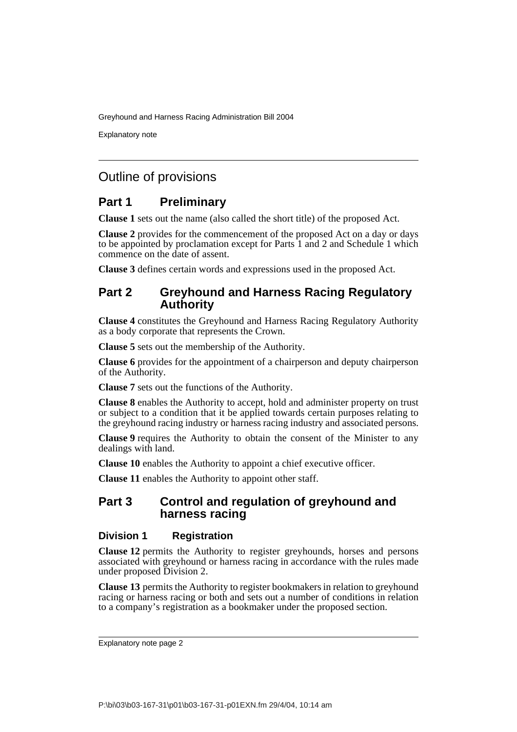Explanatory note

# Outline of provisions

## **Part 1 Preliminary**

**Clause 1** sets out the name (also called the short title) of the proposed Act.

**Clause 2** provides for the commencement of the proposed Act on a day or days to be appointed by proclamation except for Parts 1 and 2 and Schedule 1 which commence on the date of assent.

**Clause 3** defines certain words and expressions used in the proposed Act.

## **Part 2 Greyhound and Harness Racing Regulatory Authority**

**Clause 4** constitutes the Greyhound and Harness Racing Regulatory Authority as a body corporate that represents the Crown.

**Clause 5** sets out the membership of the Authority.

**Clause 6** provides for the appointment of a chairperson and deputy chairperson of the Authority.

**Clause 7** sets out the functions of the Authority.

**Clause 8** enables the Authority to accept, hold and administer property on trust or subject to a condition that it be applied towards certain purposes relating to the greyhound racing industry or harness racing industry and associated persons.

**Clause 9** requires the Authority to obtain the consent of the Minister to any dealings with land.

**Clause 10** enables the Authority to appoint a chief executive officer.

**Clause 11** enables the Authority to appoint other staff.

### **Part 3 Control and regulation of greyhound and harness racing**

#### **Division 1 Registration**

**Clause 12** permits the Authority to register greyhounds, horses and persons associated with greyhound or harness racing in accordance with the rules made under proposed Division 2.

**Clause 13** permits the Authority to register bookmakers in relation to greyhound racing or harness racing or both and sets out a number of conditions in relation to a company's registration as a bookmaker under the proposed section.

Explanatory note page 2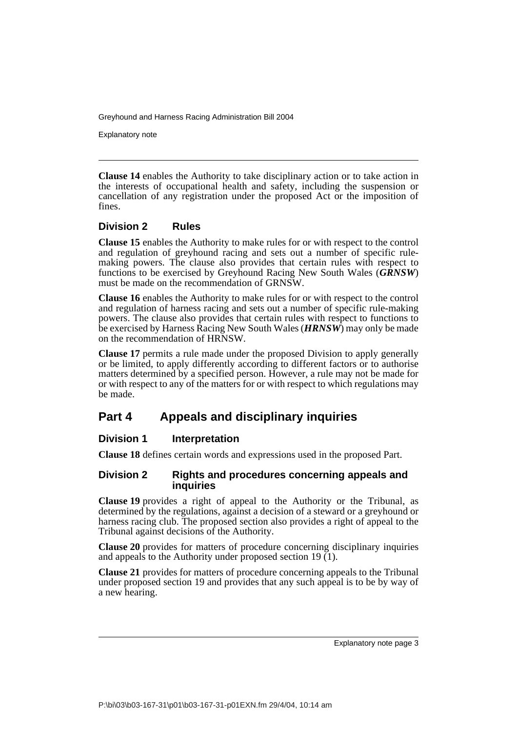Explanatory note

**Clause 14** enables the Authority to take disciplinary action or to take action in the interests of occupational health and safety, including the suspension or cancellation of any registration under the proposed Act or the imposition of fines.

#### **Division 2 Rules**

**Clause 15** enables the Authority to make rules for or with respect to the control and regulation of greyhound racing and sets out a number of specific rulemaking powers. The clause also provides that certain rules with respect to functions to be exercised by Greyhound Racing New South Wales (*GRNSW*) must be made on the recommendation of GRNSW.

**Clause 16** enables the Authority to make rules for or with respect to the control and regulation of harness racing and sets out a number of specific rule-making powers. The clause also provides that certain rules with respect to functions to be exercised by Harness Racing New South Wales (*HRNSW*) may only be made on the recommendation of HRNSW.

**Clause 17** permits a rule made under the proposed Division to apply generally or be limited, to apply differently according to different factors or to authorise matters determined by a specified person. However, a rule may not be made for or with respect to any of the matters for or with respect to which regulations may be made.

## **Part 4 Appeals and disciplinary inquiries**

#### **Division 1** Interpretation

**Clause 18** defines certain words and expressions used in the proposed Part.

#### **Division 2 Rights and procedures concerning appeals and inquiries**

**Clause 19** provides a right of appeal to the Authority or the Tribunal, as determined by the regulations, against a decision of a steward or a greyhound or harness racing club. The proposed section also provides a right of appeal to the Tribunal against decisions of the Authority.

**Clause 20** provides for matters of procedure concerning disciplinary inquiries and appeals to the Authority under proposed section 19 $(1)$ .

**Clause 21** provides for matters of procedure concerning appeals to the Tribunal under proposed section 19 and provides that any such appeal is to be by way of a new hearing.

Explanatory note page 3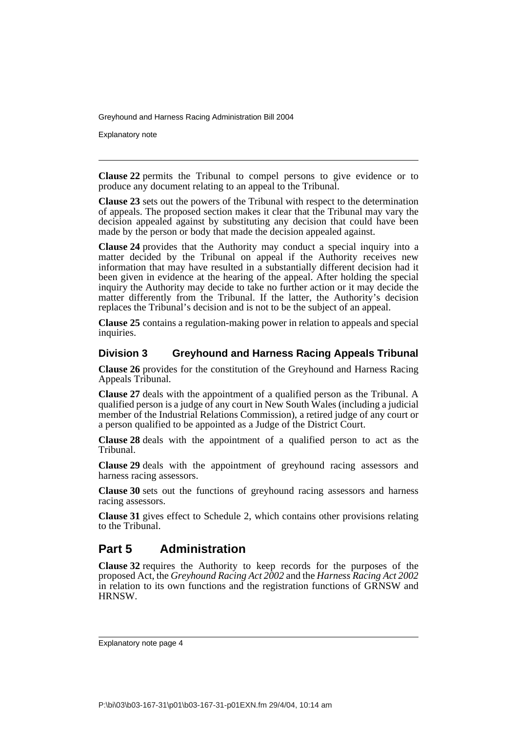Explanatory note

**Clause 22** permits the Tribunal to compel persons to give evidence or to produce any document relating to an appeal to the Tribunal.

**Clause 23** sets out the powers of the Tribunal with respect to the determination of appeals. The proposed section makes it clear that the Tribunal may vary the decision appealed against by substituting any decision that could have been made by the person or body that made the decision appealed against.

**Clause 24** provides that the Authority may conduct a special inquiry into a matter decided by the Tribunal on appeal if the Authority receives new information that may have resulted in a substantially different decision had it been given in evidence at the hearing of the appeal. After holding the special inquiry the Authority may decide to take no further action or it may decide the matter differently from the Tribunal. If the latter, the Authority's decision replaces the Tribunal's decision and is not to be the subject of an appeal.

**Clause 25** contains a regulation-making power in relation to appeals and special inquiries.

#### **Division 3 Greyhound and Harness Racing Appeals Tribunal**

**Clause 26** provides for the constitution of the Greyhound and Harness Racing Appeals Tribunal.

**Clause 27** deals with the appointment of a qualified person as the Tribunal. A qualified person is a judge of any court in New South Wales (including a judicial member of the Industrial Relations Commission), a retired judge of any court or a person qualified to be appointed as a Judge of the District Court.

**Clause 28** deals with the appointment of a qualified person to act as the Tribunal.

**Clause 29** deals with the appointment of greyhound racing assessors and harness racing assessors.

**Clause 30** sets out the functions of greyhound racing assessors and harness racing assessors.

**Clause 31** gives effect to Schedule 2, which contains other provisions relating to the Tribunal.

## **Part 5 Administration**

**Clause 32** requires the Authority to keep records for the purposes of the proposed Act, the *Greyhound Racing Act 2002* and the *Harness Racing Act 2002* in relation to its own functions and the registration functions of GRNSW and HRNSW.

Explanatory note page 4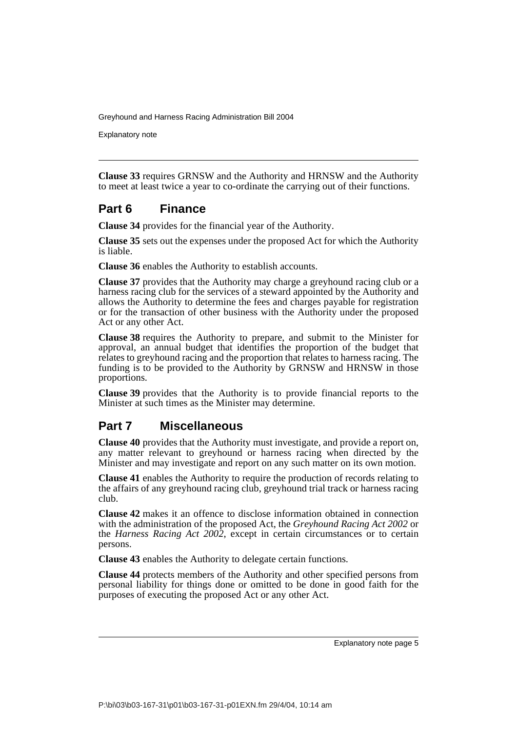Explanatory note

**Clause 33** requires GRNSW and the Authority and HRNSW and the Authority to meet at least twice a year to co-ordinate the carrying out of their functions.

## **Part 6 Finance**

**Clause 34** provides for the financial year of the Authority.

**Clause 35** sets out the expenses under the proposed Act for which the Authority is liable.

**Clause 36** enables the Authority to establish accounts.

**Clause 37** provides that the Authority may charge a greyhound racing club or a harness racing club for the services of a steward appointed by the Authority and allows the Authority to determine the fees and charges payable for registration or for the transaction of other business with the Authority under the proposed Act or any other Act.

**Clause 38** requires the Authority to prepare, and submit to the Minister for approval, an annual budget that identifies the proportion of the budget that relates to greyhound racing and the proportion that relates to harness racing. The funding is to be provided to the Authority by GRNSW and HRNSW in those proportions.

**Clause 39** provides that the Authority is to provide financial reports to the Minister at such times as the Minister may determine.

## **Part 7 Miscellaneous**

**Clause 40** provides that the Authority must investigate, and provide a report on, any matter relevant to greyhound or harness racing when directed by the Minister and may investigate and report on any such matter on its own motion.

**Clause 41** enables the Authority to require the production of records relating to the affairs of any greyhound racing club, greyhound trial track or harness racing club.

**Clause 42** makes it an offence to disclose information obtained in connection with the administration of the proposed Act, the *Greyhound Racing Act 2002* or the *Harness Racing Act 2002*, except in certain circumstances or to certain persons.

**Clause 43** enables the Authority to delegate certain functions.

**Clause 44** protects members of the Authority and other specified persons from personal liability for things done or omitted to be done in good faith for the purposes of executing the proposed Act or any other Act.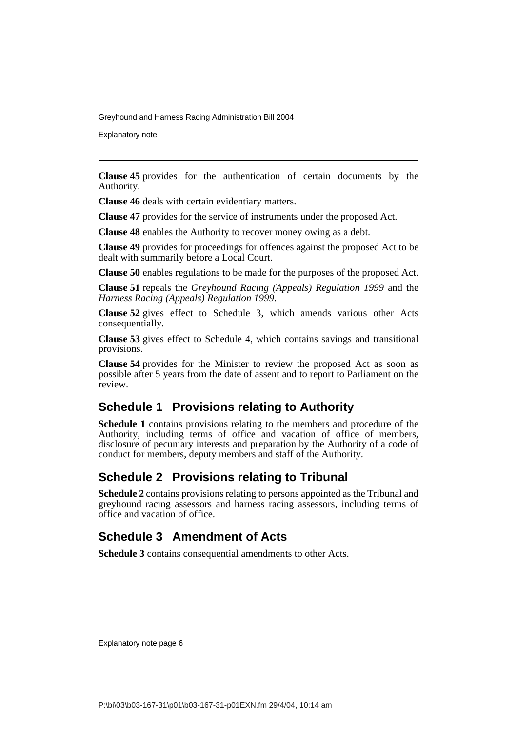Explanatory note

**Clause 45** provides for the authentication of certain documents by the Authority.

**Clause 46** deals with certain evidentiary matters.

**Clause 47** provides for the service of instruments under the proposed Act.

**Clause 48** enables the Authority to recover money owing as a debt.

**Clause 49** provides for proceedings for offences against the proposed Act to be dealt with summarily before a Local Court.

**Clause 50** enables regulations to be made for the purposes of the proposed Act.

**Clause 51** repeals the *Greyhound Racing (Appeals) Regulation 1999* and the *Harness Racing (Appeals) Regulation 1999*.

**Clause 52** gives effect to Schedule 3, which amends various other Acts consequentially.

**Clause 53** gives effect to Schedule 4, which contains savings and transitional provisions.

**Clause 54** provides for the Minister to review the proposed Act as soon as possible after 5 years from the date of assent and to report to Parliament on the review.

## **Schedule 1 Provisions relating to Authority**

**Schedule 1** contains provisions relating to the members and procedure of the Authority, including terms of office and vacation of office of members, disclosure of pecuniary interests and preparation by the Authority of a code of conduct for members, deputy members and staff of the Authority.

## **Schedule 2 Provisions relating to Tribunal**

**Schedule 2** contains provisions relating to persons appointed as the Tribunal and greyhound racing assessors and harness racing assessors, including terms of office and vacation of office.

## **Schedule 3 Amendment of Acts**

**Schedule 3** contains consequential amendments to other Acts.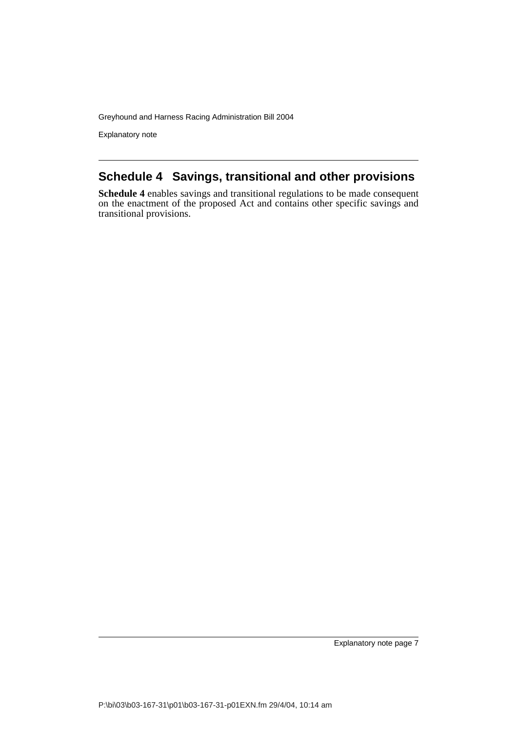Explanatory note

# **Schedule 4 Savings, transitional and other provisions**

**Schedule 4** enables savings and transitional regulations to be made consequent on the enactment of the proposed Act and contains other specific savings and transitional provisions.

Explanatory note page 7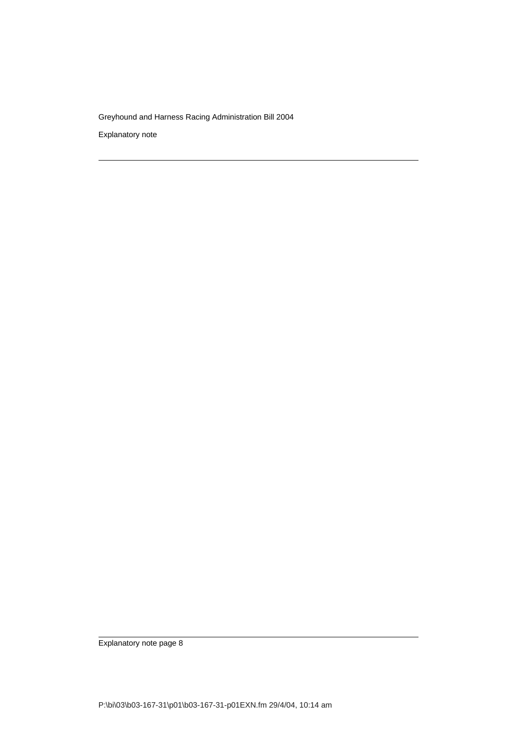Explanatory note

Explanatory note page 8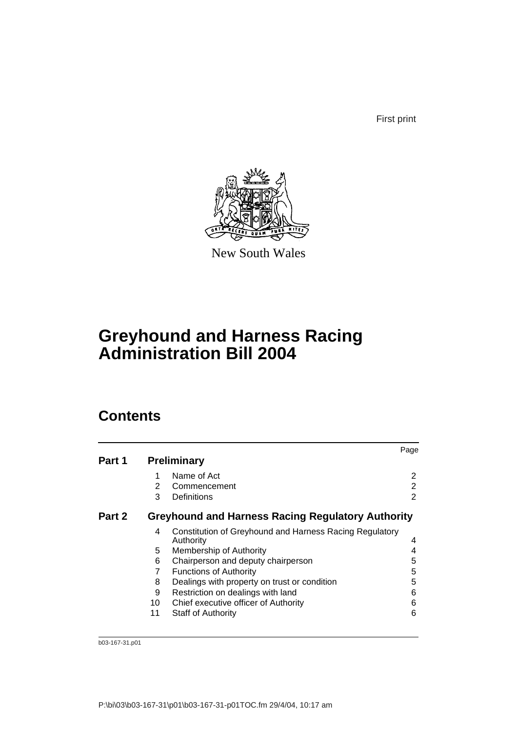First print



New South Wales

# **Greyhound and Harness Racing Administration Bill 2004**

# **Contents**

|        |    |                                                                      | Page |
|--------|----|----------------------------------------------------------------------|------|
| Part 1 |    | <b>Preliminary</b>                                                   |      |
|        | 1  | Name of Act                                                          | 2    |
|        | 2  | Commencement                                                         | 2    |
|        | 3  | Definitions                                                          | 2    |
| Part 2 |    | <b>Greyhound and Harness Racing Regulatory Authority</b>             |      |
|        | 4  | Constitution of Greyhound and Harness Racing Regulatory<br>Authority | 4    |
|        | 5  | Membership of Authority                                              | 4    |
|        | 6  | Chairperson and deputy chairperson                                   | 5    |
|        | 7  | <b>Functions of Authority</b>                                        | 5    |
|        | 8  | Dealings with property on trust or condition                         | 5    |
|        | 9  | Restriction on dealings with land                                    | 6    |
|        | 10 | Chief executive officer of Authority                                 | 6    |
|        | 11 | <b>Staff of Authority</b>                                            | 6    |
|        |    |                                                                      |      |

b03-167-31.p01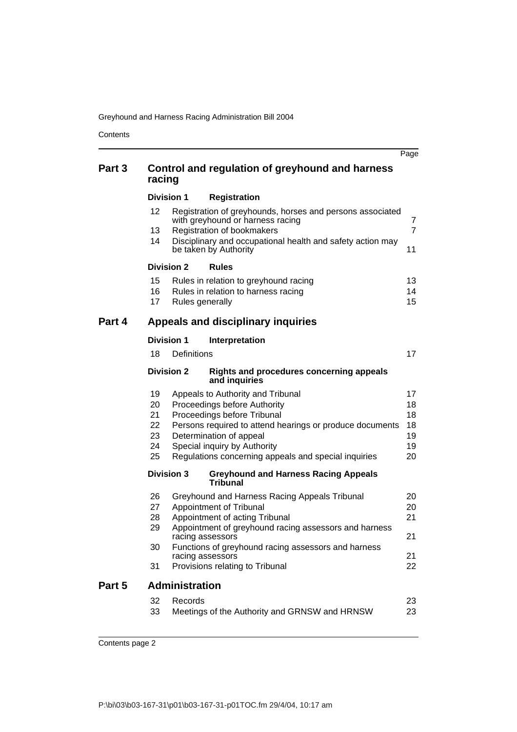**Contents** 

|        |                                        |                                                                                                                                                                                                                                                                                 | Page                                   |
|--------|----------------------------------------|---------------------------------------------------------------------------------------------------------------------------------------------------------------------------------------------------------------------------------------------------------------------------------|----------------------------------------|
| Part 3 | racing                                 | Control and regulation of greyhound and harness                                                                                                                                                                                                                                 |                                        |
|        | <b>Division 1</b>                      | <b>Registration</b>                                                                                                                                                                                                                                                             |                                        |
|        | 12<br>13<br>14                         | Registration of greyhounds, horses and persons associated<br>with greyhound or harness racing<br>Registration of bookmakers<br>Disciplinary and occupational health and safety action may                                                                                       | 7<br>7                                 |
|        |                                        | be taken by Authority                                                                                                                                                                                                                                                           | 11                                     |
|        | <b>Division 2</b>                      | <b>Rules</b>                                                                                                                                                                                                                                                                    |                                        |
|        | 15<br>16<br>17                         | Rules in relation to greyhound racing<br>Rules in relation to harness racing<br>Rules generally                                                                                                                                                                                 | 13<br>14<br>15                         |
| Part 4 |                                        | Appeals and disciplinary inquiries                                                                                                                                                                                                                                              |                                        |
|        | <b>Division 1</b>                      | Interpretation                                                                                                                                                                                                                                                                  |                                        |
|        | Definitions<br>18                      |                                                                                                                                                                                                                                                                                 | 17                                     |
|        | <b>Division 2</b>                      | Rights and procedures concerning appeals<br>and inquiries                                                                                                                                                                                                                       |                                        |
|        | 19<br>20<br>21<br>22<br>23<br>24<br>25 | Appeals to Authority and Tribunal<br>Proceedings before Authority<br>Proceedings before Tribunal<br>Persons required to attend hearings or produce documents<br>Determination of appeal<br>Special inquiry by Authority<br>Regulations concerning appeals and special inquiries | 17<br>18<br>18<br>18<br>19<br>19<br>20 |
|        | <b>Division 3</b>                      | <b>Greyhound and Harness Racing Appeals</b><br><b>Tribunal</b>                                                                                                                                                                                                                  |                                        |
|        | 26<br>27<br>28<br>29                   | Greyhound and Harness Racing Appeals Tribunal<br>Appointment of Tribunal<br>Appointment of acting Tribunal<br>Appointment of greyhound racing assessors and harness                                                                                                             | 20<br>20<br>21                         |
|        | 30                                     | racing assessors<br>Functions of greyhound racing assessors and harness                                                                                                                                                                                                         | 21                                     |
|        |                                        | racing assessors                                                                                                                                                                                                                                                                | 21                                     |
|        | 31                                     | Provisions relating to Tribunal                                                                                                                                                                                                                                                 | 22                                     |
| Part 5 | <b>Administration</b>                  |                                                                                                                                                                                                                                                                                 |                                        |
|        | 32<br>Records<br>33                    | Meetings of the Authority and GRNSW and HRNSW                                                                                                                                                                                                                                   | 23<br>23                               |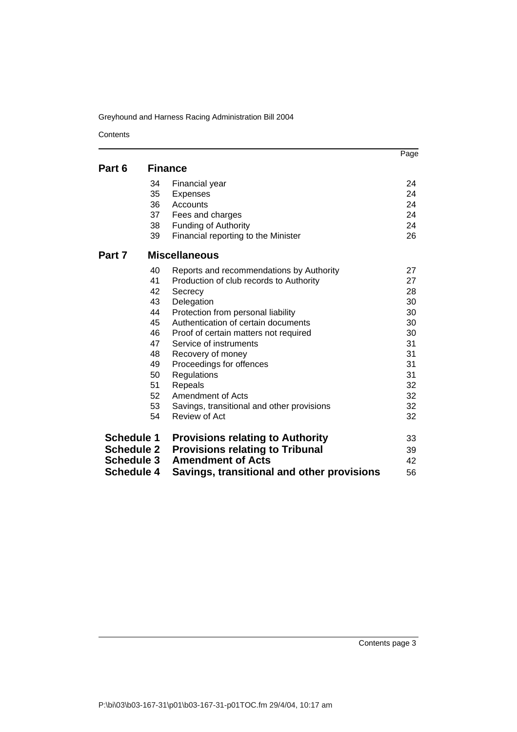**Contents** 

|                   |    |                                            | Page |
|-------------------|----|--------------------------------------------|------|
| Part 6            |    | <b>Finance</b>                             |      |
|                   | 34 | Financial year                             | 24   |
|                   | 35 | <b>Expenses</b>                            | 24   |
|                   | 36 | Accounts                                   | 24   |
|                   | 37 | Fees and charges                           | 24   |
|                   | 38 | <b>Funding of Authority</b>                | 24   |
|                   | 39 | Financial reporting to the Minister        | 26   |
| Part 7            |    | <b>Miscellaneous</b>                       |      |
|                   | 40 | Reports and recommendations by Authority   | 27   |
|                   | 41 | Production of club records to Authority    | 27   |
|                   | 42 | Secrecy                                    | 28   |
|                   | 43 | Delegation                                 | 30   |
|                   | 44 | Protection from personal liability         | 30   |
|                   | 45 | Authentication of certain documents        | 30   |
|                   | 46 | Proof of certain matters not required      | 30   |
|                   | 47 | Service of instruments                     | 31   |
|                   | 48 | Recovery of money                          | 31   |
|                   | 49 | Proceedings for offences                   | 31   |
|                   | 50 | Regulations                                | 31   |
|                   | 51 | Repeals                                    | 32   |
|                   | 52 | Amendment of Acts                          | 32   |
|                   | 53 | Savings, transitional and other provisions | 32   |
|                   | 54 | Review of Act                              | 32   |
| <b>Schedule 1</b> |    | <b>Provisions relating to Authority</b>    | 33   |
| <b>Schedule 2</b> |    | <b>Provisions relating to Tribunal</b>     | 39   |
| <b>Schedule 3</b> |    | <b>Amendment of Acts</b>                   | 42   |
| <b>Schedule 4</b> |    | Savings, transitional and other provisions | 56   |

Contents page 3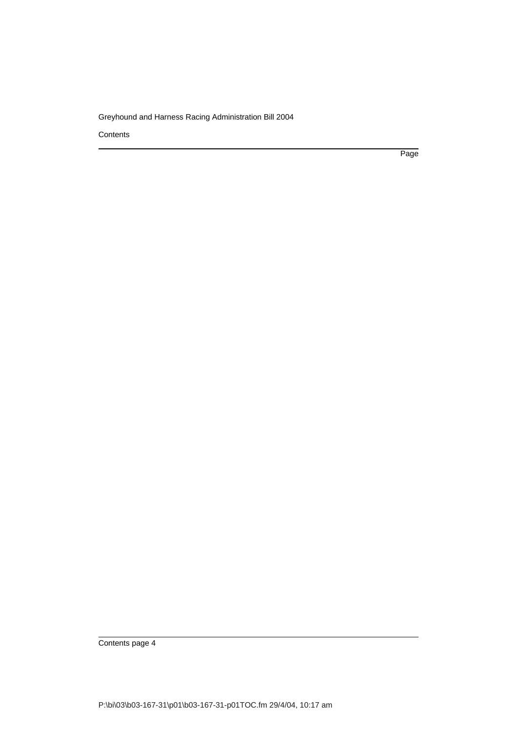**Contents** 

Page

Contents page 4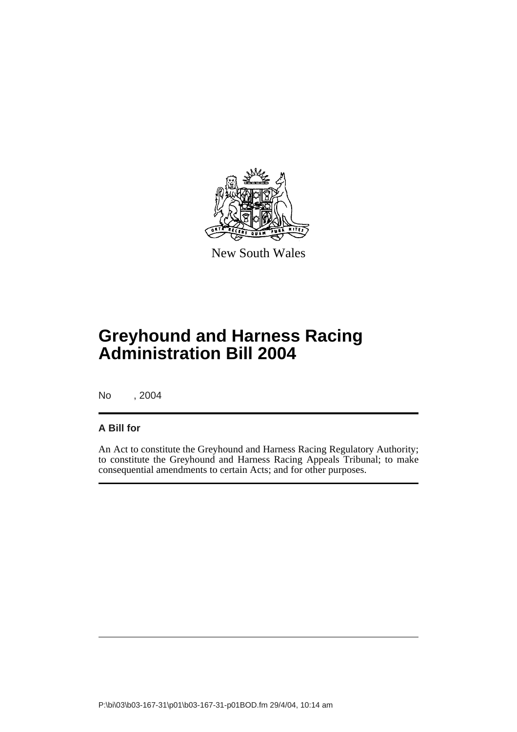

New South Wales

# **Greyhound and Harness Racing Administration Bill 2004**

No , 2004

#### **A Bill for**

An Act to constitute the Greyhound and Harness Racing Regulatory Authority; to constitute the Greyhound and Harness Racing Appeals Tribunal; to make consequential amendments to certain Acts; and for other purposes.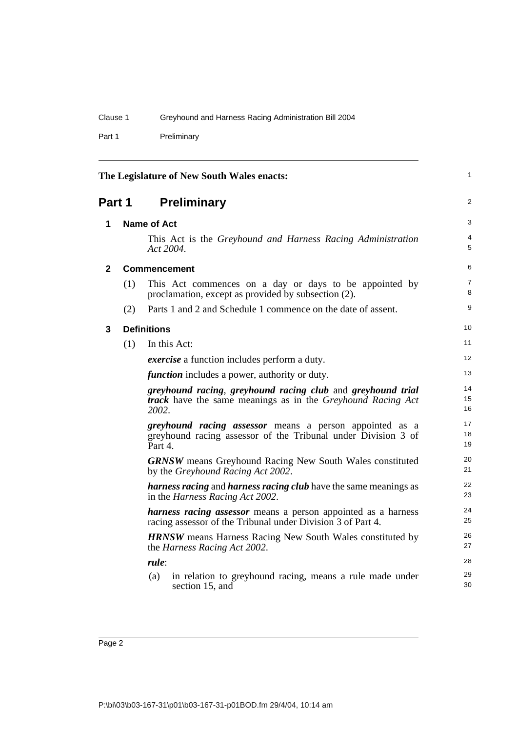Part 1 Preliminary

<span id="page-13-3"></span><span id="page-13-2"></span><span id="page-13-1"></span><span id="page-13-0"></span>

| The Legislature of New South Wales enacts: |     | $\mathbf 1$                                                                                                                                |                |
|--------------------------------------------|-----|--------------------------------------------------------------------------------------------------------------------------------------------|----------------|
| <b>Preliminary</b><br>Part 1               |     | $\overline{2}$                                                                                                                             |                |
| 1.                                         |     | Name of Act                                                                                                                                | 3              |
|                                            |     | This Act is the Greyhound and Harness Racing Administration<br>Act $2004$ .                                                                | 4<br>5         |
| $\mathbf{2}$                               |     | <b>Commencement</b>                                                                                                                        | 6              |
|                                            | (1) | This Act commences on a day or days to be appointed by<br>proclamation, except as provided by subsection (2).                              | 7<br>8         |
|                                            | (2) | Parts 1 and 2 and Schedule 1 commence on the date of assent.                                                                               | 9              |
| 3                                          |     | <b>Definitions</b>                                                                                                                         | 10             |
|                                            | (1) | In this Act:                                                                                                                               | 11             |
|                                            |     | <i>exercise</i> a function includes perform a duty.                                                                                        | 12             |
|                                            |     | <i>function</i> includes a power, authority or duty.                                                                                       | 13             |
|                                            |     | greyhound racing, greyhound racing club and greyhound trial<br><b>track</b> have the same meanings as in the Greyhound Racing Act<br>2002. | 14<br>15<br>16 |
|                                            |     | greyhound racing assessor means a person appointed as a<br>greyhound racing assessor of the Tribunal under Division 3 of<br>Part 4.        | 17<br>18<br>19 |
|                                            |     | <b>GRNSW</b> means Greyhound Racing New South Wales constituted<br>by the <i>Greyhound Racing Act 2002</i> .                               | 20<br>21       |
|                                            |     | <i>harness racing</i> and <i>harness racing club</i> have the same meanings as<br>in the <i>Harness Racing Act 2002</i> .                  | 22<br>23       |
|                                            |     | <i>harness racing assessor</i> means a person appointed as a harness<br>racing assessor of the Tribunal under Division 3 of Part 4.        | 24<br>25       |
|                                            |     | <b>HRNSW</b> means Harness Racing New South Wales constituted by<br>the <i>Harness Racing Act 2002</i> .                                   | 26<br>27       |
|                                            |     | rule:                                                                                                                                      | 28             |
|                                            |     | (a)<br>in relation to greyhound racing, means a rule made under<br>section 15, and                                                         | 29<br>30       |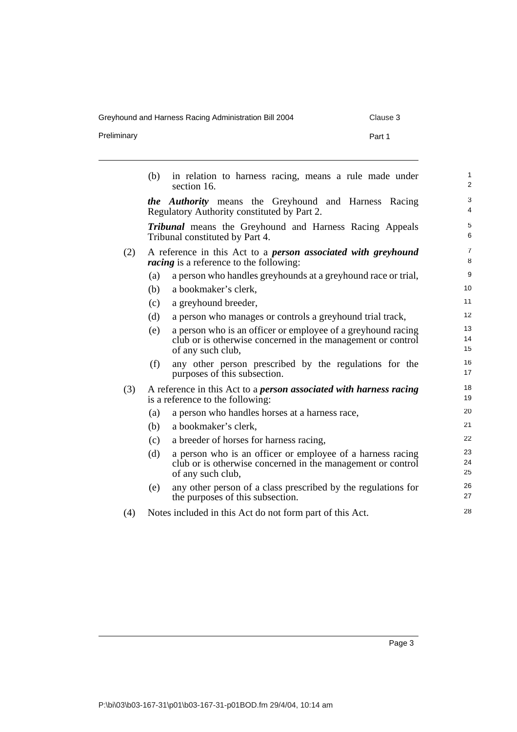|     | (U) | a person who is an orricer or employee or a greyhound racing<br>club or is otherwise concerned in the management or control<br>of any such club, |
|-----|-----|--------------------------------------------------------------------------------------------------------------------------------------------------|
|     | (f) | any other person prescribed by the regulations for the<br>purposes of this subsection.                                                           |
| (3) |     | A reference in this Act to a <i>person</i> associated with harness racing<br>is a reference to the following:                                    |
|     | (a) | a person who handles horses at a harness race,                                                                                                   |
|     | (b) | a bookmaker's clerk,                                                                                                                             |
|     | (c) | a breeder of horses for harness racing,                                                                                                          |
|     | (d) | a person who is an officer or employee of a harness racing<br>club or is otherwise concerned in the management or control<br>of any such club,   |
|     | (e) | any other person of a class prescribed by the regulations for<br>the purposes of this subsection.                                                |
| (4) |     | Notes included in this Act do not form part of this Act.                                                                                         |
|     |     |                                                                                                                                                  |
|     |     |                                                                                                                                                  |
|     |     |                                                                                                                                                  |
|     |     |                                                                                                                                                  |
|     |     |                                                                                                                                                  |
|     |     |                                                                                                                                                  |
|     |     |                                                                                                                                                  |
|     |     |                                                                                                                                                  |

(2) A reference in this Act to a *person associated with greyhound racing* is a reference to the following:

(a) a person who handles greyhounds at a greyhound race or trial,

(b) in relation to harness racing, means a rule made under

*the Authority* means the Greyhound and Harness Racing

*Tribunal* means the Greyhound and Harness Racing Appeals

(b) a bookmaker's clerk,

Tribunal constituted by Part 4.

Regulatory Authority constituted by Part 2.

- (c) a greyhound breeder,
- (d) a person who manages or controls a greyhound trial track,
- (e) a person who is an officer or employee of a greyhound racing t or control

Greyhound and Harness Racing Administration Bill 2004 Clause 3

section 16.

Page 3

Preliminary **Part 1**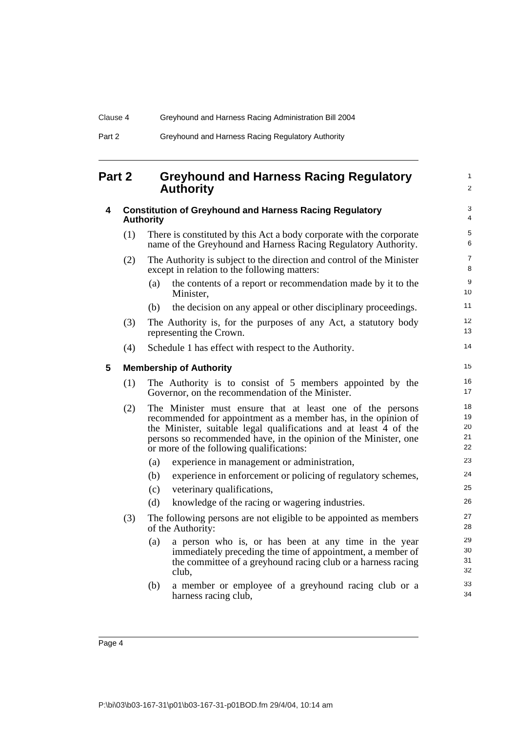### <span id="page-15-0"></span>**Part 2 Greyhound and Harness Racing Regulatory Authority**

#### <span id="page-15-1"></span>**4 Constitution of Greyhound and Harness Racing Regulatory Authority**

- (1) There is constituted by this Act a body corporate with the corporate name of the Greyhound and Harness Racing Regulatory Authority.
- (2) The Authority is subject to the direction and control of the Minister except in relation to the following matters:
	- (a) the contents of a report or recommendation made by it to the Minister,

1  $\mathfrak{p}$ 

- (b) the decision on any appeal or other disciplinary proceedings.
- (3) The Authority is, for the purposes of any Act, a statutory body representing the Crown.
- (4) Schedule 1 has effect with respect to the Authority.

#### <span id="page-15-2"></span>**5 Membership of Authority**

- (1) The Authority is to consist of 5 members appointed by the Governor, on the recommendation of the Minister.
- (2) The Minister must ensure that at least one of the persons recommended for appointment as a member has, in the opinion of the Minister, suitable legal qualifications and at least 4 of the persons so recommended have, in the opinion of the Minister, one or more of the following qualifications:
	- (a) experience in management or administration,
	- (b) experience in enforcement or policing of regulatory schemes,
	- (c) veterinary qualifications,
	- (d) knowledge of the racing or wagering industries.
- (3) The following persons are not eligible to be appointed as members of the Authority:
	- (a) a person who is, or has been at any time in the year immediately preceding the time of appointment, a member of the committee of a greyhound racing club or a harness racing club,
	- (b) a member or employee of a greyhound racing club or a harness racing club,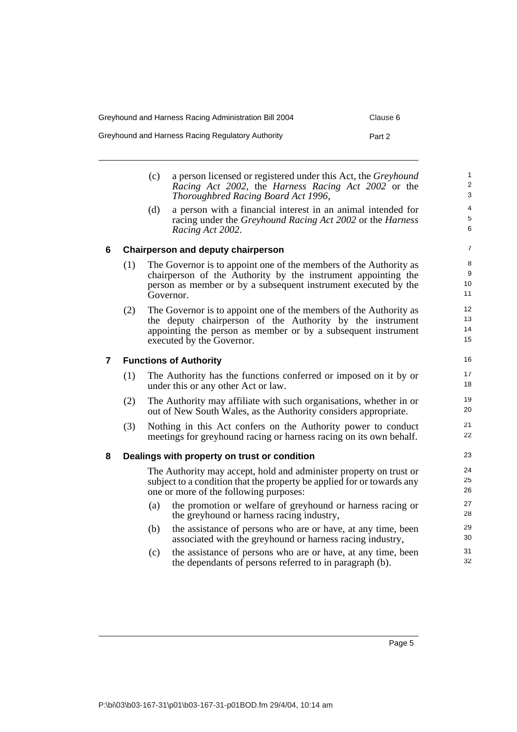| Greyhound and Harness Racing Administration Bill 2004 | Clause 6 |
|-------------------------------------------------------|----------|
| Greyhound and Harness Racing Regulatory Authority     | Part 2   |

- (c) a person licensed or registered under this Act, the *Greyhound Racing Act 2002*, the *Harness Racing Act 2002* or the *Thoroughbred Racing Board Act 1996*,
- (d) a person with a financial interest in an animal intended for racing under the *Greyhound Racing Act 2002* or the *Harness Racing Act 2002*.

#### <span id="page-16-0"></span>**6 Chairperson and deputy chairperson**

- (1) The Governor is to appoint one of the members of the Authority as chairperson of the Authority by the instrument appointing the person as member or by a subsequent instrument executed by the Governor.
- (2) The Governor is to appoint one of the members of the Authority as the deputy chairperson of the Authority by the instrument appointing the person as member or by a subsequent instrument executed by the Governor.

#### <span id="page-16-1"></span>**7 Functions of Authority**

- (1) The Authority has the functions conferred or imposed on it by or under this or any other Act or law.
- (2) The Authority may affiliate with such organisations, whether in or out of New South Wales, as the Authority considers appropriate.
- (3) Nothing in this Act confers on the Authority power to conduct meetings for greyhound racing or harness racing on its own behalf.

#### <span id="page-16-2"></span>**8 Dealings with property on trust or condition**

The Authority may accept, hold and administer property on trust or subject to a condition that the property be applied for or towards any one or more of the following purposes:

- (a) the promotion or welfare of greyhound or harness racing or the greyhound or harness racing industry,
- (b) the assistance of persons who are or have, at any time, been associated with the greyhound or harness racing industry,
- (c) the assistance of persons who are or have, at any time, been the dependants of persons referred to in paragraph (b).

Page 5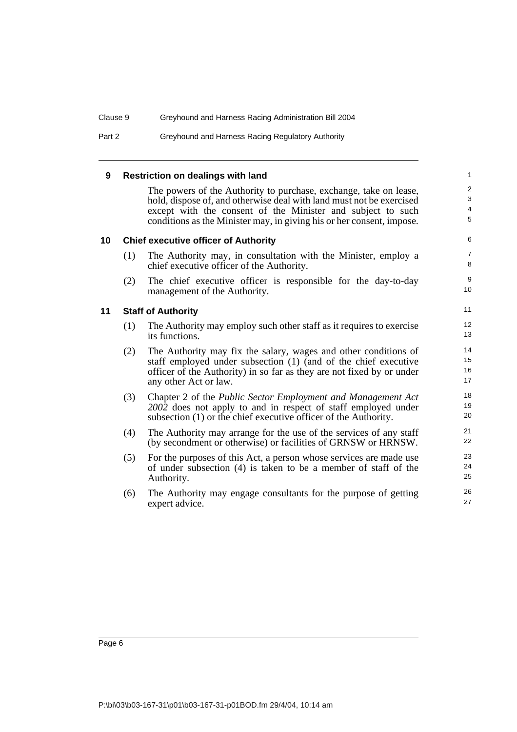| Clause 9 | Greyhound and Harness Racing Administration Bill 2004 |
|----------|-------------------------------------------------------|
|          |                                                       |

#### <span id="page-17-2"></span><span id="page-17-1"></span><span id="page-17-0"></span>**9 Restriction on dealings with land** The powers of the Authority to purchase, exchange, take on lease, hold, dispose of, and otherwise deal with land must not be exercised except with the consent of the Minister and subject to such conditions as the Minister may, in giving his or her consent, impose. **10 Chief executive officer of Authority** (1) The Authority may, in consultation with the Minister, employ a chief executive officer of the Authority. (2) The chief executive officer is responsible for the day-to-day management of the Authority. **11 Staff of Authority** (1) The Authority may employ such other staff as it requires to exercise its functions. (2) The Authority may fix the salary, wages and other conditions of staff employed under subsection (1) (and of the chief executive officer of the Authority) in so far as they are not fixed by or under any other Act or law. (3) Chapter 2 of the *Public Sector Employment and Management Act 2002* does not apply to and in respect of staff employed under subsection (1) or the chief executive officer of the Authority. (4) The Authority may arrange for the use of the services of any staff (by secondment or otherwise) or facilities of GRNSW or HRNSW. (5) For the purposes of this Act, a person whose services are made use of under subsection (4) is taken to be a member of staff of the Authority. (6) The Authority may engage consultants for the purpose of getting expert advice. 1  $\overline{2}$ 3 4 5 6 7 8  $\alpha$  $1<sub>0</sub>$ 11 12 13 14 15 16 17 18 19 20 21 22 23 24 25 26 27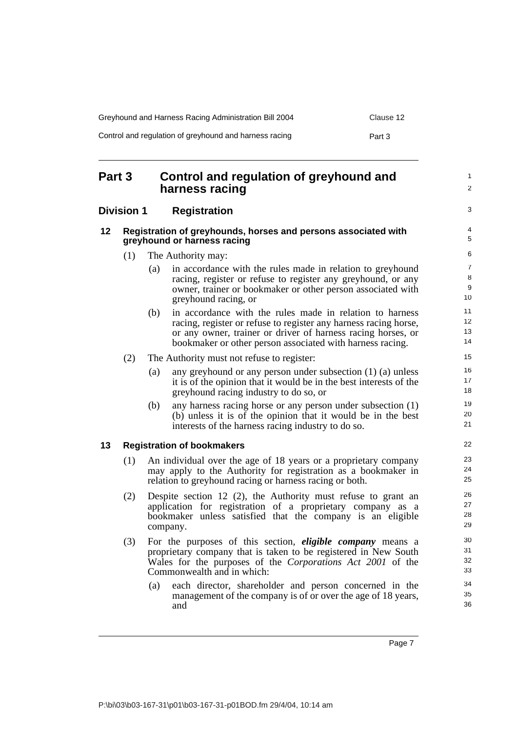| Greyhound and Harness Racing Administration Bill 2004  | Clause 12 |
|--------------------------------------------------------|-----------|
| Control and regulation of greyhound and harness racing | Part 3    |

#### <span id="page-18-2"></span><span id="page-18-1"></span><span id="page-18-0"></span>**Part 3 Control and regulation of greyhound and harness racing Division 1 Registration 12 Registration of greyhounds, horses and persons associated with greyhound or harness racing** (1) The Authority may: (a) in accordance with the rules made in relation to greyhound racing, register or refuse to register any greyhound, or any owner, trainer or bookmaker or other person associated with greyhound racing, or (b) in accordance with the rules made in relation to harness racing, register or refuse to register any harness racing horse, or any owner, trainer or driver of harness racing horses, or bookmaker or other person associated with harness racing. (2) The Authority must not refuse to register: (a) any greyhound or any person under subsection (1) (a) unless it is of the opinion that it would be in the best interests of the greyhound racing industry to do so, or (b) any harness racing horse or any person under subsection (1) (b) unless it is of the opinion that it would be in the best interests of the harness racing industry to do so. **13 Registration of bookmakers** (1) An individual over the age of 18 years or a proprietary company may apply to the Authority for registration as a bookmaker in 10 11 12 13 14 15 16 17 18 19 20 21 22 23 24

<span id="page-18-3"></span>(2) Despite section 12 (2), the Authority must refuse to grant an application for registration of a proprietary company as a bookmaker unless satisfied that the company is an eligible company.

relation to greyhound racing or harness racing or both.

- (3) For the purposes of this section, *eligible company* means a proprietary company that is taken to be registered in New South Wales for the purposes of the *Corporations Act 2001* of the Commonwealth and in which:
	- (a) each director, shareholder and person concerned in the management of the company is of or over the age of 18 years, and

Page 7

1  $\mathfrak{p}$ 

3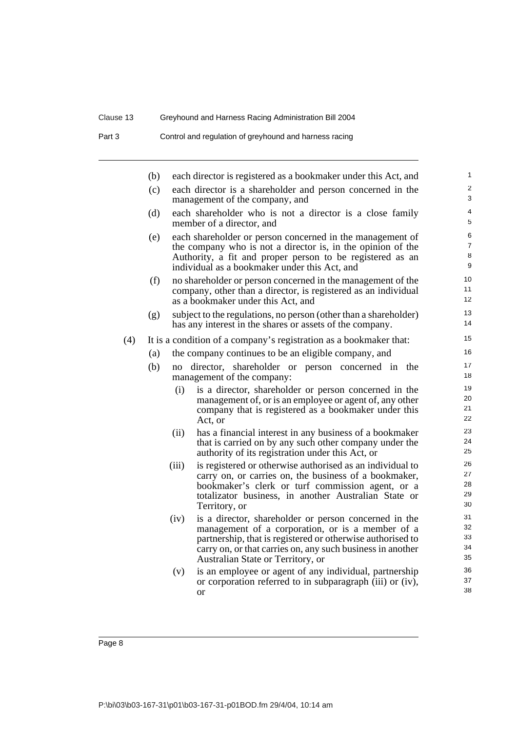|     | (b) |       | each director is registered as a bookmaker under this Act, and                                                                                                                                                                                                             | $\mathbf{1}$                  |
|-----|-----|-------|----------------------------------------------------------------------------------------------------------------------------------------------------------------------------------------------------------------------------------------------------------------------------|-------------------------------|
|     | (c) |       | each director is a shareholder and person concerned in the<br>management of the company, and                                                                                                                                                                               | $\overline{\mathbf{c}}$<br>3  |
|     | (d) |       | each shareholder who is not a director is a close family<br>member of a director, and                                                                                                                                                                                      | 4<br>5                        |
|     | (e) |       | each shareholder or person concerned in the management of<br>the company who is not a director is, in the opinion of the<br>Authority, a fit and proper person to be registered as an<br>individual as a bookmaker under this Act, and                                     | 6<br>$\overline{7}$<br>8<br>9 |
|     | (f) |       | no shareholder or person concerned in the management of the<br>company, other than a director, is registered as an individual<br>as a bookmaker under this Act, and                                                                                                        | 10<br>11<br>12                |
|     | (g) |       | subject to the regulations, no person (other than a shareholder)<br>has any interest in the shares or assets of the company.                                                                                                                                               | 13<br>14                      |
| (4) |     |       | It is a condition of a company's registration as a bookmaker that:                                                                                                                                                                                                         | 15                            |
|     | (a) |       | the company continues to be an eligible company, and                                                                                                                                                                                                                       | 16                            |
|     | (b) | no    | director, shareholder or person concerned in the<br>management of the company:                                                                                                                                                                                             | 17<br>18                      |
|     |     | (i)   | is a director, shareholder or person concerned in the<br>management of, or is an employee or agent of, any other<br>company that is registered as a bookmaker under this<br>Act, or                                                                                        | 19<br>20<br>21<br>22          |
|     |     | (ii)  | has a financial interest in any business of a bookmaker<br>that is carried on by any such other company under the<br>authority of its registration under this Act, or                                                                                                      | 23<br>24<br>25                |
|     |     | (iii) | is registered or otherwise authorised as an individual to<br>carry on, or carries on, the business of a bookmaker,<br>bookmaker's clerk or turf commission agent, or a<br>totalizator business, in another Australian State or<br>Territory, or                            | 26<br>27<br>28<br>29<br>30    |
|     |     | (iv)  | is a director, shareholder or person concerned in the<br>management of a corporation, or is a member of a<br>partnership, that is registered or otherwise authorised to<br>carry on, or that carries on, any such business in another<br>Australian State or Territory, or | 31<br>32<br>33<br>34<br>35    |
|     |     | (v)   | is an employee or agent of any individual, partnership<br>or corporation referred to in subparagraph (iii) or (iv),                                                                                                                                                        | 36<br>37<br>$\sim$            |

38

Page 8

or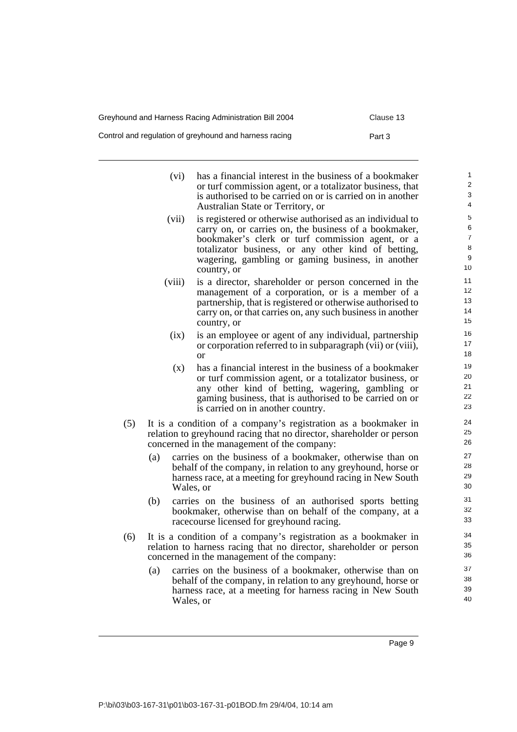| (vi)  | has a financial interest in the business of a bookmaker    |
|-------|------------------------------------------------------------|
|       | or turf commission agent, or a totalizator business, that  |
|       | is authorised to be carried on or is carried on in another |
|       | Australian State or Territory, or                          |
| (vii) | is registered or otherwise authorised as an individual to  |

- carry on, or carries on, the business of a bookmaker, bookmaker's clerk or turf commission agent, or a totalizator business, or any other kind of betting, wagering, gambling or gaming business, in another country, or
- (viii) is a director, shareholder or person concerned in the management of a corporation, or is a member of a partnership, that is registered or otherwise authorised to carry on, or that carries on, any such business in another country, or
	- (ix) is an employee or agent of any individual, partnership or corporation referred to in subparagraph (vii) or (viii), or
	- (x) has a financial interest in the business of a bookmaker or turf commission agent, or a totalizator business, or any other kind of betting, wagering, gambling or gaming business, that is authorised to be carried on or is carried on in another country.
- (5) It is a condition of a company's registration as a bookmaker in relation to greyhound racing that no director, shareholder or person concerned in the management of the company:
	- (a) carries on the business of a bookmaker, otherwise than on behalf of the company, in relation to any greyhound, horse or harness race, at a meeting for greyhound racing in New South Wales, or
	- (b) carries on the business of an authorised sports betting bookmaker, otherwise than on behalf of the company, at a racecourse licensed for greyhound racing.
- (6) It is a condition of a company's registration as a bookmaker in relation to harness racing that no director, shareholder or person concerned in the management of the company:
	- (a) carries on the business of a bookmaker, otherwise than on behalf of the company, in relation to any greyhound, horse or harness race, at a meeting for harness racing in New South Wales, or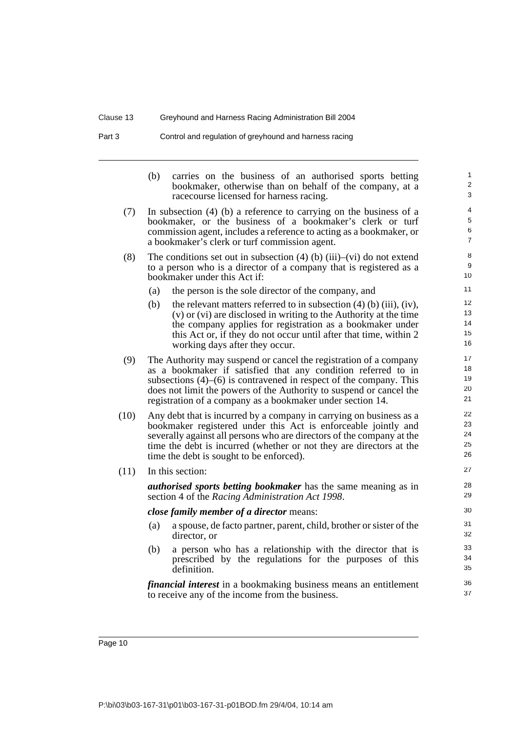#### Part 3 Control and regulation of greyhound and harness racing

|      | carries on the business of an authorised sports betting<br>(b)<br>bookmaker, otherwise than on behalf of the company, at a<br>racecourse licensed for harness racing.                                                                                                                                                                               | 1<br>$\overline{2}$<br>$\mathbf{3}$                       |
|------|-----------------------------------------------------------------------------------------------------------------------------------------------------------------------------------------------------------------------------------------------------------------------------------------------------------------------------------------------------|-----------------------------------------------------------|
| (7)  | In subsection $(4)$ (b) a reference to carrying on the business of a<br>bookmaker, or the business of a bookmaker's clerk or turf<br>commission agent, includes a reference to acting as a bookmaker, or<br>a bookmaker's clerk or turf commission agent.                                                                                           | $\overline{4}$<br>$\sqrt{5}$<br>$\,6\,$<br>$\overline{7}$ |
| (8)  | The conditions set out in subsection $(4)$ (b) $(iii)$ – $(vi)$ do not extend<br>to a person who is a director of a company that is registered as a<br>bookmaker under this Act if:                                                                                                                                                                 | $\bf8$<br>$\boldsymbol{9}$<br>10                          |
|      | (a)<br>the person is the sole director of the company, and                                                                                                                                                                                                                                                                                          | 11                                                        |
|      | (b)<br>the relevant matters referred to in subsection $(4)$ (b) (iii), (iv),<br>(v) or (vi) are disclosed in writing to the Authority at the time<br>the company applies for registration as a bookmaker under<br>this Act or, if they do not occur until after that time, within 2<br>working days after they occur.                               | 12<br>13<br>14<br>15<br>16                                |
| (9)  | The Authority may suspend or cancel the registration of a company<br>as a bookmaker if satisfied that any condition referred to in<br>subsections $(4)$ – $(6)$ is contravened in respect of the company. This<br>does not limit the powers of the Authority to suspend or cancel the<br>registration of a company as a bookmaker under section 14. | 17<br>18<br>19<br>20<br>21                                |
| (10) | Any debt that is incurred by a company in carrying on business as a<br>bookmaker registered under this Act is enforceable jointly and<br>severally against all persons who are directors of the company at the<br>time the debt is incurred (whether or not they are directors at the<br>time the debt is sought to be enforced).                   | 22<br>23<br>24<br>25<br>26                                |
| (11) | In this section:                                                                                                                                                                                                                                                                                                                                    | 27                                                        |
|      | <i>authorised sports betting bookmaker</i> has the same meaning as in<br>section 4 of the Racing Administration Act 1998.                                                                                                                                                                                                                           | 28<br>29                                                  |
|      | close family member of a director means.                                                                                                                                                                                                                                                                                                            | 30                                                        |

#### *close family member of a director* means:

(a) a spouse, de facto partner, parent, child, brother or sister of the director, or

(b) a person who has a relationship with the director that is prescribed by the regulations for the purposes of this definition.

*financial interest* in a bookmaking business means an entitlement to receive any of the income from the business.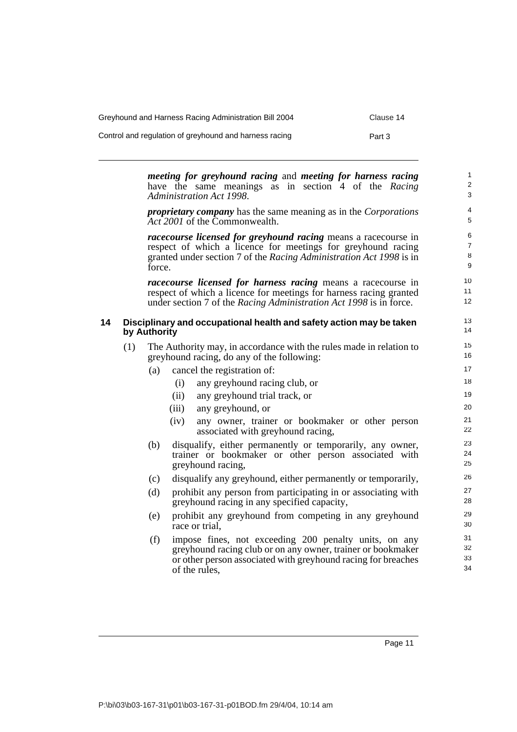| Greyhound and Harness Racing Administration Bill 2004  |        |  |  |
|--------------------------------------------------------|--------|--|--|
| Control and regulation of greyhound and harness racing | Part 3 |  |  |

<span id="page-22-0"></span>*meeting for greyhound racing* and *meeting for harness racing* have the same meanings as in section 4 of the *Racing Administration Act 1998*. *proprietary company* has the same meaning as in the *Corporations Act 2001* of the Commonwealth. *racecourse licensed for greyhound racing* means a racecourse in respect of which a licence for meetings for greyhound racing granted under section 7 of the *Racing Administration Act 1998* is in force. *racecourse licensed for harness racing* means a racecourse in respect of which a licence for meetings for harness racing granted under section 7 of the *Racing Administration Act 1998* is in force. **14 Disciplinary and occupational health and safety action may be taken by Authority** (1) The Authority may, in accordance with the rules made in relation to greyhound racing, do any of the following: (a) cancel the registration of: (i) any greyhound racing club, or (ii) any greyhound trial track, or (iii) any greyhound, or (iv) any owner, trainer or bookmaker or other person associated with greyhound racing, (b) disqualify, either permanently or temporarily, any owner, trainer or bookmaker or other person associated with greyhound racing, (c) disqualify any greyhound, either permanently or temporarily, (d) prohibit any person from participating in or associating with greyhound racing in any specified capacity, (e) prohibit any greyhound from competing in any greyhound race or trial, (f) impose fines, not exceeding 200 penalty units, on any greyhound racing club or on any owner, trainer or bookmaker or other person associated with greyhound racing for breaches of the rules, 1  $\overline{2}$ 3 4 5 6 7 8  $\alpha$ 10 11 12 13 14 15 16 17 18 19 20 21 22 23 24 25 26 27 28 29 30 31 32 33 34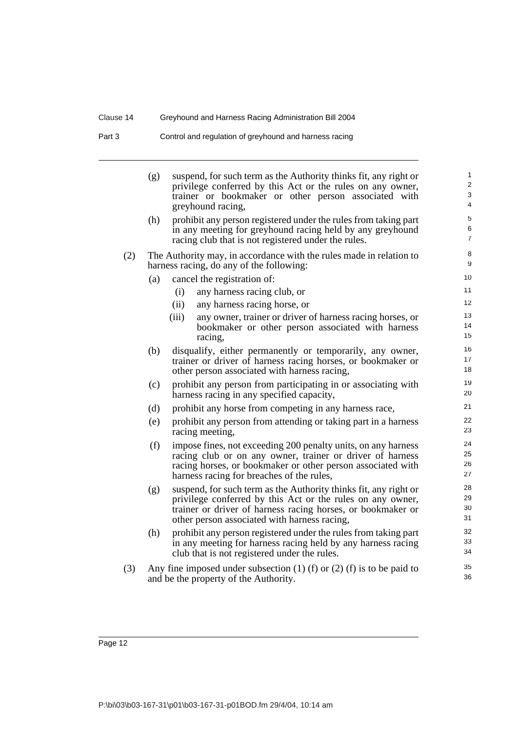|     | (g)                                                                                                             | suspend, for such term as the Authority thinks fit, any right or<br>privilege conferred by this Act or the rules on any owner,<br>trainer or bookmaker or other person associated with<br>greyhound racing,                                   | 1<br>$\overline{a}$<br>3<br>4 |  |  |  |
|-----|-----------------------------------------------------------------------------------------------------------------|-----------------------------------------------------------------------------------------------------------------------------------------------------------------------------------------------------------------------------------------------|-------------------------------|--|--|--|
|     | (h)                                                                                                             | prohibit any person registered under the rules from taking part<br>in any meeting for greyhound racing held by any greyhound<br>racing club that is not registered under the rules.                                                           | 5<br>6<br>7                   |  |  |  |
| (2) | The Authority may, in accordance with the rules made in relation to<br>harness racing, do any of the following: |                                                                                                                                                                                                                                               |                               |  |  |  |
|     | (a)                                                                                                             | cancel the registration of:                                                                                                                                                                                                                   | 10                            |  |  |  |
|     |                                                                                                                 | any harness racing club, or<br>(i)                                                                                                                                                                                                            | 11                            |  |  |  |
|     |                                                                                                                 | (ii)<br>any harness racing horse, or                                                                                                                                                                                                          | 12                            |  |  |  |
|     |                                                                                                                 | (iii)<br>any owner, trainer or driver of harness racing horses, or<br>bookmaker or other person associated with harness<br>racing,                                                                                                            | 13<br>14<br>15                |  |  |  |
|     | (b)                                                                                                             | disqualify, either permanently or temporarily, any owner,<br>trainer or driver of harness racing horses, or bookmaker or<br>other person associated with harness racing,                                                                      | 16<br>17<br>18                |  |  |  |
|     | (c)                                                                                                             | prohibit any person from participating in or associating with<br>harness racing in any specified capacity,                                                                                                                                    | 19<br>20                      |  |  |  |
|     | (d)                                                                                                             | prohibit any horse from competing in any harness race,                                                                                                                                                                                        | 21                            |  |  |  |
|     | (e)                                                                                                             | prohibit any person from attending or taking part in a harness<br>racing meeting,                                                                                                                                                             | 22<br>23                      |  |  |  |
|     | (f)                                                                                                             | impose fines, not exceeding 200 penalty units, on any harness<br>racing club or on any owner, trainer or driver of harness<br>racing horses, or bookmaker or other person associated with<br>harness racing for breaches of the rules,        | 24<br>25<br>26<br>27          |  |  |  |
|     | (g)                                                                                                             | suspend, for such term as the Authority thinks fit, any right or<br>privilege conferred by this Act or the rules on any owner,<br>trainer or driver of harness racing horses, or bookmaker or<br>other person associated with harness racing, | 28<br>29<br>30<br>31          |  |  |  |
|     | (h)                                                                                                             | prohibit any person registered under the rules from taking part<br>in any meeting for harness racing held by any harness racing<br>club that is not registered under the rules.                                                               | 32<br>33<br>34                |  |  |  |
| (3) |                                                                                                                 | Any fine imposed under subsection $(1)$ (f) or $(2)$ (f) is to be paid to<br>and be the property of the Authority.                                                                                                                            | 35<br>36                      |  |  |  |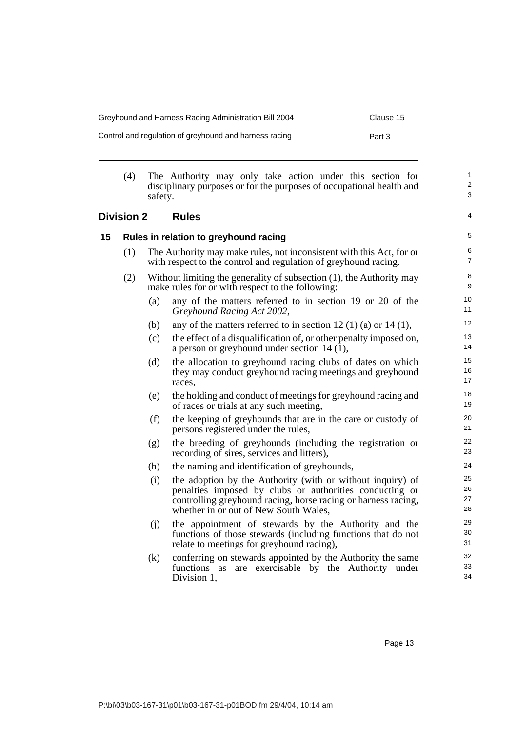| Greyhound and Harness Racing Administration Bill 2004  | Clause 15 |
|--------------------------------------------------------|-----------|
| Control and regulation of greyhound and harness racing | Part 3    |

<span id="page-24-1"></span><span id="page-24-0"></span>

|                                        | (4) | safety. | The Authority may only take action under this section for<br>disciplinary purposes or for the purposes of occupational health and                                                                                               | $\mathbf{1}$<br>2<br>3 |  |  |
|----------------------------------------|-----|---------|---------------------------------------------------------------------------------------------------------------------------------------------------------------------------------------------------------------------------------|------------------------|--|--|
| <b>Division 2</b><br><b>Rules</b><br>4 |     |         |                                                                                                                                                                                                                                 |                        |  |  |
| 15                                     |     |         | Rules in relation to greyhound racing                                                                                                                                                                                           | 5                      |  |  |
|                                        | (1) |         | The Authority may make rules, not inconsistent with this Act, for or<br>with respect to the control and regulation of greyhound racing.                                                                                         | 6<br>$\overline{7}$    |  |  |
|                                        | (2) |         | Without limiting the generality of subsection (1), the Authority may<br>make rules for or with respect to the following:                                                                                                        | 8<br>9                 |  |  |
|                                        |     | (a)     | any of the matters referred to in section 19 or 20 of the<br>Greyhound Racing Act 2002,                                                                                                                                         | 10<br>11               |  |  |
|                                        |     | (b)     | any of the matters referred to in section 12 (1) (a) or 14 (1),                                                                                                                                                                 | 12                     |  |  |
|                                        |     | (c)     | the effect of a disqualification of, or other penalty imposed on,<br>a person or greyhound under section $14(1)$ ,                                                                                                              | 13<br>14               |  |  |
|                                        |     | (d)     | the allocation to greyhound racing clubs of dates on which<br>they may conduct greyhound racing meetings and greyhound<br>races,                                                                                                | 15<br>16<br>17         |  |  |
|                                        |     | (e)     | the holding and conduct of meetings for greyhound racing and<br>of races or trials at any such meeting,                                                                                                                         | 18<br>19               |  |  |
|                                        |     | (f)     | the keeping of greyhounds that are in the care or custody of<br>persons registered under the rules,                                                                                                                             | 20<br>21               |  |  |
|                                        |     | (g)     | the breeding of greyhounds (including the registration or<br>recording of sires, services and litters),                                                                                                                         | 22<br>23               |  |  |
|                                        |     | (h)     | the naming and identification of greyhounds,                                                                                                                                                                                    | 24                     |  |  |
|                                        |     | (i)     | the adoption by the Authority (with or without inquiry) of<br>penalties imposed by clubs or authorities conducting or<br>controlling greyhound racing, horse racing or harness racing,<br>whether in or out of New South Wales, | 25<br>26<br>27<br>28   |  |  |
|                                        |     | (i)     | the appointment of stewards by the Authority and the<br>functions of those stewards (including functions that do not<br>relate to meetings for greyhound racing),                                                               | 29<br>30<br>31         |  |  |
|                                        |     | (k)     | conferring on stewards appointed by the Authority the same<br>functions as are exercisable by the Authority under<br>Division 1,                                                                                                | 32<br>33<br>34         |  |  |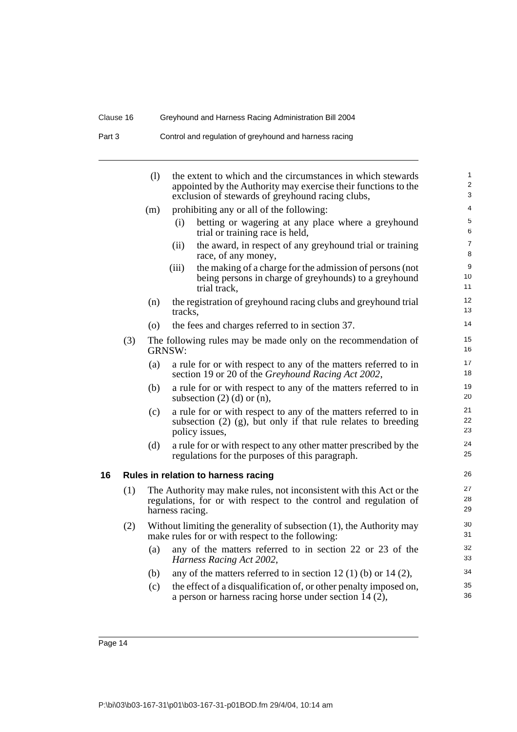<span id="page-25-0"></span>

|    |     | (1) | the extent to which and the circumstances in which stewards<br>appointed by the Authority may exercise their functions to the<br>exclusion of stewards of greyhound racing clubs, | $\mathbf{1}$<br>2<br>3 |
|----|-----|-----|-----------------------------------------------------------------------------------------------------------------------------------------------------------------------------------|------------------------|
|    |     | (m) | prohibiting any or all of the following:                                                                                                                                          | 4                      |
|    |     |     | (i)<br>betting or wagering at any place where a greyhound<br>trial or training race is held,                                                                                      | 5<br>6                 |
|    |     |     | the award, in respect of any greyhound trial or training<br>(ii)<br>race, of any money,                                                                                           | $\overline{7}$<br>8    |
|    |     |     | the making of a charge for the admission of persons (not<br>(iii)<br>being persons in charge of greyhounds) to a greyhound<br>trial track,                                        | 9<br>10<br>11          |
|    |     | (n) | the registration of greyhound racing clubs and greyhound trial<br>tracks,                                                                                                         | 12<br>13               |
|    |     | (0) | the fees and charges referred to in section 37.                                                                                                                                   | 14                     |
|    | (3) |     | The following rules may be made only on the recommendation of<br><b>GRNSW:</b>                                                                                                    | 15<br>16               |
|    |     | (a) | a rule for or with respect to any of the matters referred to in<br>section 19 or 20 of the <i>Greyhound Racing Act 2002</i> ,                                                     | 17<br>18               |
|    |     | (b) | a rule for or with respect to any of the matters referred to in<br>subsection $(2)$ (d) or $(n)$ ,                                                                                | 19<br>20               |
|    |     | (c) | a rule for or with respect to any of the matters referred to in<br>subsection $(2)$ $(g)$ , but only if that rule relates to breeding<br>policy issues,                           | 21<br>22<br>23         |
|    |     | (d) | a rule for or with respect to any other matter prescribed by the<br>regulations for the purposes of this paragraph.                                                               | 24<br>25               |
| 16 |     |     | Rules in relation to harness racing                                                                                                                                               | 26                     |
|    | (1) |     | The Authority may make rules, not inconsistent with this Act or the<br>regulations, for or with respect to the control and regulation of<br>harness racing.                       | 27<br>28<br>29         |
|    | (2) |     | Without limiting the generality of subsection (1), the Authority may<br>make rules for or with respect to the following:                                                          | 30<br>31               |
|    |     | (a) | any of the matters referred to in section 22 or 23 of the<br>Harness Racing Act 2002,                                                                                             | 32<br>33               |
|    |     | (b) | any of the matters referred to in section 12 (1) (b) or 14 (2),                                                                                                                   | 34                     |
|    |     | (c) | the effect of a disqualification of, or other penalty imposed on,<br>a person or harness racing horse under section $14(2)$ ,                                                     | 35<br>36               |
|    |     |     |                                                                                                                                                                                   |                        |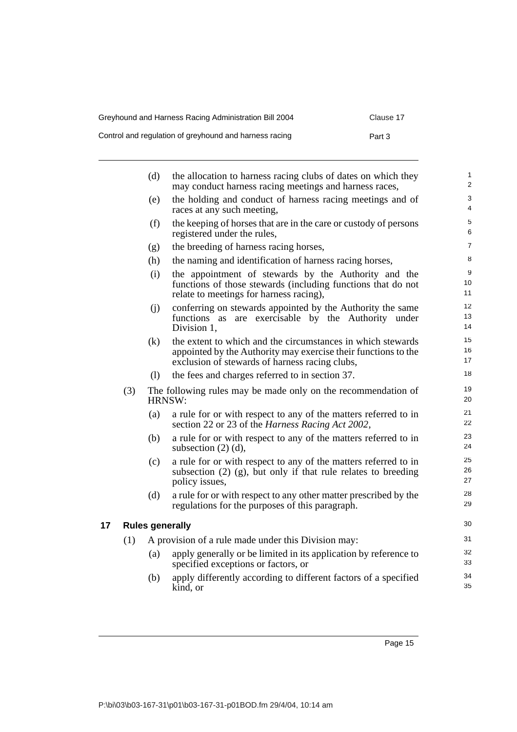| Greyhound and Harness Racing Administration Bill 2004  | Clause 17 |
|--------------------------------------------------------|-----------|
| Control and regulation of greyhound and harness racing | Part 3    |

|     | (d) | the allocation to harness racing clubs of dates on which they<br>may conduct harness racing meetings and harness races,                                                         | $\mathbf{1}$<br>$\overline{2}$ |
|-----|-----|---------------------------------------------------------------------------------------------------------------------------------------------------------------------------------|--------------------------------|
|     | (e) | the holding and conduct of harness racing meetings and of<br>races at any such meeting,                                                                                         | 3<br>4                         |
|     | (f) | the keeping of horses that are in the care or custody of persons<br>registered under the rules,                                                                                 | 5<br>6                         |
|     | (g) | the breeding of harness racing horses,                                                                                                                                          | 7                              |
|     | (h) | the naming and identification of harness racing horses,                                                                                                                         | 8                              |
|     | (i) | the appointment of stewards by the Authority and the<br>functions of those stewards (including functions that do not<br>relate to meetings for harness racing),                 | 9<br>10<br>11                  |
|     | (j) | conferring on stewards appointed by the Authority the same<br>functions as are exercisable by the Authority under<br>Division 1,                                                | 12<br>13<br>14                 |
|     | (k) | the extent to which and the circumstances in which stewards<br>appointed by the Authority may exercise their functions to the<br>exclusion of stewards of harness racing clubs, | 15<br>16<br>17                 |
|     | (1) | the fees and charges referred to in section 37.                                                                                                                                 | 18                             |
| (3) |     | The following rules may be made only on the recommendation of<br>HRNSW:                                                                                                         | 19<br>20                       |
|     | (a) | a rule for or with respect to any of the matters referred to in<br>section 22 or 23 of the Harness Racing Act 2002,                                                             | 21<br>22                       |
|     | (b) | a rule for or with respect to any of the matters referred to in<br>subsection $(2)$ $(d)$ ,                                                                                     | 23<br>24                       |
|     | (c) | a rule for or with respect to any of the matters referred to in<br>subsection $(2)$ $(g)$ , but only if that rule relates to breeding<br>policy issues,                         | 25<br>26<br>27                 |
|     | (d) | a rule for or with respect to any other matter prescribed by the<br>regulations for the purposes of this paragraph.                                                             | 28<br>29                       |
|     |     | <b>Rules generally</b>                                                                                                                                                          | 30                             |
| (1) |     | A provision of a rule made under this Division may:                                                                                                                             | 31                             |
|     | (a) | apply generally or be limited in its application by reference to<br>specified exceptions or factors, or                                                                         | 32<br>33                       |
|     | (b) | apply differently according to different factors of a specified<br>kind, or                                                                                                     | 34<br>35                       |

Page 15

<span id="page-26-0"></span>**17 Rules generally**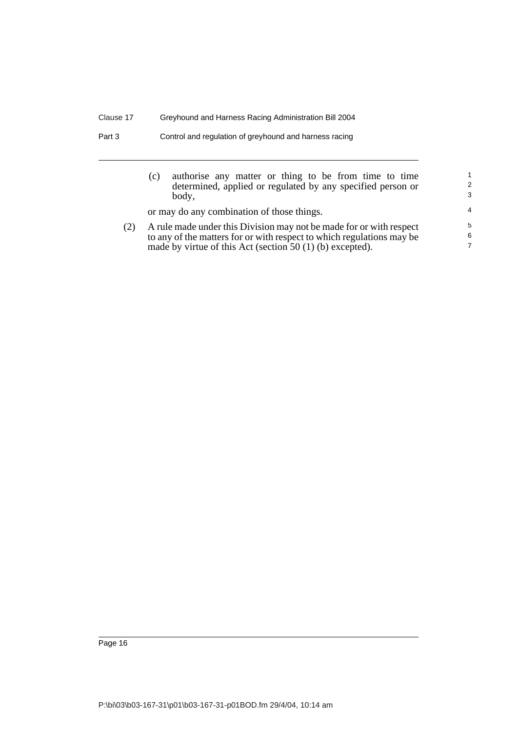Part 3 Control and regulation of greyhound and harness racing

|     | authorise any matter or thing to be from time to time<br>(C)<br>determined, applied or regulated by any specified person or<br>body,                                                                        | 1<br>2<br>3              |
|-----|-------------------------------------------------------------------------------------------------------------------------------------------------------------------------------------------------------------|--------------------------|
|     | or may do any combination of those things.                                                                                                                                                                  | 4                        |
| (2) | A rule made under this Division may not be made for or with respect<br>to any of the matters for or with respect to which regulations may be<br>made by virtue of this Act (section 50 $(1)$ (b) excepted). | 5<br>6<br>$\overline{7}$ |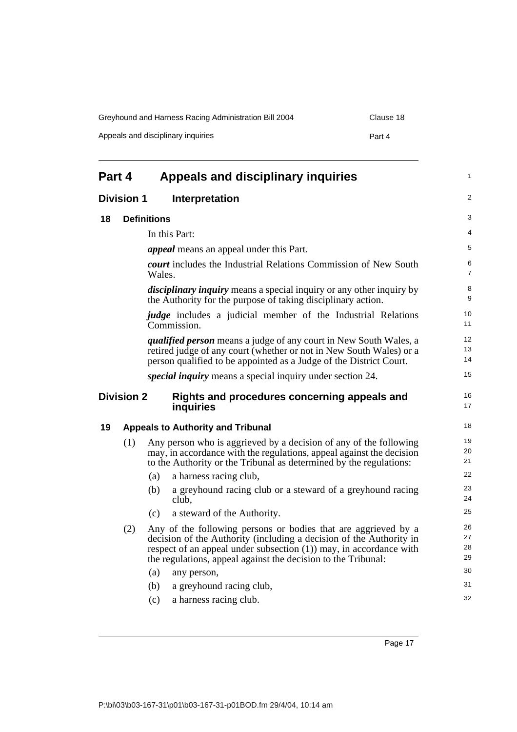Greyhound and Harness Racing Administration Bill 2004 Clause 18

Appeals and disciplinary inquiries example to the Part 4

<span id="page-28-4"></span><span id="page-28-3"></span><span id="page-28-2"></span><span id="page-28-1"></span><span id="page-28-0"></span>

| Part 4            |                                                                                | <b>Appeals and disciplinary inquiries</b> |                                                                                                                                                                                                                                                                               |                      |  |
|-------------------|--------------------------------------------------------------------------------|-------------------------------------------|-------------------------------------------------------------------------------------------------------------------------------------------------------------------------------------------------------------------------------------------------------------------------------|----------------------|--|
| <b>Division 1</b> |                                                                                |                                           | Interpretation                                                                                                                                                                                                                                                                | 2                    |  |
| 18                |                                                                                | <b>Definitions</b>                        |                                                                                                                                                                                                                                                                               |                      |  |
|                   |                                                                                |                                           | In this Part:                                                                                                                                                                                                                                                                 | $\overline{4}$       |  |
|                   |                                                                                |                                           | <i>appeal</i> means an appeal under this Part.                                                                                                                                                                                                                                | 5                    |  |
|                   |                                                                                | Wales.                                    | <b><i>court</i></b> includes the Industrial Relations Commission of New South                                                                                                                                                                                                 | 6<br>$\overline{7}$  |  |
|                   |                                                                                |                                           | <i>disciplinary inquiry</i> means a special inquiry or any other inquiry by<br>the Authority for the purpose of taking disciplinary action.                                                                                                                                   | 8<br>9               |  |
|                   |                                                                                |                                           | <i>judge</i> includes a judicial member of the Industrial Relations<br>Commission.                                                                                                                                                                                            | 10<br>11             |  |
|                   |                                                                                |                                           | qualified person means a judge of any court in New South Wales, a                                                                                                                                                                                                             | 12<br>13             |  |
|                   |                                                                                |                                           | retired judge of any court (whether or not in New South Wales) or a<br>person qualified to be appointed as a Judge of the District Court.                                                                                                                                     | 14                   |  |
|                   | <i>special inquiry</i> means a special inquiry under section 24.               |                                           |                                                                                                                                                                                                                                                                               |                      |  |
|                   | <b>Division 2</b><br>Rights and procedures concerning appeals and<br>inquiries |                                           |                                                                                                                                                                                                                                                                               | 16<br>17             |  |
| 19                |                                                                                |                                           | <b>Appeals to Authority and Tribunal</b>                                                                                                                                                                                                                                      | 18                   |  |
|                   | (1)                                                                            |                                           | Any person who is aggrieved by a decision of any of the following<br>may, in accordance with the regulations, appeal against the decision<br>to the Authority or the Tribunal as determined by the regulations:                                                               | 19<br>20<br>21       |  |
|                   |                                                                                | (a)                                       | a harness racing club,                                                                                                                                                                                                                                                        | 22                   |  |
|                   |                                                                                | (b)                                       | a greyhound racing club or a steward of a greyhound racing<br>club,                                                                                                                                                                                                           | 23<br>24             |  |
|                   |                                                                                | (c)                                       | a steward of the Authority.                                                                                                                                                                                                                                                   | 25                   |  |
|                   | (2)                                                                            |                                           | Any of the following persons or bodies that are aggrieved by a<br>decision of the Authority (including a decision of the Authority in<br>respect of an appeal under subsection $(1)$ may, in accordance with<br>the regulations, appeal against the decision to the Tribunal: | 26<br>27<br>28<br>29 |  |
|                   |                                                                                | (a)                                       | any person,                                                                                                                                                                                                                                                                   | 30                   |  |
|                   |                                                                                | (b)                                       | a greyhound racing club,                                                                                                                                                                                                                                                      | 31                   |  |
|                   |                                                                                | (c)                                       | a harness racing club.                                                                                                                                                                                                                                                        | 32                   |  |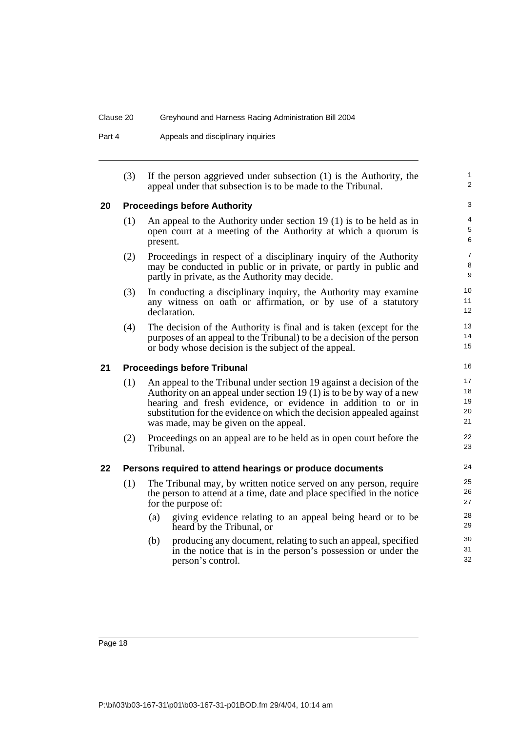Part 4 **Appeals and disciplinary inquiries** 

(3) If the person aggrieved under subsection (1) is the Authority, the appeal under that subsection is to be made to the Tribunal.

1  $\overline{2}$ 

#### <span id="page-29-0"></span>**20 Proceedings before Authority**

- (1) An appeal to the Authority under section 19 (1) is to be held as in open court at a meeting of the Authority at which a quorum is present.
- (2) Proceedings in respect of a disciplinary inquiry of the Authority may be conducted in public or in private, or partly in public and partly in private, as the Authority may decide.
- (3) In conducting a disciplinary inquiry, the Authority may examine any witness on oath or affirmation, or by use of a statutory declaration.
- (4) The decision of the Authority is final and is taken (except for the purposes of an appeal to the Tribunal) to be a decision of the person or body whose decision is the subject of the appeal.

#### <span id="page-29-1"></span>**21 Proceedings before Tribunal**

- (1) An appeal to the Tribunal under section 19 against a decision of the Authority on an appeal under section 19 (1) is to be by way of a new hearing and fresh evidence, or evidence in addition to or in substitution for the evidence on which the decision appealed against was made, may be given on the appeal.
- (2) Proceedings on an appeal are to be held as in open court before the Tribunal.

#### <span id="page-29-2"></span>**22 Persons required to attend hearings or produce documents**

- (1) The Tribunal may, by written notice served on any person, require the person to attend at a time, date and place specified in the notice for the purpose of:
	- (a) giving evidence relating to an appeal being heard or to be heard by the Tribunal, or
	- (b) producing any document, relating to such an appeal, specified in the notice that is in the person's possession or under the person's control.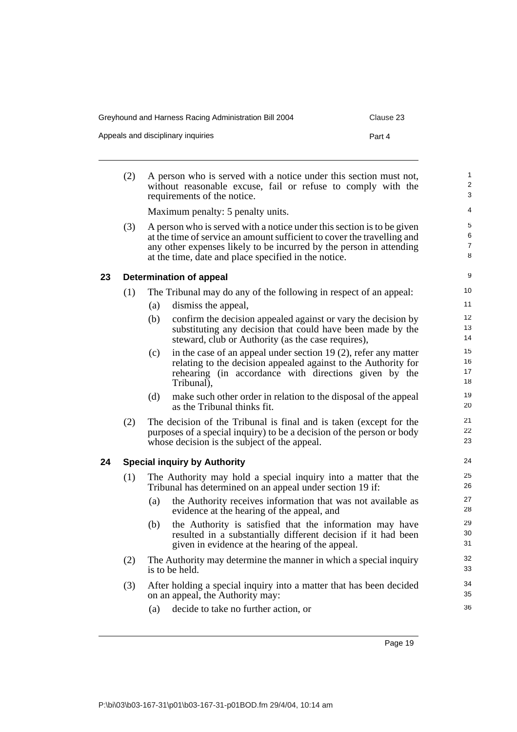Appeals and disciplinary inquiries example 2 and  $P$ art 4

Clause 23

<span id="page-30-1"></span><span id="page-30-0"></span>

|    | (2) | A person who is served with a notice under this section must not,<br>without reasonable excuse, fail or refuse to comply with the<br>requirements of the notice.                                                                                                                 |  |
|----|-----|----------------------------------------------------------------------------------------------------------------------------------------------------------------------------------------------------------------------------------------------------------------------------------|--|
|    |     | Maximum penalty: 5 penalty units.                                                                                                                                                                                                                                                |  |
|    | (3) | A person who is served with a notice under this section is to be given<br>at the time of service an amount sufficient to cover the travelling and<br>any other expenses likely to be incurred by the person in attending<br>at the time, date and place specified in the notice. |  |
| 23 |     | <b>Determination of appeal</b>                                                                                                                                                                                                                                                   |  |
|    | (1) | The Tribunal may do any of the following in respect of an appeal:                                                                                                                                                                                                                |  |
|    |     | dismiss the appeal,<br>(a)                                                                                                                                                                                                                                                       |  |
|    |     | confirm the decision appealed against or vary the decision by<br>(b)<br>substituting any decision that could have been made by the<br>steward, club or Authority (as the case requires),                                                                                         |  |
|    |     | in the case of an appeal under section $19(2)$ , refer any matter<br>(c)<br>relating to the decision appealed against to the Authority for<br>rehearing (in accordance with directions given by the<br>Tribunal),                                                                |  |
|    |     | (d)<br>make such other order in relation to the disposal of the appeal<br>as the Tribunal thinks fit.                                                                                                                                                                            |  |
|    | (2) | The decision of the Tribunal is final and is taken (except for the<br>purposes of a special inquiry) to be a decision of the person or body<br>whose decision is the subject of the appeal.                                                                                      |  |
| 24 |     | <b>Special inquiry by Authority</b>                                                                                                                                                                                                                                              |  |
|    | (1) | The Authority may hold a special inquiry into a matter that the<br>Tribunal has determined on an appeal under section 19 if:                                                                                                                                                     |  |
|    |     | the Authority receives information that was not available as<br>(a)<br>evidence at the hearing of the appeal, and                                                                                                                                                                |  |
|    |     | the Authority is satisfied that the information may have<br>(b)<br>resulted in a substantially different decision if it had been<br>given in evidence at the hearing of the appeal.                                                                                              |  |
|    | (2) | The Authority may determine the manner in which a special inquiry<br>is to be held.                                                                                                                                                                                              |  |
|    | (3) | After holding a special inquiry into a matter that has been decided<br>on an appeal, the Authority may:                                                                                                                                                                          |  |
|    |     | decide to take no further action, or<br>(a)                                                                                                                                                                                                                                      |  |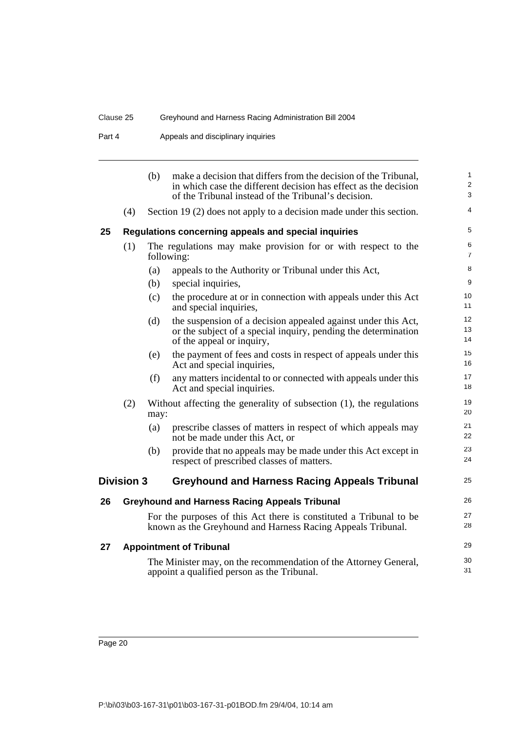Part 4 Appeals and disciplinary inquiries

<span id="page-31-3"></span><span id="page-31-2"></span><span id="page-31-1"></span><span id="page-31-0"></span>

|    |                   | (b)  | make a decision that differs from the decision of the Tribunal,<br>in which case the different decision has effect as the decision<br>of the Tribunal instead of the Tribunal's decision. | $\mathbf{1}$<br>2<br>3 |
|----|-------------------|------|-------------------------------------------------------------------------------------------------------------------------------------------------------------------------------------------|------------------------|
|    | (4)               |      | Section 19 (2) does not apply to a decision made under this section.                                                                                                                      | $\overline{4}$         |
| 25 |                   |      | Regulations concerning appeals and special inquiries                                                                                                                                      | 5                      |
|    | (1)               |      | The regulations may make provision for or with respect to the<br>following:                                                                                                               | 6<br>$\overline{7}$    |
|    |                   | (a)  | appeals to the Authority or Tribunal under this Act,                                                                                                                                      | 8                      |
|    |                   | (b)  | special inquiries,                                                                                                                                                                        | 9                      |
|    |                   | (c)  | the procedure at or in connection with appeals under this Act<br>and special inquiries,                                                                                                   | 10<br>11               |
|    |                   | (d)  | the suspension of a decision appealed against under this Act,<br>or the subject of a special inquiry, pending the determination<br>of the appeal or inquiry,                              | 12<br>13<br>14         |
|    |                   | (e)  | the payment of fees and costs in respect of appeals under this<br>Act and special inquiries,                                                                                              | 15<br>16               |
|    |                   | (f)  | any matters incidental to or connected with appeals under this<br>Act and special inquiries.                                                                                              | 17<br>18               |
|    | (2)               | may: | Without affecting the generality of subsection $(1)$ , the regulations                                                                                                                    | 19<br>20               |
|    |                   | (a)  | prescribe classes of matters in respect of which appeals may<br>not be made under this Act, or                                                                                            | 21<br>22               |
|    |                   | (b)  | provide that no appeals may be made under this Act except in<br>respect of prescribed classes of matters.                                                                                 | 23<br>24               |
|    | <b>Division 3</b> |      | <b>Greyhound and Harness Racing Appeals Tribunal</b>                                                                                                                                      | 25                     |
| 26 |                   |      | <b>Greyhound and Harness Racing Appeals Tribunal</b>                                                                                                                                      | 26                     |
|    |                   |      | For the purposes of this Act there is constituted a Tribunal to be<br>known as the Greyhound and Harness Racing Appeals Tribunal.                                                         | 27<br>28               |
| 27 |                   |      | <b>Appointment of Tribunal</b>                                                                                                                                                            | 29                     |
|    |                   |      | The Minister may, on the recommendation of the Attorney General,<br>appoint a qualified person as the Tribunal.                                                                           | 30<br>31               |
|    |                   |      |                                                                                                                                                                                           |                        |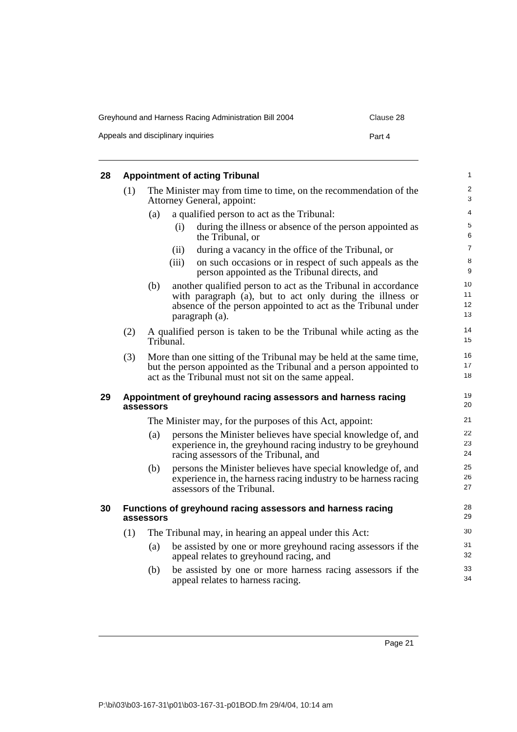<span id="page-32-2"></span><span id="page-32-1"></span><span id="page-32-0"></span>

| 28 |     |           | <b>Appointment of acting Tribunal</b>                                                                                                                                                                        | 1                    |
|----|-----|-----------|--------------------------------------------------------------------------------------------------------------------------------------------------------------------------------------------------------------|----------------------|
|    | (1) |           | The Minister may from time to time, on the recommendation of the<br>Attorney General, appoint:                                                                                                               | $\overline{c}$<br>3  |
|    |     | (a)       | a qualified person to act as the Tribunal:                                                                                                                                                                   | 4                    |
|    |     |           | (i)<br>during the illness or absence of the person appointed as<br>the Tribunal, or                                                                                                                          | 5<br>6               |
|    |     |           | during a vacancy in the office of the Tribunal, or<br>(ii)                                                                                                                                                   | 7                    |
|    |     |           | on such occasions or in respect of such appeals as the<br>(iii)<br>person appointed as the Tribunal directs, and                                                                                             | 8<br>9               |
|    |     | (b)       | another qualified person to act as the Tribunal in accordance<br>with paragraph (a), but to act only during the illness or<br>absence of the person appointed to act as the Tribunal under<br>paragraph (a). | 10<br>11<br>12<br>13 |
|    | (2) | Tribunal. | A qualified person is taken to be the Tribunal while acting as the                                                                                                                                           | 14<br>15             |
|    | (3) |           | More than one sitting of the Tribunal may be held at the same time,<br>but the person appointed as the Tribunal and a person appointed to<br>act as the Tribunal must not sit on the same appeal.            | 16<br>17<br>18       |
| 29 |     | assessors | Appointment of greyhound racing assessors and harness racing                                                                                                                                                 | 19<br>20             |
|    |     |           | The Minister may, for the purposes of this Act, appoint:                                                                                                                                                     | 21                   |
|    |     | (a)       | persons the Minister believes have special knowledge of, and<br>experience in, the greyhound racing industry to be greyhound<br>racing assessors of the Tribunal, and                                        | 22<br>23<br>24       |
|    |     | (b)       | persons the Minister believes have special knowledge of, and<br>experience in, the harness racing industry to be harness racing<br>assessors of the Tribunal.                                                | 25<br>26<br>27       |
| 30 |     | assessors | Functions of greyhound racing assessors and harness racing                                                                                                                                                   | 28<br>29             |
|    | (1) |           | The Tribunal may, in hearing an appeal under this Act:                                                                                                                                                       | 30                   |
|    |     | (a)       | be assisted by one or more greyhound racing assessors if the<br>appeal relates to greyhound racing, and                                                                                                      | 31<br>32             |
|    |     | (b)       | be assisted by one or more harness racing assessors if the<br>appeal relates to harness racing.                                                                                                              | 33<br>34             |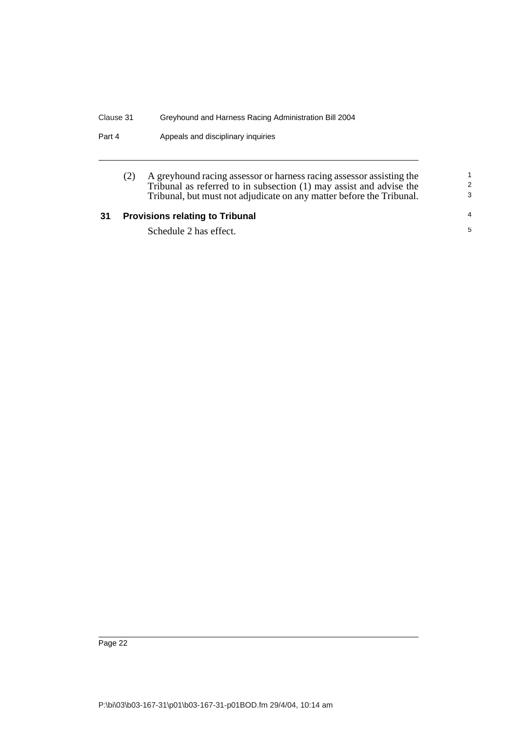Part 4 Appeals and disciplinary inquiries

| (2) | A greyhound racing assessor or harness racing assessor assisting the |
|-----|----------------------------------------------------------------------|
|     | Tribunal as referred to in subsection (1) may assist and advise the  |
|     | Tribunal, but must not adjudicate on any matter before the Tribunal. |
|     |                                                                      |

1 2 3

4 5

## <span id="page-33-0"></span>**31 Provisions relating to Tribunal**

Schedule 2 has effect.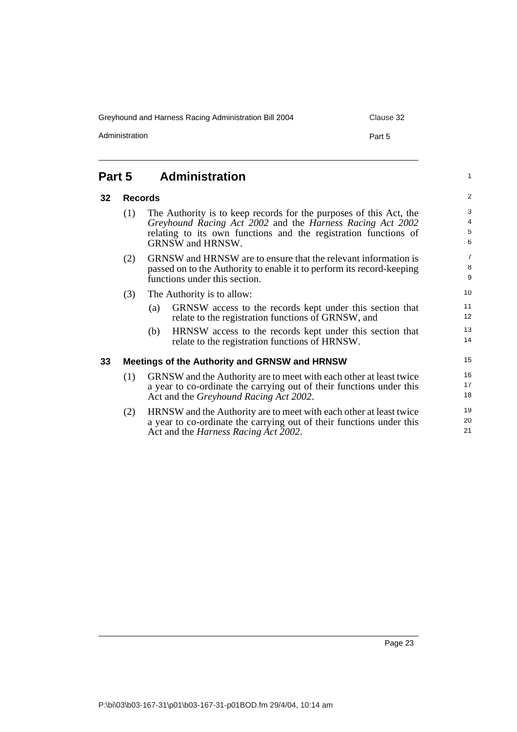Greyhound and Harness Racing Administration Bill 2004 Clause 32

Administration **Part 5** 

1

#### <span id="page-34-0"></span>**Part 5 Administration**

#### <span id="page-34-1"></span>**32 Records**

- (1) The Authority is to keep records for the purposes of this Act, the *Greyhound Racing Act 2002* and the *Harness Racing Act 2002* relating to its own functions and the registration functions of GRNSW and HRNSW. (2) GRNSW and HRNSW are to ensure that the relevant information is
- passed on to the Authority to enable it to perform its record-keeping functions under this section.
- (3) The Authority is to allow:
	- (a) GRNSW access to the records kept under this section that relate to the registration functions of GRNSW, and
	- (b) HRNSW access to the records kept under this section that relate to the registration functions of HRNSW.

#### <span id="page-34-2"></span>**33 Meetings of the Authority and GRNSW and HRNSW**

- (1) GRNSW and the Authority are to meet with each other at least twice a year to co-ordinate the carrying out of their functions under this Act and the *Greyhound Racing Act 2002*.
- (2) HRNSW and the Authority are to meet with each other at least twice a year to co-ordinate the carrying out of their functions under this Act and the *Harness Racing Act 2002*.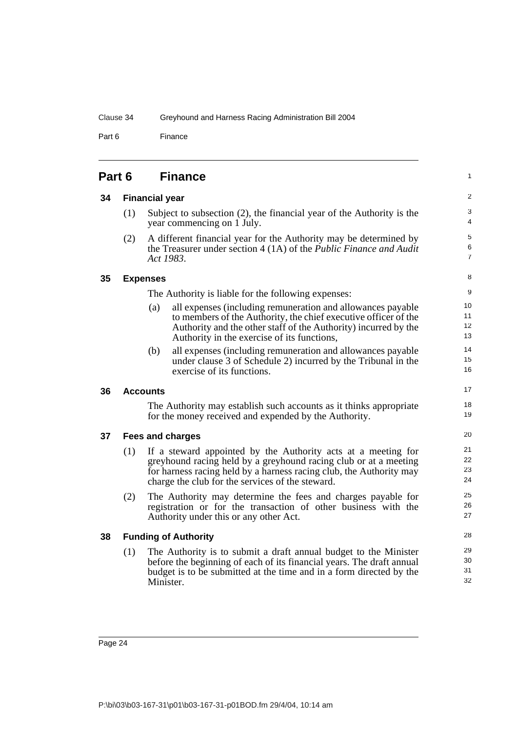Part 6 Finance

# <span id="page-35-0"></span>**Part 6 Finance**

<span id="page-35-5"></span><span id="page-35-4"></span><span id="page-35-3"></span><span id="page-35-2"></span><span id="page-35-1"></span>

| 34 | <b>Financial year</b> |                                                                                                                                                                                                                                                              |                      |
|----|-----------------------|--------------------------------------------------------------------------------------------------------------------------------------------------------------------------------------------------------------------------------------------------------------|----------------------|
|    | (1)                   | Subject to subsection (2), the financial year of the Authority is the<br>year commencing on 1 July.                                                                                                                                                          | 3<br>4               |
|    | (2)                   | A different financial year for the Authority may be determined by<br>the Treasurer under section $4(1A)$ of the <i>Public Finance and Audit</i><br>Act 1983.                                                                                                 | 5<br>6<br>7          |
| 35 |                       | <b>Expenses</b>                                                                                                                                                                                                                                              | 8                    |
|    |                       | The Authority is liable for the following expenses:                                                                                                                                                                                                          | 9                    |
|    |                       | all expenses (including remuneration and allowances payable<br>(a)<br>to members of the Authority, the chief executive officer of the<br>Authority and the other staff of the Authority) incurred by the<br>Authority in the exercise of its functions,      | 10<br>11<br>12<br>13 |
|    |                       | all expenses (including remuneration and allowances payable<br>(b)<br>under clause 3 of Schedule 2) incurred by the Tribunal in the<br>exercise of its functions.                                                                                            | 14<br>15<br>16       |
| 36 |                       | <b>Accounts</b>                                                                                                                                                                                                                                              | 17                   |
|    |                       | The Authority may establish such accounts as it thinks appropriate<br>for the money received and expended by the Authority.                                                                                                                                  | 18<br>19             |
| 37 |                       | <b>Fees and charges</b>                                                                                                                                                                                                                                      | 20                   |
|    | (1)                   | If a steward appointed by the Authority acts at a meeting for<br>greyhound racing held by a greyhound racing club or at a meeting<br>for harness racing held by a harness racing club, the Authority may<br>charge the club for the services of the steward. | 21<br>22<br>23<br>24 |
|    | (2)                   | The Authority may determine the fees and charges payable for<br>registration or for the transaction of other business with the<br>Authority under this or any other Act.                                                                                     | 25<br>26<br>27       |
| 38 |                       | <b>Funding of Authority</b>                                                                                                                                                                                                                                  | 28                   |
|    | (1)                   | The Authority is to submit a draft annual budget to the Minister<br>before the beginning of each of its financial years. The draft annual<br>budget is to be submitted at the time and in a form directed by the<br>Minister.                                | 29<br>30<br>31<br>32 |

1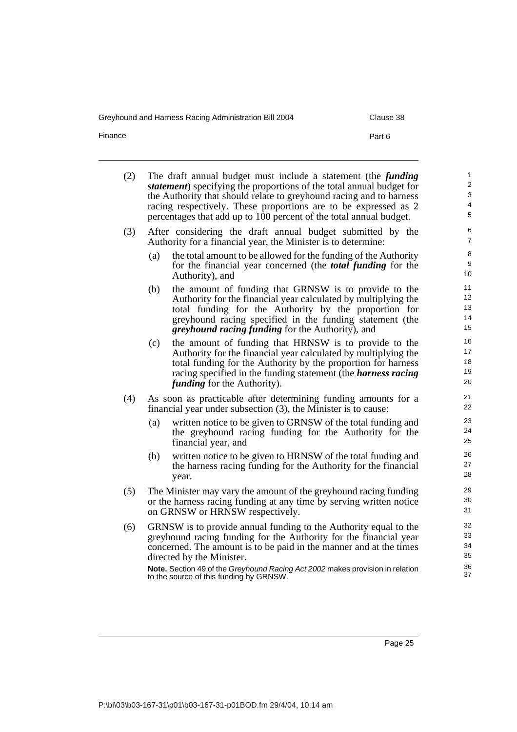Greyhound and Harness Racing Administration Bill 2004 Clause 38

Finance **Part 6** 

| (2) |     | The draft annual budget must include a statement (the <i>funding</i><br>statement) specifying the proportions of the total annual budget for<br>the Authority that should relate to greyhound racing and to harness<br>racing respectively. These proportions are to be expressed as 2<br>percentages that add up to 100 percent of the total annual budget.         | $\mathbf{1}$<br>$\overline{2}$<br>3<br>$\overline{4}$<br>$5\phantom{.0}$ |
|-----|-----|----------------------------------------------------------------------------------------------------------------------------------------------------------------------------------------------------------------------------------------------------------------------------------------------------------------------------------------------------------------------|--------------------------------------------------------------------------|
| (3) |     | After considering the draft annual budget submitted by the<br>Authority for a financial year, the Minister is to determine:                                                                                                                                                                                                                                          | 6<br>$\overline{7}$                                                      |
|     | (a) | the total amount to be allowed for the funding of the Authority<br>for the financial year concerned (the <i>total funding</i> for the<br>Authority), and                                                                                                                                                                                                             | 8<br>9<br>10 <sup>°</sup>                                                |
|     | (b) | the amount of funding that GRNSW is to provide to the<br>Authority for the financial year calculated by multiplying the<br>total funding for the Authority by the proportion for<br>greyhound racing specified in the funding statement (the<br>greyhound racing funding for the Authority), and                                                                     | 11<br>12 <sup>2</sup><br>13<br>14<br>15                                  |
|     | (c) | the amount of funding that HRNSW is to provide to the<br>Authority for the financial year calculated by multiplying the<br>total funding for the Authority by the proportion for harness<br>racing specified in the funding statement (the <i>harness racing</i><br><i>funding</i> for the Authority).                                                               | 16<br>17<br>18<br>19<br>20                                               |
| (4) |     | As soon as practicable after determining funding amounts for a<br>financial year under subsection (3), the Minister is to cause:                                                                                                                                                                                                                                     | 21<br>22                                                                 |
|     | (a) | written notice to be given to GRNSW of the total funding and<br>the greyhound racing funding for the Authority for the<br>financial year, and                                                                                                                                                                                                                        | 23<br>24<br>25                                                           |
|     | (b) | written notice to be given to HRNSW of the total funding and<br>the harness racing funding for the Authority for the financial<br>year.                                                                                                                                                                                                                              | 26<br>27<br>28                                                           |
| (5) |     | The Minister may vary the amount of the greyhound racing funding<br>or the harness racing funding at any time by serving written notice<br>on GRNSW or HRNSW respectively.                                                                                                                                                                                           | 29<br>30<br>31                                                           |
| (6) |     | GRNSW is to provide annual funding to the Authority equal to the<br>greyhound racing funding for the Authority for the financial year<br>concerned. The amount is to be paid in the manner and at the times<br>directed by the Minister.<br>Note. Section 49 of the Greyhound Racing Act 2002 makes provision in relation<br>to the source of this funding by GRNSW. | 32<br>33<br>34<br>35<br>36<br>37                                         |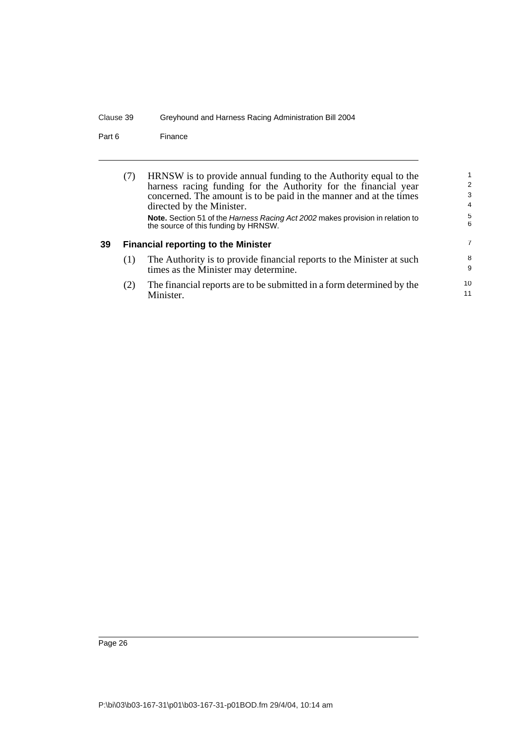Part 6 Finance

|    | (7) | HRNSW is to provide annual funding to the Authority equal to the<br>harness racing funding for the Authority for the financial year<br>concerned. The amount is to be paid in the manner and at the times<br>directed by the Minister.<br>Note. Section 51 of the Harness Racing Act 2002 makes provision in relation to<br>the source of this funding by HRNSW. | 2<br>3<br>$\overline{4}$<br>5<br>6 |
|----|-----|------------------------------------------------------------------------------------------------------------------------------------------------------------------------------------------------------------------------------------------------------------------------------------------------------------------------------------------------------------------|------------------------------------|
| 39 |     | <b>Financial reporting to the Minister</b>                                                                                                                                                                                                                                                                                                                       | 7                                  |
|    | (1) | The Authority is to provide financial reports to the Minister at such<br>times as the Minister may determine.                                                                                                                                                                                                                                                    | 8<br>9                             |
|    | (2) | The financial reports are to be submitted in a form determined by the<br>Minister.                                                                                                                                                                                                                                                                               | 10<br>11                           |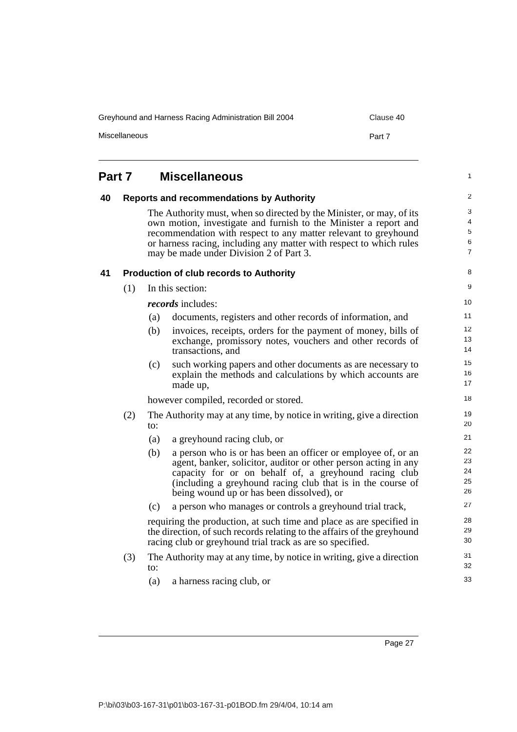Greyhound and Harness Racing Administration Bill 2004 Clause 40

Miscellaneous Part 7

### **Part 7 Miscellaneous 40 Reports and recommendations by Authority** The Authority must, when so directed by the Minister, or may, of its own motion, investigate and furnish to the Minister a report and recommendation with respect to any matter relevant to greyhound or harness racing, including any matter with respect to which rules may be made under Division 2 of Part 3. **41 Production of club records to Authority** (1) In this section: *records* includes: (a) documents, registers and other records of information, and (b) invoices, receipts, orders for the payment of money, bills of exchange, promissory notes, vouchers and other records of transactions, and (c) such working papers and other documents as are necessary to explain the methods and calculations by which accounts are made up, however compiled, recorded or stored. (2) The Authority may at any time, by notice in writing, give a direction to: (a) a greyhound racing club, or (b) a person who is or has been an officer or employee of, or an agent, banker, solicitor, auditor or other person acting in any capacity for or on behalf of, a greyhound racing club (including a greyhound racing club that is in the course of being wound up or has been dissolved), or (c) a person who manages or controls a greyhound trial track, requiring the production, at such time and place as are specified in the direction, of such records relating to the affairs of the greyhound racing club or greyhound trial track as are so specified. (3) The Authority may at any time, by notice in writing, give a direction to: 1 2 3 4 5 6 7 8 9 10 11 12 13 14 15 16 17 18 19 20 21 22 23 24 25 26 27 28 29 30 31 32 33

(a) a harness racing club, or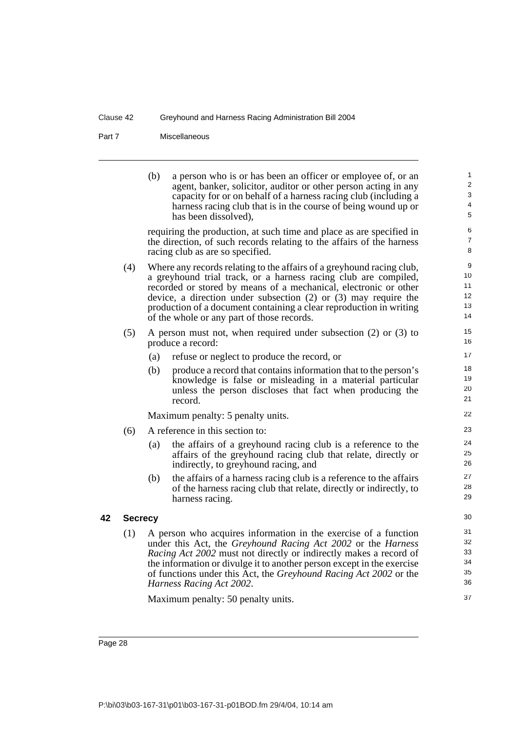### Part 7 Miscellaneous

|                | (b)                                                                                                                                                                                                                                                                                                                                                                                                                                 | a person who is or has been an officer or employee of, or an<br>agent, banker, solicitor, auditor or other person acting in any<br>capacity for or on behalf of a harness racing club (including a<br>harness racing club that is in the course of being wound up or<br>has been dissolved),                                                                                                             | 1<br>2<br>3<br>4<br>5                  |
|----------------|-------------------------------------------------------------------------------------------------------------------------------------------------------------------------------------------------------------------------------------------------------------------------------------------------------------------------------------------------------------------------------------------------------------------------------------|----------------------------------------------------------------------------------------------------------------------------------------------------------------------------------------------------------------------------------------------------------------------------------------------------------------------------------------------------------------------------------------------------------|----------------------------------------|
|                |                                                                                                                                                                                                                                                                                                                                                                                                                                     | requiring the production, at such time and place as are specified in<br>the direction, of such records relating to the affairs of the harness<br>racing club as are so specified.                                                                                                                                                                                                                        | 6<br>$\overline{7}$<br>8               |
| (4)            |                                                                                                                                                                                                                                                                                                                                                                                                                                     | Where any records relating to the affairs of a greyhound racing club,<br>a greyhound trial track, or a harness racing club are compiled,<br>recorded or stored by means of a mechanical, electronic or other<br>device, a direction under subsection $(2)$ or $(3)$ may require the<br>production of a document containing a clear reproduction in writing<br>of the whole or any part of those records. | 9<br>10<br>11<br>12<br>13<br>14        |
| (5)            |                                                                                                                                                                                                                                                                                                                                                                                                                                     | A person must not, when required under subsection $(2)$ or $(3)$ to<br>produce a record:                                                                                                                                                                                                                                                                                                                 | 15<br>16                               |
|                | (a)                                                                                                                                                                                                                                                                                                                                                                                                                                 | refuse or neglect to produce the record, or                                                                                                                                                                                                                                                                                                                                                              | 17                                     |
|                | (b)                                                                                                                                                                                                                                                                                                                                                                                                                                 | produce a record that contains information that to the person's<br>knowledge is false or misleading in a material particular<br>unless the person discloses that fact when producing the<br>record.                                                                                                                                                                                                      | 18<br>19<br>20<br>21                   |
|                |                                                                                                                                                                                                                                                                                                                                                                                                                                     | Maximum penalty: 5 penalty units.                                                                                                                                                                                                                                                                                                                                                                        | 22                                     |
| (6)            |                                                                                                                                                                                                                                                                                                                                                                                                                                     | A reference in this section to:                                                                                                                                                                                                                                                                                                                                                                          | 23                                     |
|                | (a)                                                                                                                                                                                                                                                                                                                                                                                                                                 | the affairs of a greyhound racing club is a reference to the<br>affairs of the greyhound racing club that relate, directly or<br>indirectly, to greyhound racing, and                                                                                                                                                                                                                                    | 24<br>25<br>26                         |
|                | (b)                                                                                                                                                                                                                                                                                                                                                                                                                                 | the affairs of a harness racing club is a reference to the affairs<br>of the harness racing club that relate, directly or indirectly, to<br>harness racing.                                                                                                                                                                                                                                              | 27<br>28<br>29                         |
| <b>Secrecy</b> |                                                                                                                                                                                                                                                                                                                                                                                                                                     |                                                                                                                                                                                                                                                                                                                                                                                                          | 30                                     |
| (1)            | A person who acquires information in the exercise of a function<br>under this Act, the Greyhound Racing Act 2002 or the Harness<br><i>Racing Act 2002</i> must not directly or indirectly makes a record of<br>the information or divulge it to another person except in the exercise<br>of functions under this Act, the <i>Greyhound Racing Act 2002</i> or the<br>Harness Racing Act 2002.<br>Maximum penalty: 50 penalty units. |                                                                                                                                                                                                                                                                                                                                                                                                          | 31<br>32<br>33<br>34<br>35<br>36<br>37 |
|                |                                                                                                                                                                                                                                                                                                                                                                                                                                     |                                                                                                                                                                                                                                                                                                                                                                                                          |                                        |

**42 Secrecy**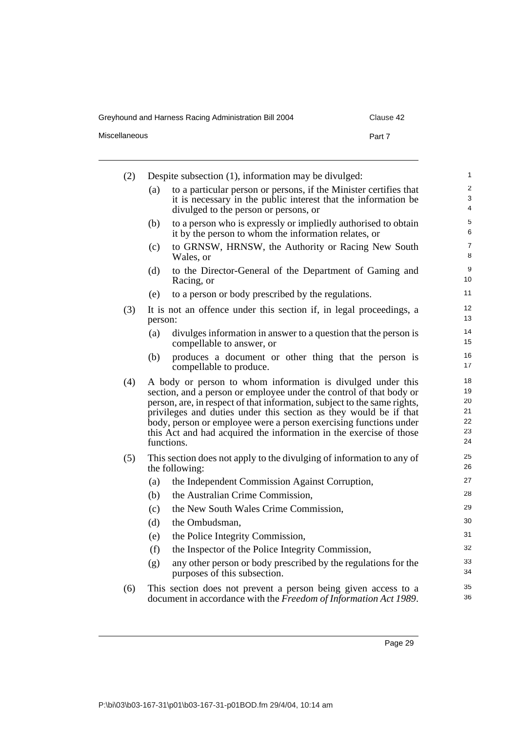| Greyhound and Harness Racing Administration Bill 2004 | Clause 42 |
|-------------------------------------------------------|-----------|
| Miscellaneous                                         | Part 7    |

| (2) | Despite subsection (1), information may be divulged:                                                                                                                                                                                                                                                                                                                                                                                         | 1                                      |
|-----|----------------------------------------------------------------------------------------------------------------------------------------------------------------------------------------------------------------------------------------------------------------------------------------------------------------------------------------------------------------------------------------------------------------------------------------------|----------------------------------------|
|     | to a particular person or persons, if the Minister certifies that<br>(a)<br>it is necessary in the public interest that the information be<br>divulged to the person or persons, or                                                                                                                                                                                                                                                          | $\overline{\mathbf{c}}$<br>3<br>4      |
|     | to a person who is expressly or impliedly authorised to obtain<br>(b)<br>it by the person to whom the information relates, or                                                                                                                                                                                                                                                                                                                | 5<br>6                                 |
|     | to GRNSW, HRNSW, the Authority or Racing New South<br>(c)<br>Wales, or                                                                                                                                                                                                                                                                                                                                                                       | 7<br>8                                 |
|     | (d)<br>to the Director-General of the Department of Gaming and<br>Racing, or                                                                                                                                                                                                                                                                                                                                                                 | 9<br>10                                |
|     | to a person or body prescribed by the regulations.<br>(e)                                                                                                                                                                                                                                                                                                                                                                                    | 11                                     |
| (3) | It is not an offence under this section if, in legal proceedings, a<br>person:                                                                                                                                                                                                                                                                                                                                                               | 12<br>13                               |
|     | (a)<br>divulges information in answer to a question that the person is<br>compellable to answer, or                                                                                                                                                                                                                                                                                                                                          | 14<br>15                               |
|     | produces a document or other thing that the person is<br>(b)<br>compellable to produce.                                                                                                                                                                                                                                                                                                                                                      | 16<br>17                               |
| (4) | A body or person to whom information is divulged under this<br>section, and a person or employee under the control of that body or<br>person, are, in respect of that information, subject to the same rights,<br>privileges and duties under this section as they would be if that<br>body, person or employee were a person exercising functions under<br>this Act and had acquired the information in the exercise of those<br>functions. | 18<br>19<br>20<br>21<br>22<br>23<br>24 |
| (5) | This section does not apply to the divulging of information to any of<br>the following:                                                                                                                                                                                                                                                                                                                                                      | 25<br>26                               |
|     | (a)<br>the Independent Commission Against Corruption,                                                                                                                                                                                                                                                                                                                                                                                        | 27                                     |
|     | the Australian Crime Commission,<br>(b)                                                                                                                                                                                                                                                                                                                                                                                                      | 28                                     |
|     | the New South Wales Crime Commission,<br>(c)                                                                                                                                                                                                                                                                                                                                                                                                 | 29                                     |
|     | (d)<br>the Ombudsman,                                                                                                                                                                                                                                                                                                                                                                                                                        | 30                                     |
|     | the Police Integrity Commission,<br>(e)                                                                                                                                                                                                                                                                                                                                                                                                      | 31                                     |
|     | the Inspector of the Police Integrity Commission,<br>(f)                                                                                                                                                                                                                                                                                                                                                                                     | 32                                     |
|     | any other person or body prescribed by the regulations for the<br>(g)<br>purposes of this subsection.                                                                                                                                                                                                                                                                                                                                        | 33<br>34                               |
| (6) | This section does not prevent a person being given access to a<br>document in accordance with the Freedom of Information Act 1989.                                                                                                                                                                                                                                                                                                           | 35<br>36                               |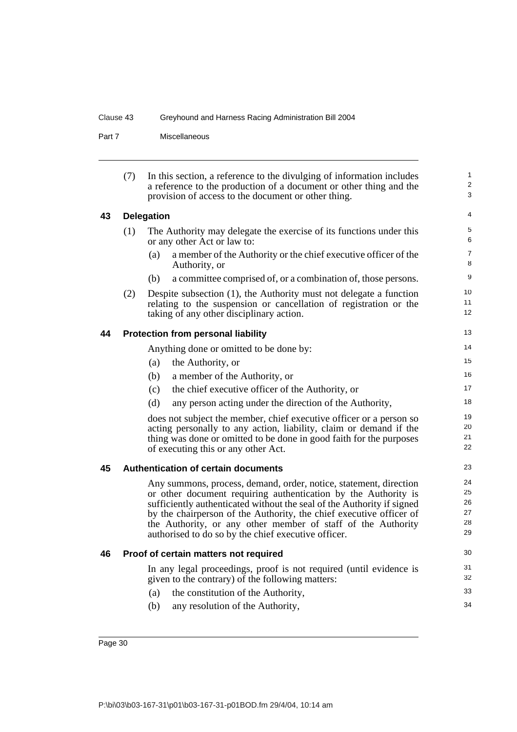Part 7 Miscellaneous

|    | (7) | In this section, a reference to the divulging of information includes<br>a reference to the production of a document or other thing and the<br>provision of access to the document or other thing. | $\mathbf{1}$<br>$\overline{2}$<br>3 |
|----|-----|----------------------------------------------------------------------------------------------------------------------------------------------------------------------------------------------------|-------------------------------------|
| 43 |     | <b>Delegation</b>                                                                                                                                                                                  | 4                                   |
|    | (1) | The Authority may delegate the exercise of its functions under this<br>or any other Act or law to:                                                                                                 | 5<br>6                              |
|    |     | a member of the Authority or the chief executive officer of the<br>(a)<br>Authority, or                                                                                                            | $\overline{7}$<br>8                 |
|    |     | a committee comprised of, or a combination of, those persons.<br>(b)                                                                                                                               | 9                                   |
|    | (2) | Despite subsection (1), the Authority must not delegate a function<br>relating to the suspension or cancellation of registration or the<br>taking of any other disciplinary action.                | 10<br>11<br>12                      |
| 44 |     | <b>Protection from personal liability</b>                                                                                                                                                          | 13                                  |
|    |     | Anything done or omitted to be done by:                                                                                                                                                            | 14                                  |
|    |     | the Authority, or<br>(a)                                                                                                                                                                           | 15                                  |
|    |     | a member of the Authority, or<br>(b)                                                                                                                                                               | 16                                  |
|    |     | the chief executive officer of the Authority, or<br>(c)                                                                                                                                            | 17                                  |
|    |     | (d)<br>any person acting under the direction of the Authority,                                                                                                                                     | 18                                  |
|    |     | does not subject the member, chief executive officer or a person so                                                                                                                                | 19                                  |
|    |     | acting personally to any action, liability, claim or demand if the                                                                                                                                 | 20                                  |
|    |     | thing was done or omitted to be done in good faith for the purposes<br>of executing this or any other Act.                                                                                         | 21<br>22                            |
| 45 |     | <b>Authentication of certain documents</b>                                                                                                                                                         | 23                                  |
|    |     | Any summons, process, demand, order, notice, statement, direction                                                                                                                                  | 24                                  |
|    |     | or other document requiring authentication by the Authority is                                                                                                                                     | 25                                  |
|    |     | sufficiently authenticated without the seal of the Authority if signed                                                                                                                             | 26<br>27                            |
|    |     | by the chairperson of the Authority, the chief executive officer of<br>the Authority, or any other member of staff of the Authority                                                                | 28                                  |
|    |     | authorised to do so by the chief executive officer.                                                                                                                                                | 29                                  |

| 46 | Proof of certain matters not required                                                                                  |
|----|------------------------------------------------------------------------------------------------------------------------|
|    | In any legal proceedings, proof is not required (until evidence is<br>given to the contrary) of the following matters: |
|    | the constitution of the Authority,<br>(a)                                                                              |

(b) any resolution of the Authority,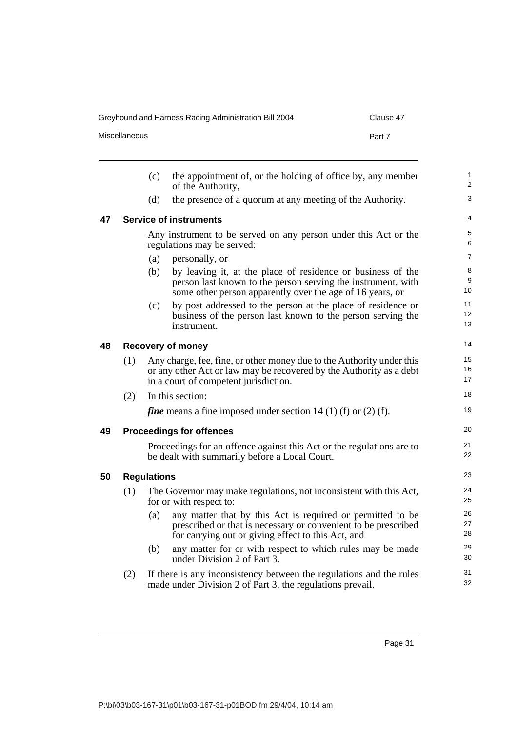|    | Miscellaneous |                    | Part 7                                                                                                                                                                                   |                |
|----|---------------|--------------------|------------------------------------------------------------------------------------------------------------------------------------------------------------------------------------------|----------------|
|    |               | (c)                | the appointment of, or the holding of office by, any member<br>of the Authority,                                                                                                         | 1<br>2         |
|    |               | (d)                | the presence of a quorum at any meeting of the Authority.                                                                                                                                | 3              |
| 47 |               |                    | <b>Service of instruments</b>                                                                                                                                                            | 4              |
|    |               |                    | Any instrument to be served on any person under this Act or the<br>regulations may be served:                                                                                            | 5<br>6         |
|    |               | (a)                | personally, or                                                                                                                                                                           | 7              |
|    |               | (b)                | by leaving it, at the place of residence or business of the<br>person last known to the person serving the instrument, with<br>some other person apparently over the age of 16 years, or | 8<br>9<br>10   |
|    |               | (c)                | by post addressed to the person at the place of residence or<br>business of the person last known to the person serving the<br>instrument.                                               | 11<br>12<br>13 |
| 48 |               |                    | <b>Recovery of money</b>                                                                                                                                                                 | 14             |
|    | (1)           |                    | Any charge, fee, fine, or other money due to the Authority under this<br>or any other Act or law may be recovered by the Authority as a debt<br>in a court of competent jurisdiction.    | 15<br>16<br>17 |
|    | (2)           |                    | In this section:                                                                                                                                                                         | 18             |
|    |               |                    | <i>fine</i> means a fine imposed under section 14 (1) (f) or (2) (f).                                                                                                                    | 19             |
| 49 |               |                    | <b>Proceedings for offences</b>                                                                                                                                                          | 20             |
|    |               |                    | Proceedings for an offence against this Act or the regulations are to<br>be dealt with summarily before a Local Court.                                                                   | 21<br>22       |
| 50 |               | <b>Regulations</b> |                                                                                                                                                                                          | 23             |
|    | (1)           |                    | The Governor may make regulations, not inconsistent with this Act,<br>for or with respect to:                                                                                            | 24<br>25       |
|    |               | (a)                | any matter that by this Act is required or permitted to be<br>prescribed or that is necessary or convenient to be prescribed<br>for carrying out or giving effect to this Act, and       | 26<br>27<br>28 |
|    |               | (b)                | any matter for or with respect to which rules may be made<br>under Division 2 of Part 3.                                                                                                 | 29<br>30       |
|    | (2)           |                    | If there is any inconsistency between the regulations and the rules<br>made under Division 2 of Part 3, the regulations prevail.                                                         | 31<br>32       |

Greyhound and Harness Racing Administration Bill 2004 Clause 47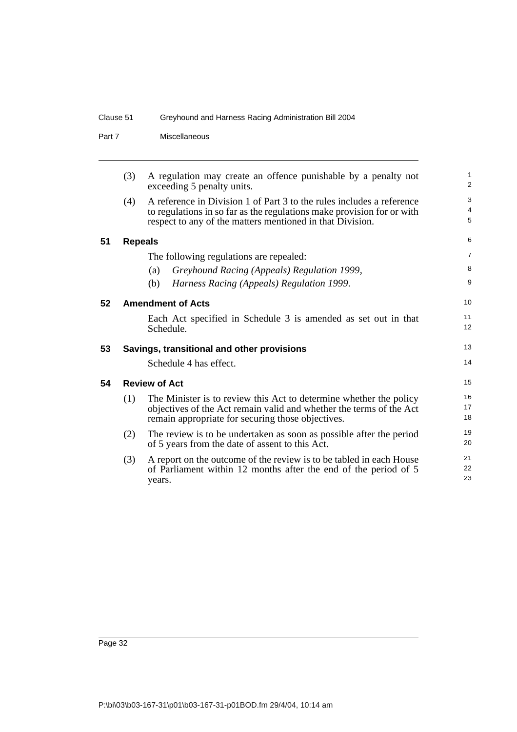Part 7 Miscellaneous

| (3) | A regulation may create an offence punishable by a penalty not<br>exceeding 5 penalty units.                                                                                                                 |
|-----|--------------------------------------------------------------------------------------------------------------------------------------------------------------------------------------------------------------|
| (4) | A reference in Division 1 of Part 3 to the rules includes a reference<br>to regulations in so far as the regulations make provision for or with<br>respect to any of the matters mentioned in that Division. |
| 51  | <b>Repeals</b>                                                                                                                                                                                               |
|     | The following regulations are repealed:                                                                                                                                                                      |
|     | Greyhound Racing (Appeals) Regulation 1999,<br>(a)                                                                                                                                                           |
|     | Harness Racing (Appeals) Regulation 1999.<br>(b)                                                                                                                                                             |
| 52  | <b>Amendment of Acts</b>                                                                                                                                                                                     |
|     | Each Act specified in Schedule 3 is amended as set out in that<br>Schedule.                                                                                                                                  |
| 53  | Savings, transitional and other provisions                                                                                                                                                                   |
|     | Schedule 4 has effect.                                                                                                                                                                                       |
| 54  | <b>Review of Act</b>                                                                                                                                                                                         |
| (1) | The Minister is to review this Act to determine whether the policy                                                                                                                                           |
|     | objectives of the Act remain valid and whether the terms of the Act<br>remain appropriate for securing those objectives.                                                                                     |
| (2) | The review is to be undertaken as soon as possible after the period<br>of 5 years from the date of assent to this Act.                                                                                       |
| (3) | A report on the outcome of the review is to be tabled in each House<br>of Parliament within 12 months after the end of the period of 5<br>years.                                                             |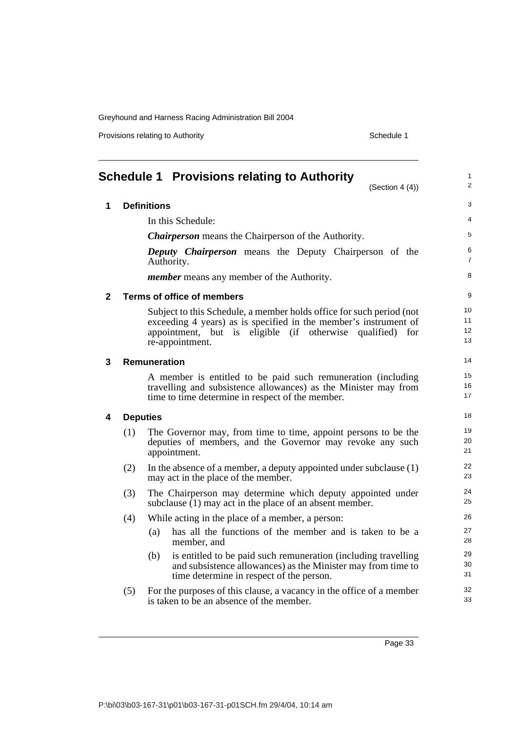Provisions relating to Authority **Schedule 1** and the Schedule 1

|              |     | <b>Schedule 1 Provisions relating to Authority</b><br>(Section 4 $(4)$ )                                                                                                                                                           | 1<br>2               |
|--------------|-----|------------------------------------------------------------------------------------------------------------------------------------------------------------------------------------------------------------------------------------|----------------------|
| 1            |     | <b>Definitions</b>                                                                                                                                                                                                                 | 3                    |
|              |     | In this Schedule:                                                                                                                                                                                                                  | $\overline{4}$       |
|              |     | <b>Chairperson</b> means the Chairperson of the Authority.                                                                                                                                                                         | 5                    |
|              |     | <b>Deputy Chairperson</b> means the Deputy Chairperson of the<br>Authority.                                                                                                                                                        | 6<br>$\overline{7}$  |
|              |     | <i>member</i> means any member of the Authority.                                                                                                                                                                                   | 8                    |
| $\mathbf{2}$ |     | <b>Terms of office of members</b>                                                                                                                                                                                                  | 9                    |
|              |     | Subject to this Schedule, a member holds office for such period (not<br>exceeding 4 years) as is specified in the member's instrument of<br>(if otherwise)<br>qualified)<br>appointment, but is eligible<br>for<br>re-appointment. | 10<br>11<br>12<br>13 |
| 3            |     | <b>Remuneration</b>                                                                                                                                                                                                                | 14                   |
|              |     | A member is entitled to be paid such remuneration (including<br>travelling and subsistence allowances) as the Minister may from<br>time to time determine in respect of the member.                                                | 15<br>16<br>17       |
| 4            |     | <b>Deputies</b>                                                                                                                                                                                                                    | 18                   |
|              | (1) | The Governor may, from time to time, appoint persons to be the<br>deputies of members, and the Governor may revoke any such<br>appointment.                                                                                        | 19<br>20<br>21       |
|              | (2) | In the absence of a member, a deputy appointed under subclause $(1)$<br>may act in the place of the member.                                                                                                                        | 22<br>23             |
|              | (3) | The Chairperson may determine which deputy appointed under<br>subclause (1) may act in the place of an absent member.                                                                                                              | 24<br>25             |
|              | (4) | While acting in the place of a member, a person:                                                                                                                                                                                   | 26                   |
|              |     | has all the functions of the member and is taken to be a<br>(a)<br>member, and                                                                                                                                                     | 27<br>28             |
|              |     | (b)<br>is entitled to be paid such remuneration (including travelling<br>and subsistence allowances) as the Minister may from time to<br>time determine in respect of the person.                                                  | 29<br>30<br>31       |
|              | (5) | For the purposes of this clause, a vacancy in the office of a member<br>is taken to be an absence of the member.                                                                                                                   | 32<br>33             |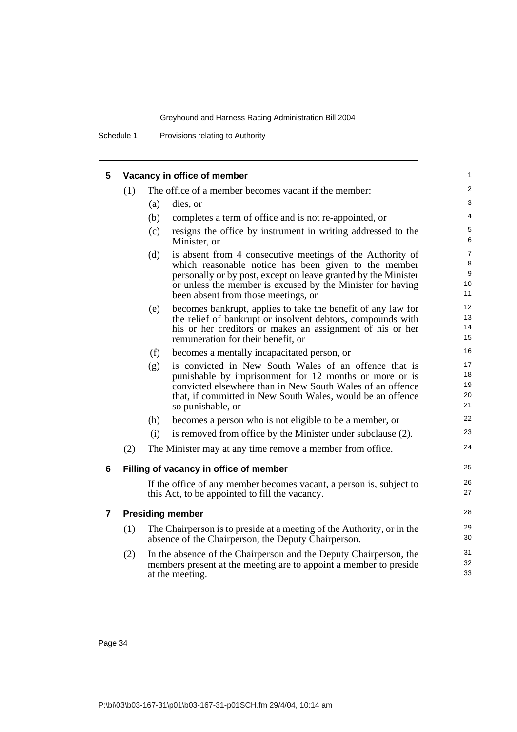| 5              |     | Vacancy in office of member                                                                                                                                                                                                                                                                     | $\mathbf{1}$                         |
|----------------|-----|-------------------------------------------------------------------------------------------------------------------------------------------------------------------------------------------------------------------------------------------------------------------------------------------------|--------------------------------------|
|                | (1) | The office of a member becomes vacant if the member:                                                                                                                                                                                                                                            | 2                                    |
|                |     | (a)<br>dies, or                                                                                                                                                                                                                                                                                 | 3                                    |
|                |     | (b)<br>completes a term of office and is not re-appointed, or                                                                                                                                                                                                                                   | $\overline{4}$                       |
|                |     | resigns the office by instrument in writing addressed to the<br>(c)<br>Minister, or                                                                                                                                                                                                             | $\,$ 5 $\,$<br>6                     |
|                |     | is absent from 4 consecutive meetings of the Authority of<br>(d)<br>which reasonable notice has been given to the member<br>personally or by post, except on leave granted by the Minister<br>or unless the member is excused by the Minister for having<br>been absent from those meetings, or | $\overline{7}$<br>8<br>9<br>10<br>11 |
|                |     | becomes bankrupt, applies to take the benefit of any law for<br>(e)<br>the relief of bankrupt or insolvent debtors, compounds with<br>his or her creditors or makes an assignment of his or her<br>remuneration for their benefit, or                                                           | 12<br>13<br>14<br>15                 |
|                |     | becomes a mentally incapacitated person, or<br>(f)                                                                                                                                                                                                                                              | 16                                   |
|                |     | is convicted in New South Wales of an offence that is<br>(g)<br>punishable by imprisonment for 12 months or more or is<br>convicted elsewhere than in New South Wales of an offence<br>that, if committed in New South Wales, would be an offence<br>so punishable, or                          | 17<br>18<br>19<br>20<br>21           |
|                |     | (h)<br>becomes a person who is not eligible to be a member, or<br>is removed from office by the Minister under subclause (2).<br>(i)                                                                                                                                                            | 22<br>23                             |
|                | (2) | The Minister may at any time remove a member from office.                                                                                                                                                                                                                                       | 24                                   |
| 6              |     | Filling of vacancy in office of member                                                                                                                                                                                                                                                          | 25                                   |
|                |     | If the office of any member becomes vacant, a person is, subject to<br>this Act, to be appointed to fill the vacancy.                                                                                                                                                                           | 26<br>27                             |
| $\overline{7}$ |     | <b>Presiding member</b>                                                                                                                                                                                                                                                                         | 28                                   |
|                | (1) | The Chairperson is to preside at a meeting of the Authority, or in the<br>absence of the Chairperson, the Deputy Chairperson.                                                                                                                                                                   | 29<br>30                             |
|                | (2) | In the absence of the Chairperson and the Deputy Chairperson, the<br>members present at the meeting are to appoint a member to preside<br>at the meeting.                                                                                                                                       | 31<br>32<br>33                       |
|                |     |                                                                                                                                                                                                                                                                                                 |                                      |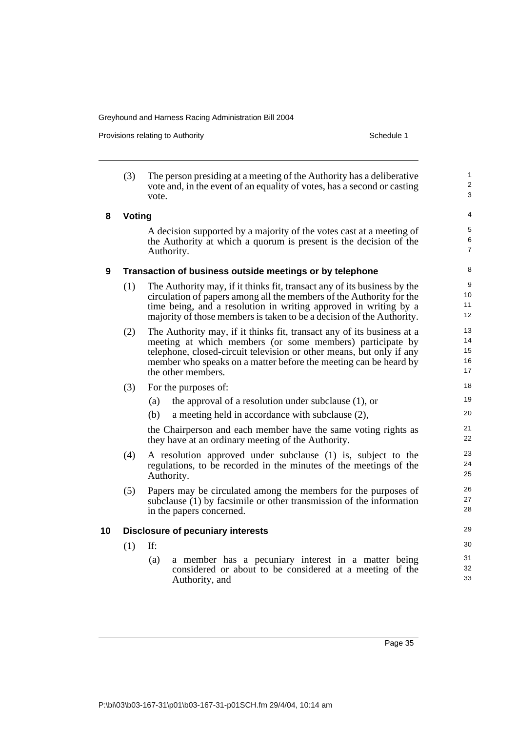Provisions relating to Authority **Schedule 1** and the Schedule 1

|    | (3)    | The person presiding at a meeting of the Authority has a deliberative<br>vote and, in the event of an equality of votes, has a second or casting<br>vote.                                                                                                                                             | 1<br>2<br>3                |
|----|--------|-------------------------------------------------------------------------------------------------------------------------------------------------------------------------------------------------------------------------------------------------------------------------------------------------------|----------------------------|
| 8  | Voting |                                                                                                                                                                                                                                                                                                       | $\overline{4}$             |
|    |        | A decision supported by a majority of the votes cast at a meeting of<br>the Authority at which a quorum is present is the decision of the<br>Authority.                                                                                                                                               | 5<br>6<br>$\overline{7}$   |
| 9  |        | Transaction of business outside meetings or by telephone                                                                                                                                                                                                                                              | 8                          |
|    | (1)    | The Authority may, if it thinks fit, transact any of its business by the<br>circulation of papers among all the members of the Authority for the<br>time being, and a resolution in writing approved in writing by a<br>majority of those members is taken to be a decision of the Authority.         | 9<br>10<br>11<br>12        |
|    | (2)    | The Authority may, if it thinks fit, transact any of its business at a<br>meeting at which members (or some members) participate by<br>telephone, closed-circuit television or other means, but only if any<br>member who speaks on a matter before the meeting can be heard by<br>the other members. | 13<br>14<br>15<br>16<br>17 |
|    | (3)    | For the purposes of:                                                                                                                                                                                                                                                                                  | 18                         |
|    |        | the approval of a resolution under subclause $(1)$ , or<br>(a)<br>a meeting held in accordance with subclause (2),<br>(b)<br>the Chairperson and each member have the same voting rights as                                                                                                           | 19<br>20<br>21             |
|    |        | they have at an ordinary meeting of the Authority.                                                                                                                                                                                                                                                    | 22                         |
|    | (4)    | A resolution approved under subclause (1) is, subject to the<br>regulations, to be recorded in the minutes of the meetings of the<br>Authority.                                                                                                                                                       | 23<br>24<br>25             |
|    | (5)    | Papers may be circulated among the members for the purposes of<br>subclause (1) by facsimile or other transmission of the information<br>in the papers concerned.                                                                                                                                     | 26<br>27<br>28             |
| 10 |        | <b>Disclosure of pecuniary interests</b>                                                                                                                                                                                                                                                              | 29                         |
|    | (1)    | If:                                                                                                                                                                                                                                                                                                   | 30                         |
|    |        | a member has a pecuniary interest in a matter being<br>(a)<br>considered or about to be considered at a meeting of the<br>Authority, and                                                                                                                                                              | 31<br>32<br>33             |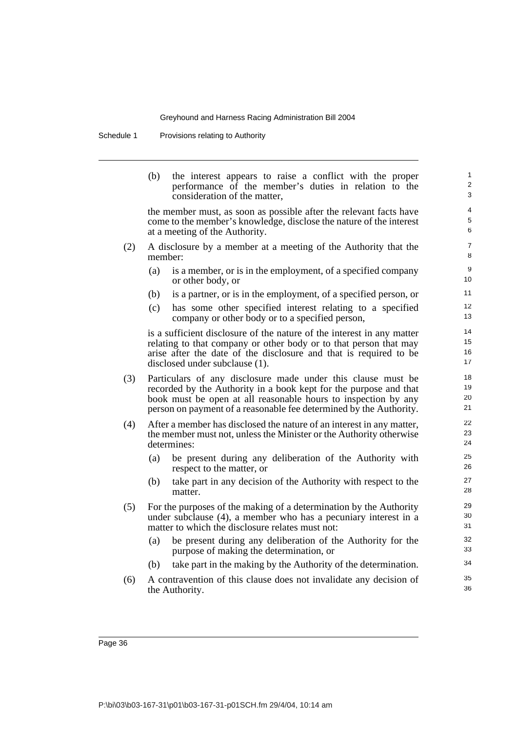Schedule 1 Provisions relating to Authority

|     | (b)     | the interest appears to raise a conflict with the proper<br>performance of the member's duties in relation to the<br>consideration of the matter,                                                                                                                         | 1<br>2<br>3          |
|-----|---------|---------------------------------------------------------------------------------------------------------------------------------------------------------------------------------------------------------------------------------------------------------------------------|----------------------|
|     |         | the member must, as soon as possible after the relevant facts have<br>come to the member's knowledge, disclose the nature of the interest<br>at a meeting of the Authority.                                                                                               | 4<br>5<br>6          |
| (2) | member: | A disclosure by a member at a meeting of the Authority that the                                                                                                                                                                                                           | $\overline{7}$<br>8  |
|     | (a)     | is a member, or is in the employment, of a specified company<br>or other body, or                                                                                                                                                                                         | 9<br>10              |
|     | (b)     | is a partner, or is in the employment, of a specified person, or                                                                                                                                                                                                          | 11                   |
|     | (c)     | has some other specified interest relating to a specified<br>company or other body or to a specified person,                                                                                                                                                              | 12<br>13             |
|     |         | is a sufficient disclosure of the nature of the interest in any matter<br>relating to that company or other body or to that person that may<br>arise after the date of the disclosure and that is required to be<br>disclosed under subclause (1).                        | 14<br>15<br>16<br>17 |
| (3) |         | Particulars of any disclosure made under this clause must be<br>recorded by the Authority in a book kept for the purpose and that<br>book must be open at all reasonable hours to inspection by any<br>person on payment of a reasonable fee determined by the Authority. | 18<br>19<br>20<br>21 |
| (4) |         | After a member has disclosed the nature of an interest in any matter,<br>the member must not, unless the Minister or the Authority otherwise<br>determines:                                                                                                               | 22<br>23<br>24       |
|     | (a)     | be present during any deliberation of the Authority with<br>respect to the matter, or                                                                                                                                                                                     | 25<br>26             |
|     | (b)     | take part in any decision of the Authority with respect to the<br>matter.                                                                                                                                                                                                 | 27<br>28             |
| (5) |         | For the purposes of the making of a determination by the Authority<br>under subclause (4), a member who has a pecuniary interest in a<br>matter to which the disclosure relates must not:                                                                                 | 29<br>30<br>31       |
|     | (a)     | be present during any deliberation of the Authority for the<br>purpose of making the determination, or                                                                                                                                                                    | 32<br>33             |
|     | (b)     | take part in the making by the Authority of the determination.                                                                                                                                                                                                            | 34                   |
| (6) |         | A contravention of this clause does not invalidate any decision of<br>the Authority.                                                                                                                                                                                      | 35<br>36             |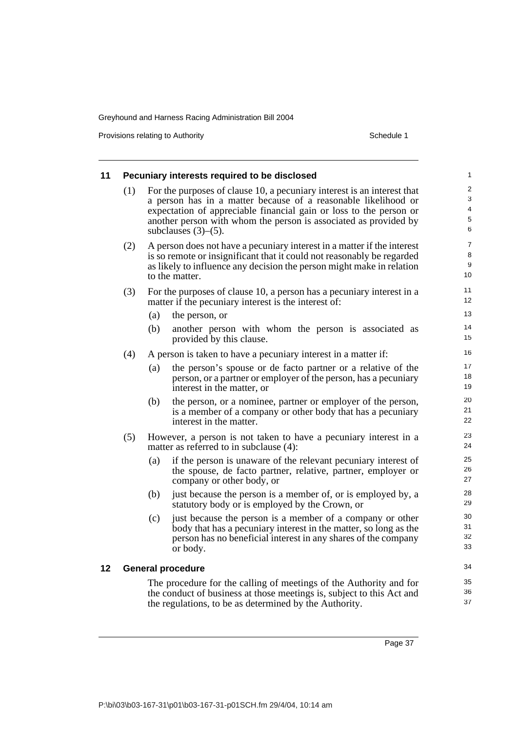Provisions relating to Authority **Schedule 1** and the Schedule 1

| 11 |     |                                                                                                                                                                                                                                                                                                                   | Pecuniary interests required to be disclosed                                                                                                                                                                                                 | $\mathbf{1}$         |
|----|-----|-------------------------------------------------------------------------------------------------------------------------------------------------------------------------------------------------------------------------------------------------------------------------------------------------------------------|----------------------------------------------------------------------------------------------------------------------------------------------------------------------------------------------------------------------------------------------|----------------------|
|    | (1) | For the purposes of clause 10, a pecuniary interest is an interest that<br>a person has in a matter because of a reasonable likelihood or<br>expectation of appreciable financial gain or loss to the person or<br>another person with whom the person is associated as provided by<br>subclauses $(3)$ – $(5)$ . | $\overline{2}$<br>3<br>4<br>5<br>6                                                                                                                                                                                                           |                      |
|    | (2) |                                                                                                                                                                                                                                                                                                                   | A person does not have a pecuniary interest in a matter if the interest<br>is so remote or insignificant that it could not reasonably be regarded<br>as likely to influence any decision the person might make in relation<br>to the matter. | 7<br>8<br>9<br>10    |
|    | (3) |                                                                                                                                                                                                                                                                                                                   | For the purposes of clause 10, a person has a pecuniary interest in a<br>matter if the pecuniary interest is the interest of:                                                                                                                | 11<br>12             |
|    |     | (a)                                                                                                                                                                                                                                                                                                               | the person, or                                                                                                                                                                                                                               | 13                   |
|    |     | (b)                                                                                                                                                                                                                                                                                                               | another person with whom the person is associated as<br>provided by this clause.                                                                                                                                                             | 14<br>15             |
|    | (4) |                                                                                                                                                                                                                                                                                                                   | A person is taken to have a pecuniary interest in a matter if:                                                                                                                                                                               | 16                   |
|    |     | (a)                                                                                                                                                                                                                                                                                                               | the person's spouse or de facto partner or a relative of the<br>person, or a partner or employer of the person, has a pecuniary<br>interest in the matter, or                                                                                | 17<br>18<br>19       |
|    |     | (b)                                                                                                                                                                                                                                                                                                               | the person, or a nominee, partner or employer of the person,<br>is a member of a company or other body that has a pecuniary<br>interest in the matter.                                                                                       | 20<br>21<br>22       |
|    | (5) |                                                                                                                                                                                                                                                                                                                   | However, a person is not taken to have a pecuniary interest in a<br>matter as referred to in subclause (4):                                                                                                                                  | 23<br>24             |
|    |     | (a)                                                                                                                                                                                                                                                                                                               | if the person is unaware of the relevant pecuniary interest of<br>the spouse, de facto partner, relative, partner, employer or<br>company or other body, or                                                                                  | 25<br>26<br>27       |
|    |     | (b)                                                                                                                                                                                                                                                                                                               | just because the person is a member of, or is employed by, a<br>statutory body or is employed by the Crown, or                                                                                                                               | 28<br>29             |
|    |     | (c)                                                                                                                                                                                                                                                                                                               | just because the person is a member of a company or other<br>body that has a pecuniary interest in the matter, so long as the<br>person has no beneficial interest in any shares of the company<br>or body.                                  | 30<br>31<br>32<br>33 |
| 12 |     |                                                                                                                                                                                                                                                                                                                   | <b>General procedure</b>                                                                                                                                                                                                                     | 34                   |
|    |     |                                                                                                                                                                                                                                                                                                                   | The procedure for the calling of meetings of the Authority and for<br>the conduct of business at those meetings is, subject to this Act and<br>the regulations, to be as determined by the Authority.                                        | 35<br>36<br>37       |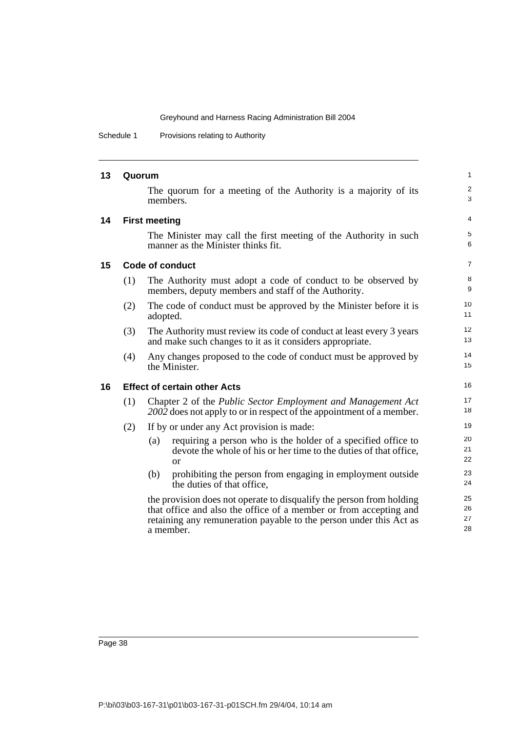Schedule 1 Provisions relating to Authority

| 13 | Quorum |                                                                                                                                                                                                                              |                      |  |
|----|--------|------------------------------------------------------------------------------------------------------------------------------------------------------------------------------------------------------------------------------|----------------------|--|
|    |        | The quorum for a meeting of the Authority is a majority of its<br>members.                                                                                                                                                   | $\sqrt{2}$<br>3      |  |
| 14 |        | <b>First meeting</b>                                                                                                                                                                                                         | 4                    |  |
|    |        | The Minister may call the first meeting of the Authority in such<br>manner as the Minister thinks fit.                                                                                                                       | 5<br>6               |  |
| 15 |        | <b>Code of conduct</b>                                                                                                                                                                                                       | $\overline{7}$       |  |
|    | (1)    | The Authority must adopt a code of conduct to be observed by<br>members, deputy members and staff of the Authority.                                                                                                          | 8<br>9               |  |
|    | (2)    | The code of conduct must be approved by the Minister before it is<br>adopted.                                                                                                                                                | 10<br>11             |  |
|    | (3)    | The Authority must review its code of conduct at least every 3 years<br>and make such changes to it as it considers appropriate.                                                                                             | 12<br>13             |  |
|    | (4)    | Any changes proposed to the code of conduct must be approved by<br>the Minister.                                                                                                                                             | 14<br>15             |  |
| 16 |        | <b>Effect of certain other Acts</b>                                                                                                                                                                                          | 16                   |  |
|    | (1)    | Chapter 2 of the Public Sector Employment and Management Act<br>2002 does not apply to or in respect of the appointment of a member.                                                                                         | 17<br>18             |  |
|    | (2)    | If by or under any Act provision is made:                                                                                                                                                                                    | 19                   |  |
|    |        | requiring a person who is the holder of a specified office to<br>(a)<br>devote the whole of his or her time to the duties of that office,<br><sub>or</sub>                                                                   | 20<br>21<br>22       |  |
|    |        | prohibiting the person from engaging in employment outside<br>(b)<br>the duties of that office,                                                                                                                              | 23<br>24             |  |
|    |        | the provision does not operate to disqualify the person from holding<br>that office and also the office of a member or from accepting and<br>retaining any remuneration payable to the person under this Act as<br>a member. | 25<br>26<br>27<br>28 |  |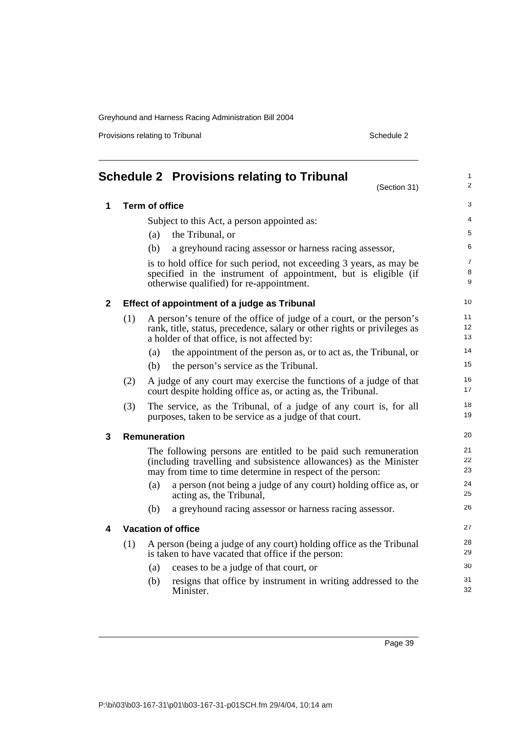Provisions relating to Tribunal and Schedule 2 and Schedule 2

|              |     |                       | <b>Schedule 2 Provisions relating to Tribunal</b><br>(Section 31)                                                                                                                                 |                          |  |
|--------------|-----|-----------------------|---------------------------------------------------------------------------------------------------------------------------------------------------------------------------------------------------|--------------------------|--|
| 1            |     | <b>Term of office</b> |                                                                                                                                                                                                   | 3                        |  |
|              |     |                       | Subject to this Act, a person appointed as:                                                                                                                                                       | 4                        |  |
|              |     | (a)                   | the Tribunal, or                                                                                                                                                                                  | 5                        |  |
|              |     | (b)                   | a greyhound racing assessor or harness racing assessor,                                                                                                                                           | 6                        |  |
|              |     |                       | is to hold office for such period, not exceeding 3 years, as may be<br>specified in the instrument of appointment, but is eligible (if<br>otherwise qualified) for re-appointment.                | $\overline{7}$<br>8<br>9 |  |
| $\mathbf{2}$ |     |                       | Effect of appointment of a judge as Tribunal                                                                                                                                                      | 10                       |  |
|              | (1) |                       | A person's tenure of the office of judge of a court, or the person's<br>rank, title, status, precedence, salary or other rights or privileges as<br>a holder of that office, is not affected by:  | 11<br>12<br>13           |  |
|              |     | (a)                   | the appointment of the person as, or to act as, the Tribunal, or                                                                                                                                  | 14                       |  |
|              |     | (b)                   | the person's service as the Tribunal.                                                                                                                                                             | 15                       |  |
|              | (2) |                       | A judge of any court may exercise the functions of a judge of that<br>court despite holding office as, or acting as, the Tribunal.                                                                | 16<br>17                 |  |
|              | (3) |                       | The service, as the Tribunal, of a judge of any court is, for all<br>purposes, taken to be service as a judge of that court.                                                                      | 18<br>19                 |  |
| 3            |     | Remuneration          |                                                                                                                                                                                                   | 20                       |  |
|              |     |                       | The following persons are entitled to be paid such remuneration<br>(including travelling and subsistence allowances) as the Minister<br>may from time to time determine in respect of the person: | 21<br>22<br>23           |  |
|              |     | (a)                   | a person (not being a judge of any court) holding office as, or<br>acting as, the Tribunal,                                                                                                       | 24<br>25                 |  |
|              |     | (b)                   | a greyhound racing assessor or harness racing assessor.                                                                                                                                           | 26                       |  |
| 4            |     |                       | <b>Vacation of office</b>                                                                                                                                                                         | 27                       |  |
|              | (1) |                       | A person (being a judge of any court) holding office as the Tribunal<br>is taken to have vacated that office if the person:                                                                       | 28<br>29                 |  |
|              |     | (a)                   | ceases to be a judge of that court, or                                                                                                                                                            | 30                       |  |
|              |     | (b)                   | resigns that office by instrument in writing addressed to the<br>Minister.                                                                                                                        | 31<br>32                 |  |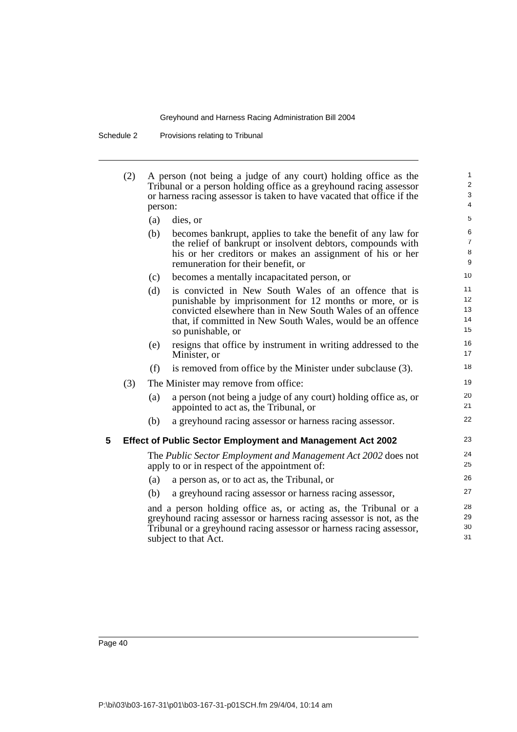Schedule 2 Provisions relating to Tribunal

|   | (2) | person: | A person (not being a judge of any court) holding office as the<br>Tribunal or a person holding office as a greyhound racing assessor<br>or harness racing assessor is taken to have vacated that office if the                                                  | 1<br>$\overline{\mathbf{c}}$<br>3<br>4 |
|---|-----|---------|------------------------------------------------------------------------------------------------------------------------------------------------------------------------------------------------------------------------------------------------------------------|----------------------------------------|
|   |     | (a)     | dies, or                                                                                                                                                                                                                                                         | 5                                      |
|   |     | (b)     | becomes bankrupt, applies to take the benefit of any law for<br>the relief of bankrupt or insolvent debtors, compounds with<br>his or her creditors or makes an assignment of his or her<br>remuneration for their benefit, or                                   | 6<br>7<br>8<br>9                       |
|   |     | (c)     | becomes a mentally incapacitated person, or                                                                                                                                                                                                                      | 10                                     |
|   |     | (d)     | is convicted in New South Wales of an offence that is<br>punishable by imprisonment for 12 months or more, or is<br>convicted elsewhere than in New South Wales of an offence<br>that, if committed in New South Wales, would be an offence<br>so punishable, or | 11<br>12<br>13<br>14<br>15             |
|   |     | (e)     | resigns that office by instrument in writing addressed to the<br>Minister, or                                                                                                                                                                                    | 16<br>17                               |
|   |     | (f)     | is removed from office by the Minister under subclause (3).                                                                                                                                                                                                      | 18                                     |
|   | (3) |         | The Minister may remove from office:                                                                                                                                                                                                                             | 19                                     |
|   |     | (a)     | a person (not being a judge of any court) holding office as, or<br>appointed to act as, the Tribunal, or                                                                                                                                                         | 20<br>21                               |
|   |     | (b)     | a greyhound racing assessor or harness racing assessor.                                                                                                                                                                                                          | 22                                     |
| 5 |     |         | <b>Effect of Public Sector Employment and Management Act 2002</b>                                                                                                                                                                                                | 23                                     |
|   |     |         | The Public Sector Employment and Management Act 2002 does not<br>apply to or in respect of the appointment of:                                                                                                                                                   | 24<br>25                               |
|   |     | (a)     | a person as, or to act as, the Tribunal, or                                                                                                                                                                                                                      | 26                                     |
|   |     | (b)     | a greyhound racing assessor or harness racing assessor,                                                                                                                                                                                                          | 27                                     |
|   |     |         | and a person holding office as, or acting as, the Tribunal or a<br>greyhound racing assessor or harness racing assessor is not, as the<br>Tribunal or a greyhound racing assessor or harness racing assessor,<br>subject to that Act.                            | 28<br>29<br>30<br>31                   |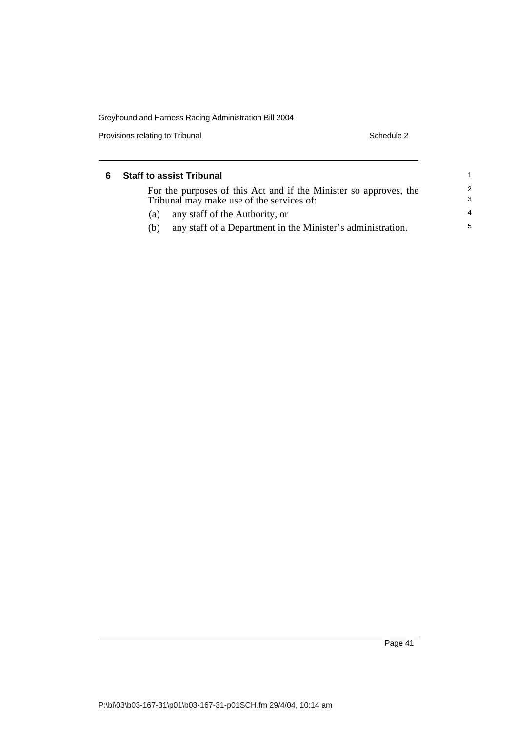Provisions relating to Tribunal and Schedule 2 and Schedule 2

| 6 |     | <b>Staff to assist Tribunal</b>                                                                                |                |
|---|-----|----------------------------------------------------------------------------------------------------------------|----------------|
|   |     | For the purposes of this Act and if the Minister so approves, the<br>Tribunal may make use of the services of: | 2<br>-3        |
|   | (a) | any staff of the Authority, or                                                                                 | $\overline{4}$ |
|   | (b) | any staff of a Department in the Minister's administration.                                                    | 5              |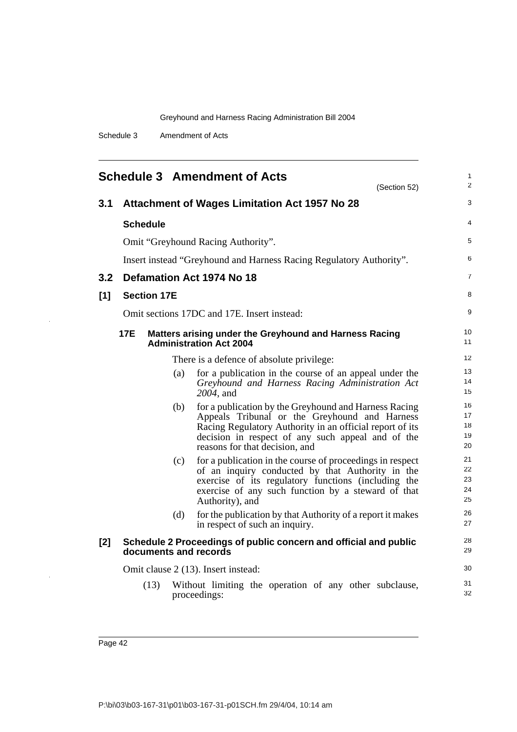Schedule 3 Amendment of Acts

|     |            |                    |     | <b>Schedule 3 Amendment of Acts</b><br>(Section 52)                                                                                                                                                                                                       | 1<br>$\overline{2}$        |
|-----|------------|--------------------|-----|-----------------------------------------------------------------------------------------------------------------------------------------------------------------------------------------------------------------------------------------------------------|----------------------------|
| 3.1 |            |                    |     | <b>Attachment of Wages Limitation Act 1957 No 28</b>                                                                                                                                                                                                      | 3                          |
|     |            | <b>Schedule</b>    |     |                                                                                                                                                                                                                                                           | 4                          |
|     |            |                    |     | Omit "Greyhound Racing Authority".                                                                                                                                                                                                                        | 5                          |
|     |            |                    |     | Insert instead "Greyhound and Harness Racing Regulatory Authority".                                                                                                                                                                                       | 6                          |
| 3.2 |            |                    |     | Defamation Act 1974 No 18                                                                                                                                                                                                                                 | $\overline{7}$             |
| [1] |            | <b>Section 17E</b> |     |                                                                                                                                                                                                                                                           | 8                          |
|     |            |                    |     | Omit sections 17DC and 17E. Insert instead:                                                                                                                                                                                                               | 9                          |
|     | <b>17E</b> |                    |     | Matters arising under the Greyhound and Harness Racing<br><b>Administration Act 2004</b>                                                                                                                                                                  | 10<br>11                   |
|     |            |                    |     | There is a defence of absolute privilege:                                                                                                                                                                                                                 | 12                         |
|     |            |                    | (a) | for a publication in the course of an appeal under the<br>Greyhound and Harness Racing Administration Act<br>2004, and                                                                                                                                    | 13<br>14<br>15             |
|     |            |                    | (b) | for a publication by the Greyhound and Harness Racing<br>Appeals Tribunal or the Greyhound and Harness<br>Racing Regulatory Authority in an official report of its<br>decision in respect of any such appeal and of the<br>reasons for that decision, and | 16<br>17<br>18<br>19<br>20 |
|     |            |                    | (c) | for a publication in the course of proceedings in respect<br>of an inquiry conducted by that Authority in the<br>exercise of its regulatory functions (including the<br>exercise of any such function by a steward of that<br>Authority), and             | 21<br>22<br>23<br>24<br>25 |
|     |            |                    | (d) | for the publication by that Authority of a report it makes<br>in respect of such an inquiry.                                                                                                                                                              | 26<br>27                   |
| [2] |            |                    |     | Schedule 2 Proceedings of public concern and official and public<br>documents and records                                                                                                                                                                 | 28<br>29                   |
|     |            |                    |     | Omit clause 2 (13). Insert instead:                                                                                                                                                                                                                       | 30                         |
|     |            | (13)               |     | Without limiting the operation of any other subclause,<br>proceedings:                                                                                                                                                                                    | 31<br>32                   |

Page 42

 $\overline{\phantom{a}}$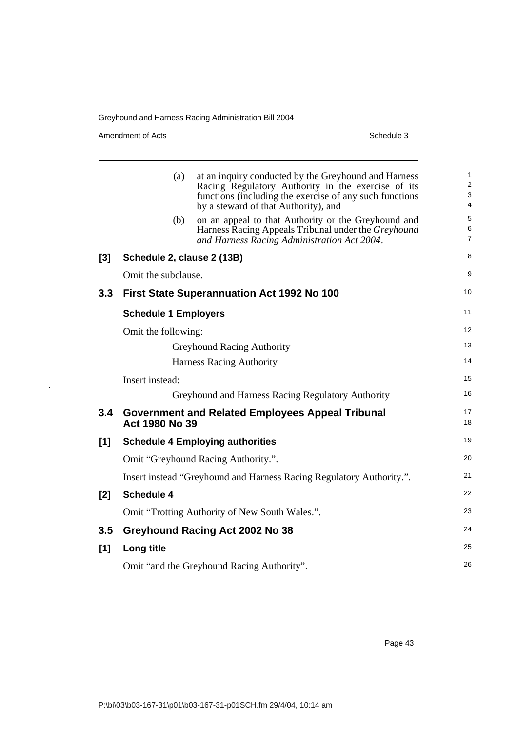Amendment of Acts Schedule 3

 $\hat{\boldsymbol{\epsilon}}$ 

|       | (a)<br>(b)                  | at an inquiry conducted by the Greyhound and Harness<br>Racing Regulatory Authority in the exercise of its<br>functions (including the exercise of any such functions<br>by a steward of that Authority), and<br>on an appeal to that Authority or the Greyhound and<br>Harness Racing Appeals Tribunal under the Greyhound<br>and Harness Racing Administration Act 2004. | $\mathbf{1}$<br>$\overline{2}$<br>3<br>4<br>5<br>$6\phantom{1}6$<br>$\overline{7}$ |
|-------|-----------------------------|----------------------------------------------------------------------------------------------------------------------------------------------------------------------------------------------------------------------------------------------------------------------------------------------------------------------------------------------------------------------------|------------------------------------------------------------------------------------|
| $[3]$ | Schedule 2, clause 2 (13B)  |                                                                                                                                                                                                                                                                                                                                                                            | 8                                                                                  |
|       | Omit the subclause.         |                                                                                                                                                                                                                                                                                                                                                                            | 9                                                                                  |
| 3.3   |                             | <b>First State Superannuation Act 1992 No 100</b>                                                                                                                                                                                                                                                                                                                          | 10                                                                                 |
|       | <b>Schedule 1 Employers</b> |                                                                                                                                                                                                                                                                                                                                                                            | 11                                                                                 |
|       | Omit the following:         |                                                                                                                                                                                                                                                                                                                                                                            | 12                                                                                 |
|       |                             | <b>Greyhound Racing Authority</b>                                                                                                                                                                                                                                                                                                                                          | 13                                                                                 |
|       |                             | <b>Harness Racing Authority</b>                                                                                                                                                                                                                                                                                                                                            | 14                                                                                 |
|       | Insert instead:             |                                                                                                                                                                                                                                                                                                                                                                            | 15                                                                                 |
|       |                             | Greyhound and Harness Racing Regulatory Authority                                                                                                                                                                                                                                                                                                                          | 16                                                                                 |
| 3.4   | Act 1980 No 39              | <b>Government and Related Employees Appeal Tribunal</b>                                                                                                                                                                                                                                                                                                                    | 17<br>18                                                                           |
| [1]   |                             | <b>Schedule 4 Employing authorities</b>                                                                                                                                                                                                                                                                                                                                    | 19                                                                                 |
|       |                             | Omit "Greyhound Racing Authority.".                                                                                                                                                                                                                                                                                                                                        | 20                                                                                 |
|       |                             | Insert instead "Greyhound and Harness Racing Regulatory Authority.".                                                                                                                                                                                                                                                                                                       | 21                                                                                 |
| [2]   | <b>Schedule 4</b>           |                                                                                                                                                                                                                                                                                                                                                                            | 22                                                                                 |
|       |                             | Omit "Trotting Authority of New South Wales.".                                                                                                                                                                                                                                                                                                                             | 23                                                                                 |
| 3.5   |                             | Greyhound Racing Act 2002 No 38                                                                                                                                                                                                                                                                                                                                            | 24                                                                                 |
| [1]   | Long title                  |                                                                                                                                                                                                                                                                                                                                                                            | 25                                                                                 |
|       |                             | Omit "and the Greyhound Racing Authority".                                                                                                                                                                                                                                                                                                                                 | 26                                                                                 |
|       |                             |                                                                                                                                                                                                                                                                                                                                                                            |                                                                                    |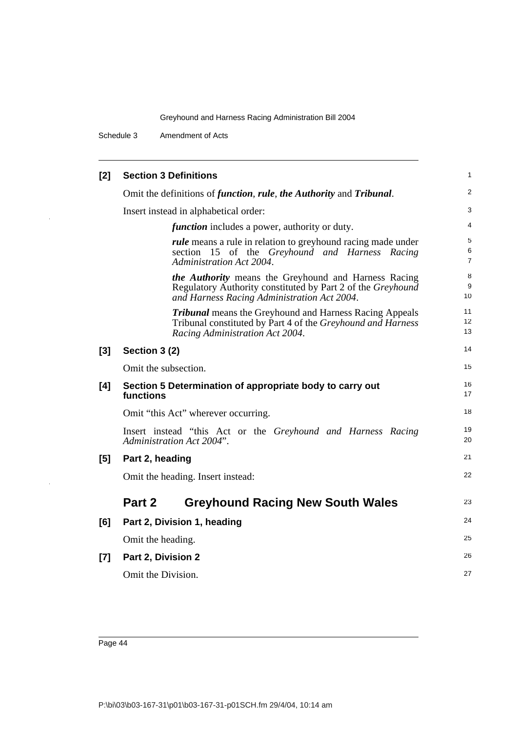Schedule 3 Amendment of Acts

| [2]   | <b>Section 3 Definitions</b>                                                                                                                                              | 1              |
|-------|---------------------------------------------------------------------------------------------------------------------------------------------------------------------------|----------------|
|       | Omit the definitions of <i>function</i> , <i>rule</i> , <i>the Authority</i> and <i>Tribunal</i> .                                                                        | 2              |
|       | Insert instead in alphabetical order:                                                                                                                                     | 3              |
|       | <i>function</i> includes a power, authority or duty.                                                                                                                      | 4              |
|       | <i>rule</i> means a rule in relation to greyhound racing made under<br>section 15 of the Greyhound and Harness Racing<br>Administration Act 2004.                         | 5<br>6<br>7    |
|       | <i>the Authority</i> means the Greyhound and Harness Racing<br>Regulatory Authority constituted by Part 2 of the Greyhound<br>and Harness Racing Administration Act 2004. | 8<br>9<br>10   |
|       | <b>Tribunal</b> means the Greyhound and Harness Racing Appeals<br>Tribunal constituted by Part 4 of the Greyhound and Harness<br>Racing Administration Act 2004.          | 11<br>12<br>13 |
| [3]   | Section 3 (2)                                                                                                                                                             | 14             |
|       | Omit the subsection.                                                                                                                                                      | 15             |
| [4]   | Section 5 Determination of appropriate body to carry out<br>functions                                                                                                     | 16<br>17       |
|       | Omit "this Act" wherever occurring.                                                                                                                                       | 18             |
|       | Insert instead "this Act or the Greyhound and Harness Racing<br>Administration Act 2004".                                                                                 | 19<br>20       |
| [5]   | Part 2, heading                                                                                                                                                           | 21             |
|       | Omit the heading. Insert instead:                                                                                                                                         | 22             |
|       | Part 2<br><b>Greyhound Racing New South Wales</b>                                                                                                                         | 23             |
| [6]   | Part 2, Division 1, heading                                                                                                                                               | 24             |
|       | Omit the heading.                                                                                                                                                         | 25             |
| $[7]$ | Part 2, Division 2                                                                                                                                                        | 26             |
|       | Omit the Division.                                                                                                                                                        | 27             |
|       |                                                                                                                                                                           |                |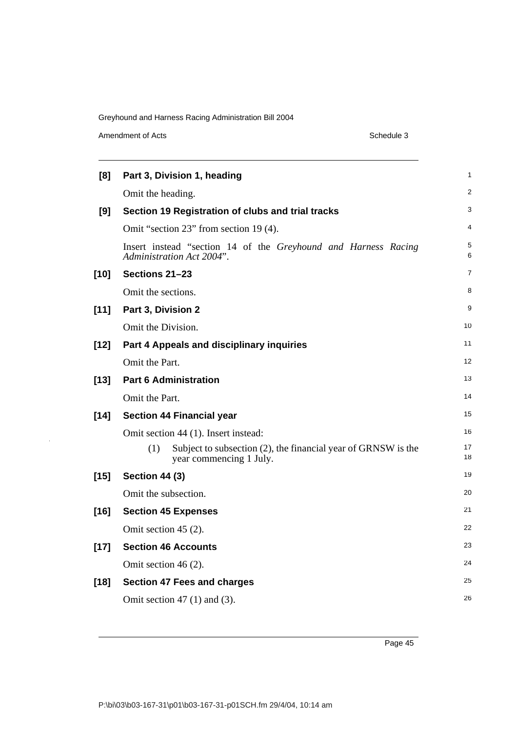Amendment of Acts Schedule 3

J.

| [8]    | Part 3, Division 1, heading                                                                     | 1        |
|--------|-------------------------------------------------------------------------------------------------|----------|
|        | Omit the heading.                                                                               | 2        |
| [9]    | Section 19 Registration of clubs and trial tracks                                               | 3        |
|        | Omit "section 23" from section 19 (4).                                                          | 4        |
|        | Insert instead "section 14 of the Greyhound and Harness Racing<br>Administration Act 2004".     | 5<br>6   |
| $[10]$ | Sections 21-23                                                                                  | 7        |
|        | Omit the sections.                                                                              | 8        |
| $[11]$ | Part 3, Division 2                                                                              | 9        |
|        | Omit the Division.                                                                              | 10       |
| $[12]$ | Part 4 Appeals and disciplinary inquiries                                                       | 11       |
|        | Omit the Part.                                                                                  | 12       |
| $[13]$ | <b>Part 6 Administration</b>                                                                    | 13       |
|        | Omit the Part.                                                                                  | 14       |
| $[14]$ | <b>Section 44 Financial year</b>                                                                | 15       |
|        | Omit section 44 (1). Insert instead:                                                            | 16       |
|        | (1)<br>Subject to subsection (2), the financial year of GRNSW is the<br>year commencing 1 July. | 17<br>18 |
| $[15]$ | <b>Section 44 (3)</b>                                                                           | 19       |
|        | Omit the subsection.                                                                            | 20       |
| $[16]$ | <b>Section 45 Expenses</b>                                                                      | 21       |
|        | Omit section 45 (2).                                                                            | 22       |
| $[17]$ | <b>Section 46 Accounts</b>                                                                      | 23       |
|        | Omit section 46 (2).                                                                            | 24       |
| $[18]$ | Section 47 Fees and charges                                                                     | 25       |
|        | Omit section 47 $(1)$ and $(3)$ .                                                               | 26       |
|        |                                                                                                 |          |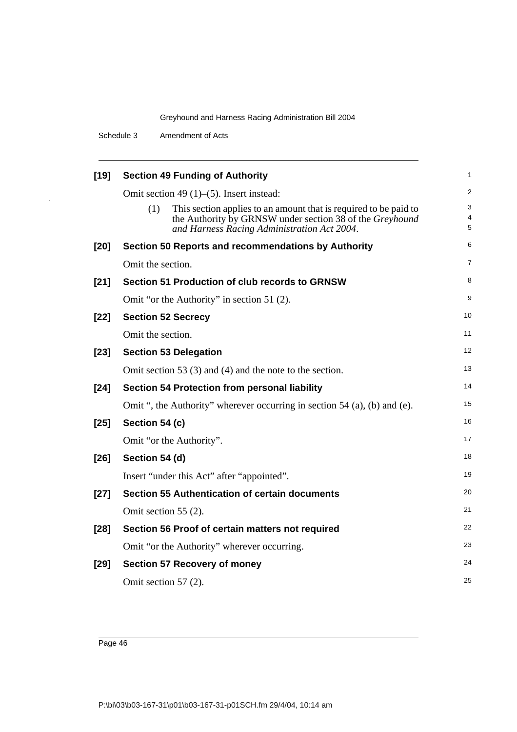Schedule 3 Amendment of Acts

| $[19]$ | <b>Section 49 Funding of Authority</b>                                                                                                                                                    | 1           |
|--------|-------------------------------------------------------------------------------------------------------------------------------------------------------------------------------------------|-------------|
|        | Omit section 49 $(1)$ – $(5)$ . Insert instead:                                                                                                                                           | 2           |
|        | (1)<br>This section applies to an amount that is required to be paid to<br>the Authority by GRNSW under section 38 of the <i>Greyhound</i><br>and Harness Racing Administration Act 2004. | 3<br>4<br>5 |
| $[20]$ | Section 50 Reports and recommendations by Authority                                                                                                                                       | 6           |
|        | Omit the section.                                                                                                                                                                         | 7           |
| $[21]$ | Section 51 Production of club records to GRNSW                                                                                                                                            | 8           |
|        | Omit "or the Authority" in section 51 (2).                                                                                                                                                | 9           |
| $[22]$ | <b>Section 52 Secrecy</b>                                                                                                                                                                 | 10          |
|        | Omit the section.                                                                                                                                                                         | 11          |
| $[23]$ | <b>Section 53 Delegation</b>                                                                                                                                                              | 12          |
|        | Omit section 53 $(3)$ and $(4)$ and the note to the section.                                                                                                                              | 13          |
| $[24]$ | Section 54 Protection from personal liability                                                                                                                                             | 14          |
|        | Omit ", the Authority" wherever occurring in section 54 (a), (b) and (e).                                                                                                                 | 15          |
| $[25]$ | Section 54 (c)                                                                                                                                                                            | 16          |
|        | Omit "or the Authority".                                                                                                                                                                  | 17          |
| $[26]$ | Section 54 (d)                                                                                                                                                                            | 18          |
|        | Insert "under this Act" after "appointed".                                                                                                                                                | 19          |
| $[27]$ | <b>Section 55 Authentication of certain documents</b>                                                                                                                                     | 20          |
|        | Omit section 55 (2).                                                                                                                                                                      | 21          |
| [28]   | Section 56 Proof of certain matters not required                                                                                                                                          | 22          |
|        | Omit "or the Authority" wherever occurring.                                                                                                                                               | 23          |
| [29]   | <b>Section 57 Recovery of money</b>                                                                                                                                                       | 24          |
|        | Omit section $57(2)$ .                                                                                                                                                                    | 25          |
|        |                                                                                                                                                                                           |             |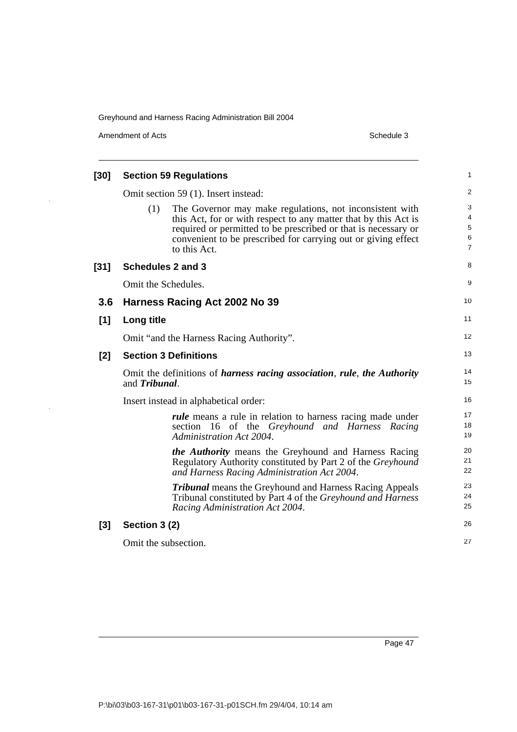Amendment of Acts Schedule 3

| $[30]$ | <b>Section 59 Regulations</b>                                                                                                                                                                                                                                                         | 1                                  |  |  |  |
|--------|---------------------------------------------------------------------------------------------------------------------------------------------------------------------------------------------------------------------------------------------------------------------------------------|------------------------------------|--|--|--|
|        | Omit section 59 (1). Insert instead:                                                                                                                                                                                                                                                  | $\overline{\mathbf{c}}$            |  |  |  |
|        | (1)<br>The Governor may make regulations, not inconsistent with<br>this Act, for or with respect to any matter that by this Act is<br>required or permitted to be prescribed or that is necessary or<br>convenient to be prescribed for carrying out or giving effect<br>to this Act. | 3<br>4<br>5<br>6<br>$\overline{7}$ |  |  |  |
| $[31]$ | Schedules 2 and 3                                                                                                                                                                                                                                                                     | 8                                  |  |  |  |
|        | Omit the Schedules.                                                                                                                                                                                                                                                                   | 9                                  |  |  |  |
| 3.6    | Harness Racing Act 2002 No 39                                                                                                                                                                                                                                                         | 10                                 |  |  |  |
| [1]    | Long title                                                                                                                                                                                                                                                                            | 11                                 |  |  |  |
|        | Omit "and the Harness Racing Authority".                                                                                                                                                                                                                                              | 12                                 |  |  |  |
| [2]    | <b>Section 3 Definitions</b>                                                                                                                                                                                                                                                          | 13                                 |  |  |  |
|        | Omit the definitions of harness racing association, rule, the Authority<br>and Tribunal.                                                                                                                                                                                              | 14<br>15                           |  |  |  |
|        | Insert instead in alphabetical order:                                                                                                                                                                                                                                                 |                                    |  |  |  |
|        | <i>rule</i> means a rule in relation to harness racing made under<br>section 16 of the Greyhound and Harness Racing<br>Administration Act 2004.                                                                                                                                       | 17<br>18<br>19                     |  |  |  |
|        | <i>the Authority</i> means the Greyhound and Harness Racing<br>Regulatory Authority constituted by Part 2 of the Greyhound<br>and Harness Racing Administration Act 2004.                                                                                                             | 20<br>21<br>22                     |  |  |  |
|        | <b>Tribunal</b> means the Greyhound and Harness Racing Appeals<br>Tribunal constituted by Part 4 of the Greyhound and Harness<br>Racing Administration Act 2004.                                                                                                                      | 23<br>24<br>25                     |  |  |  |
| [3]    | Section 3 (2)                                                                                                                                                                                                                                                                         | 26                                 |  |  |  |
|        | Omit the subsection.                                                                                                                                                                                                                                                                  | 27                                 |  |  |  |
|        |                                                                                                                                                                                                                                                                                       |                                    |  |  |  |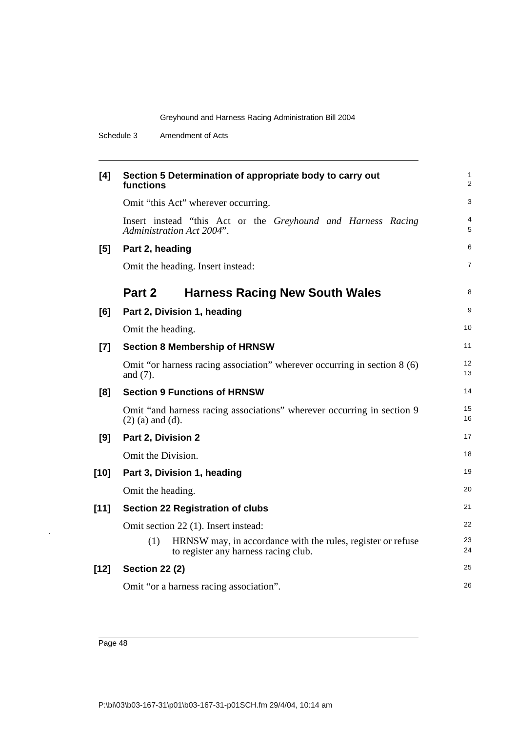Schedule 3 Amendment of Acts

| [4]    | Section 5 Determination of appropriate body to carry out<br>functions                                      | $\mathbf{1}$<br>$\overline{2}$ |
|--------|------------------------------------------------------------------------------------------------------------|--------------------------------|
|        | Omit "this Act" wherever occurring.                                                                        | 3                              |
|        | Insert instead "this Act or the Greyhound and Harness Racing<br>Administration Act 2004".                  | 4<br>5                         |
| [5]    | Part 2, heading                                                                                            | 6                              |
|        | Omit the heading. Insert instead:                                                                          | $\overline{7}$                 |
|        | <b>Harness Racing New South Wales</b><br>Part 2                                                            | 8                              |
| [6]    | Part 2, Division 1, heading                                                                                | 9                              |
|        | Omit the heading.                                                                                          | 10                             |
| $[7]$  | <b>Section 8 Membership of HRNSW</b>                                                                       | 11                             |
|        | Omit "or harness racing association" wherever occurring in section 8 (6)<br>and $(7)$ .                    | 12<br>13                       |
| [8]    | <b>Section 9 Functions of HRNSW</b>                                                                        | 14                             |
|        | Omit "and harness racing associations" wherever occurring in section 9<br>$(2)$ (a) and (d).               | 15<br>16                       |
| [9]    | Part 2, Division 2                                                                                         | 17                             |
|        | Omit the Division.                                                                                         | 18                             |
| $[10]$ | Part 3, Division 1, heading                                                                                | 19                             |
|        | Omit the heading.                                                                                          | 20                             |
| $[11]$ | <b>Section 22 Registration of clubs</b>                                                                    | 21                             |
|        | Omit section 22 (1). Insert instead:                                                                       | 22                             |
|        | HRNSW may, in accordance with the rules, register or refuse<br>(1)<br>to register any harness racing club. | 23<br>24                       |
| $[12]$ | <b>Section 22 (2)</b>                                                                                      | 25                             |
|        | Omit "or a harness racing association".                                                                    | 26                             |
|        |                                                                                                            |                                |

Page 48

i.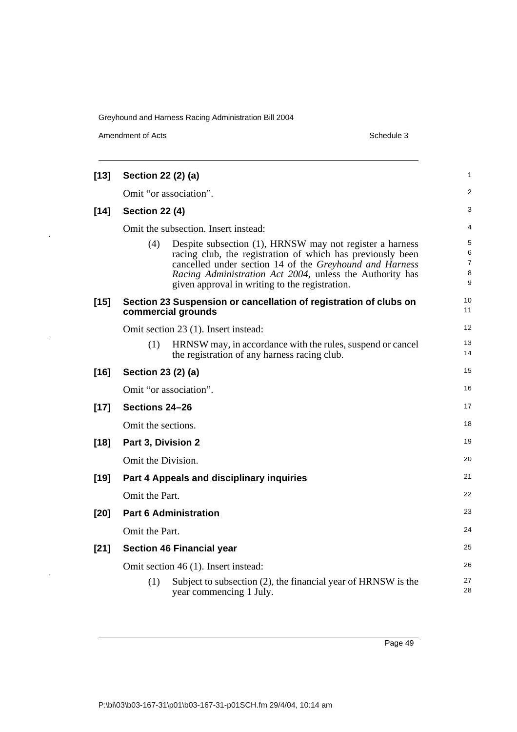Amendment of Acts Schedule 3

 $\bar{z}$ 

| $[13]$ | Section 22 (2) (a)                                                                                                                                                                                                                                                                                     | 1                     |
|--------|--------------------------------------------------------------------------------------------------------------------------------------------------------------------------------------------------------------------------------------------------------------------------------------------------------|-----------------------|
|        | Omit "or association".                                                                                                                                                                                                                                                                                 | 2                     |
| $[14]$ | <b>Section 22 (4)</b>                                                                                                                                                                                                                                                                                  | 3                     |
|        | Omit the subsection. Insert instead:                                                                                                                                                                                                                                                                   | 4                     |
|        | Despite subsection (1), HRNSW may not register a harness<br>(4)<br>racing club, the registration of which has previously been<br>cancelled under section 14 of the Greyhound and Harness<br>Racing Administration Act 2004, unless the Authority has<br>given approval in writing to the registration. | 5<br>6<br>7<br>8<br>9 |
| $[15]$ | Section 23 Suspension or cancellation of registration of clubs on<br>commercial grounds                                                                                                                                                                                                                | 10<br>11              |
|        | Omit section 23 (1). Insert instead:                                                                                                                                                                                                                                                                   | 12                    |
|        | (1)<br>HRNSW may, in accordance with the rules, suspend or cancel<br>the registration of any harness racing club.                                                                                                                                                                                      | 13<br>14              |
| $[16]$ | Section 23 (2) (a)                                                                                                                                                                                                                                                                                     | 15                    |
|        | Omit "or association".                                                                                                                                                                                                                                                                                 | 16                    |
| $[17]$ | Sections 24-26                                                                                                                                                                                                                                                                                         | 17                    |
|        | Omit the sections.                                                                                                                                                                                                                                                                                     | 18                    |
| $[18]$ | Part 3, Division 2                                                                                                                                                                                                                                                                                     | 19                    |
|        | Omit the Division.                                                                                                                                                                                                                                                                                     | 20                    |
| $[19]$ | Part 4 Appeals and disciplinary inquiries                                                                                                                                                                                                                                                              | 21                    |
|        | Omit the Part.                                                                                                                                                                                                                                                                                         | 22                    |
| $[20]$ | <b>Part 6 Administration</b>                                                                                                                                                                                                                                                                           | 23                    |
|        | Omit the Part.                                                                                                                                                                                                                                                                                         | 24                    |
| $[21]$ | <b>Section 46 Financial year</b>                                                                                                                                                                                                                                                                       | 25                    |
|        | Omit section 46 (1). Insert instead:                                                                                                                                                                                                                                                                   | 26                    |
|        | (1)<br>Subject to subsection (2), the financial year of HRNSW is the<br>year commencing 1 July.                                                                                                                                                                                                        | 27<br>28              |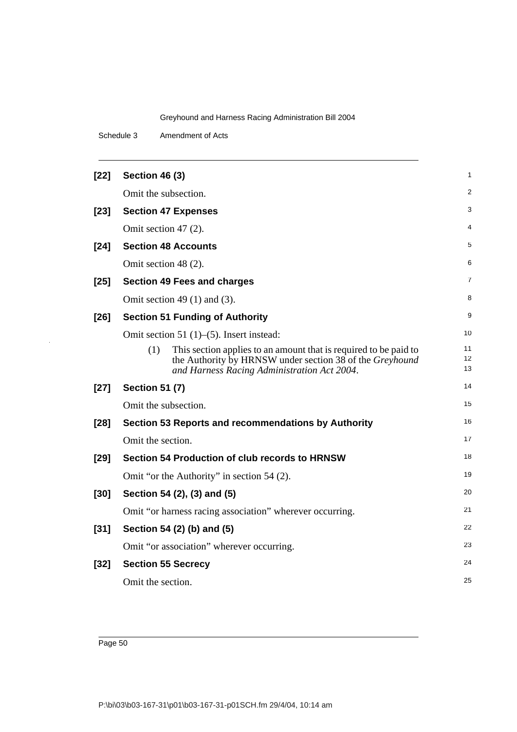Schedule 3 Amendment of Acts

| $[22]$ | <b>Section 46 (3)</b>                                                                                                                                                              | 1              |
|--------|------------------------------------------------------------------------------------------------------------------------------------------------------------------------------------|----------------|
|        | Omit the subsection.                                                                                                                                                               | 2              |
| $[23]$ | <b>Section 47 Expenses</b>                                                                                                                                                         | 3              |
|        | Omit section 47 (2).                                                                                                                                                               | 4              |
| $[24]$ | <b>Section 48 Accounts</b>                                                                                                                                                         | 5              |
|        | Omit section 48 (2).                                                                                                                                                               | 6              |
| $[25]$ | Section 49 Fees and charges                                                                                                                                                        | 7              |
|        | Omit section 49 $(1)$ and $(3)$ .                                                                                                                                                  | 8              |
| $[26]$ | <b>Section 51 Funding of Authority</b>                                                                                                                                             | 9              |
|        | Omit section 51 $(1)$ – $(5)$ . Insert instead:                                                                                                                                    | 10             |
|        | (1)<br>This section applies to an amount that is required to be paid to<br>the Authority by HRNSW under section 38 of the Greyhound<br>and Harness Racing Administration Act 2004. | 11<br>12<br>13 |
| $[27]$ | <b>Section 51 (7)</b>                                                                                                                                                              | 14             |
|        | Omit the subsection.                                                                                                                                                               | 15             |
| $[28]$ | Section 53 Reports and recommendations by Authority                                                                                                                                | 16             |
|        | Omit the section.                                                                                                                                                                  | 17             |
| $[29]$ | Section 54 Production of club records to HRNSW                                                                                                                                     | 18             |
|        | Omit "or the Authority" in section 54 (2).                                                                                                                                         | 19             |
| $[30]$ | Section 54 (2), (3) and (5)                                                                                                                                                        | 20             |
|        | Omit "or harness racing association" wherever occurring.                                                                                                                           | 21             |
| $[31]$ | Section 54 (2) (b) and (5)                                                                                                                                                         | 22             |
|        | Omit "or association" wherever occurring.                                                                                                                                          | 23             |
| $[32]$ | <b>Section 55 Secrecy</b>                                                                                                                                                          | 24             |
|        | Omit the section.                                                                                                                                                                  | 25             |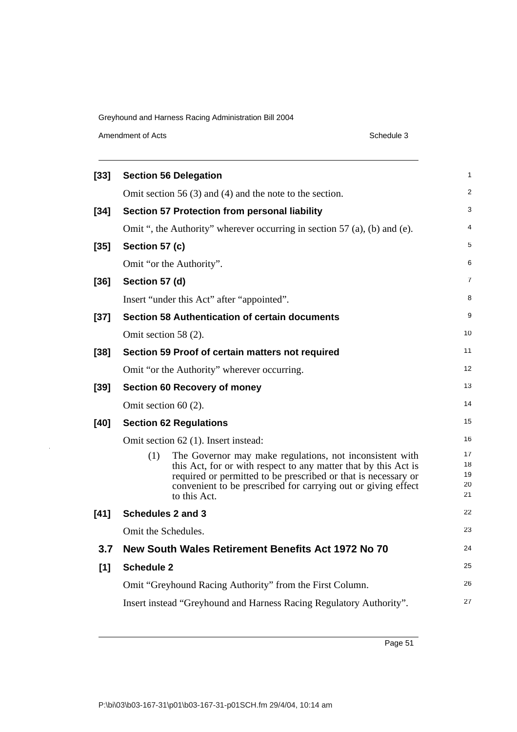Amendment of Acts Schedule 3

 $\overline{\phantom{a}}$ 

| $[33]$ |                        | <b>Section 56 Delegation</b>                                                                                                                                                                                                                                                   | 1                          |
|--------|------------------------|--------------------------------------------------------------------------------------------------------------------------------------------------------------------------------------------------------------------------------------------------------------------------------|----------------------------|
|        |                        | Omit section 56 $(3)$ and $(4)$ and the note to the section.                                                                                                                                                                                                                   | 2                          |
| $[34]$ |                        | Section 57 Protection from personal liability                                                                                                                                                                                                                                  | 3                          |
|        |                        | Omit ", the Authority" wherever occurring in section 57 (a), (b) and (e).                                                                                                                                                                                                      | 4                          |
| $[35]$ | Section 57 (c)         |                                                                                                                                                                                                                                                                                | 5                          |
|        |                        | Omit "or the Authority".                                                                                                                                                                                                                                                       | 6                          |
| $[36]$ | Section 57 (d)         |                                                                                                                                                                                                                                                                                | 7                          |
|        |                        | Insert "under this Act" after "appointed".                                                                                                                                                                                                                                     | 8                          |
| $[37]$ |                        | Section 58 Authentication of certain documents                                                                                                                                                                                                                                 | 9                          |
|        | Omit section 58 (2).   |                                                                                                                                                                                                                                                                                | 10                         |
| $[38]$ |                        | Section 59 Proof of certain matters not required                                                                                                                                                                                                                               | 11                         |
|        |                        | Omit "or the Authority" wherever occurring.                                                                                                                                                                                                                                    | 12                         |
| $[39]$ |                        | <b>Section 60 Recovery of money</b>                                                                                                                                                                                                                                            | 13                         |
|        | Omit section $60(2)$ . |                                                                                                                                                                                                                                                                                | 14                         |
| $[40]$ |                        | <b>Section 62 Regulations</b>                                                                                                                                                                                                                                                  | 15                         |
|        |                        | Omit section 62 (1). Insert instead:                                                                                                                                                                                                                                           | 16                         |
|        | (1)                    | The Governor may make regulations, not inconsistent with<br>this Act, for or with respect to any matter that by this Act is<br>required or permitted to be prescribed or that is necessary or<br>convenient to be prescribed for carrying out or giving effect<br>to this Act. | 17<br>18<br>19<br>20<br>21 |
| $[41]$ | Schedules 2 and 3      |                                                                                                                                                                                                                                                                                | 22                         |
|        | Omit the Schedules.    |                                                                                                                                                                                                                                                                                | 23                         |
| 3.7    |                        | New South Wales Retirement Benefits Act 1972 No 70                                                                                                                                                                                                                             | 24                         |
| $[1]$  | <b>Schedule 2</b>      |                                                                                                                                                                                                                                                                                | 25                         |
|        |                        | Omit "Greyhound Racing Authority" from the First Column.                                                                                                                                                                                                                       | 26                         |
|        |                        | Insert instead "Greyhound and Harness Racing Regulatory Authority".                                                                                                                                                                                                            | 27                         |
|        |                        |                                                                                                                                                                                                                                                                                |                            |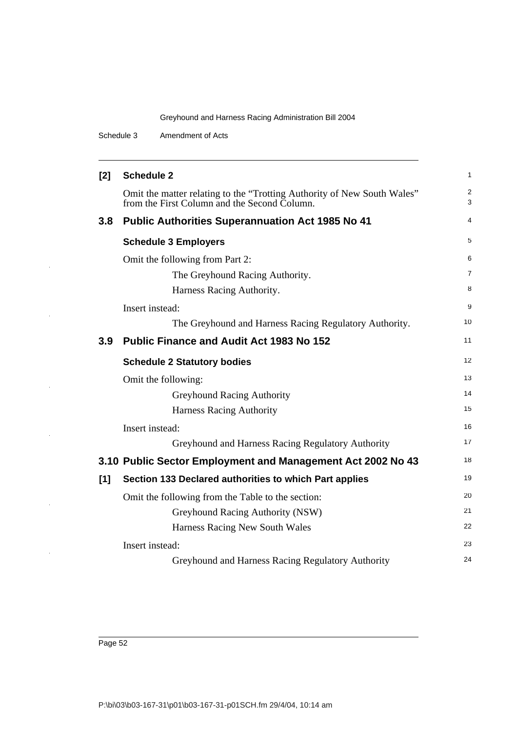| [2] | <b>Schedule 2</b>                                                                                                       | $\mathbf{1}$   |
|-----|-------------------------------------------------------------------------------------------------------------------------|----------------|
|     | Omit the matter relating to the "Trotting Authority of New South Wales"<br>from the First Column and the Second Column. | 2<br>3         |
| 3.8 | <b>Public Authorities Superannuation Act 1985 No 41</b>                                                                 | $\overline{4}$ |
|     | <b>Schedule 3 Employers</b>                                                                                             | 5              |
|     | Omit the following from Part 2:                                                                                         | 6              |
|     | The Greyhound Racing Authority.                                                                                         | $\overline{7}$ |
|     | Harness Racing Authority.                                                                                               | 8              |
|     | Insert instead:                                                                                                         | 9              |
|     | The Greyhound and Harness Racing Regulatory Authority.                                                                  | 10             |
| 3.9 | <b>Public Finance and Audit Act 1983 No 152</b>                                                                         | 11             |
|     | <b>Schedule 2 Statutory bodies</b>                                                                                      | 12             |
|     | Omit the following:                                                                                                     | 13             |
|     | <b>Greyhound Racing Authority</b>                                                                                       | 14             |
|     | <b>Harness Racing Authority</b>                                                                                         | 15             |
|     | Insert instead:                                                                                                         | 16             |
|     | Greyhound and Harness Racing Regulatory Authority                                                                       | 17             |
|     | 3.10 Public Sector Employment and Management Act 2002 No 43                                                             | 18             |
| [1] | Section 133 Declared authorities to which Part applies                                                                  | 19             |
|     | Omit the following from the Table to the section:                                                                       | 20             |
|     | Greyhound Racing Authority (NSW)                                                                                        | 21             |
|     | Harness Racing New South Wales                                                                                          | 22             |
|     | Insert instead:                                                                                                         | 23             |
|     | Greyhound and Harness Racing Regulatory Authority                                                                       | 24             |

Page 52

 $\bar{z}$ 

 $\bar{z}$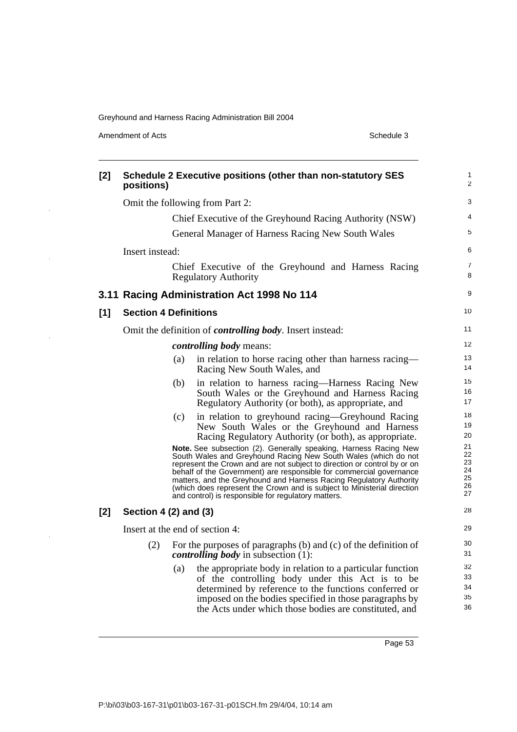Amendment of Acts Schedule 3

i.

| [2]   | positions)                   |     | Schedule 2 Executive positions (other than non-statutory SES                                                                                                                                                                                                                                                                                                                                                                                                                                  | 1<br>2                                 |
|-------|------------------------------|-----|-----------------------------------------------------------------------------------------------------------------------------------------------------------------------------------------------------------------------------------------------------------------------------------------------------------------------------------------------------------------------------------------------------------------------------------------------------------------------------------------------|----------------------------------------|
|       |                              |     | Omit the following from Part 2:                                                                                                                                                                                                                                                                                                                                                                                                                                                               | 3                                      |
|       |                              |     | Chief Executive of the Greyhound Racing Authority (NSW)                                                                                                                                                                                                                                                                                                                                                                                                                                       | 4                                      |
|       |                              |     | General Manager of Harness Racing New South Wales                                                                                                                                                                                                                                                                                                                                                                                                                                             | 5                                      |
|       | Insert instead:              |     |                                                                                                                                                                                                                                                                                                                                                                                                                                                                                               | 6                                      |
|       |                              |     | Chief Executive of the Greyhound and Harness Racing<br><b>Regulatory Authority</b>                                                                                                                                                                                                                                                                                                                                                                                                            | 7<br>8                                 |
|       |                              |     | 3.11 Racing Administration Act 1998 No 114                                                                                                                                                                                                                                                                                                                                                                                                                                                    | 9                                      |
| $[1]$ | <b>Section 4 Definitions</b> |     |                                                                                                                                                                                                                                                                                                                                                                                                                                                                                               | 10                                     |
|       |                              |     | Omit the definition of <i>controlling body</i> . Insert instead:                                                                                                                                                                                                                                                                                                                                                                                                                              | 11                                     |
|       |                              |     | <i>controlling body</i> means:                                                                                                                                                                                                                                                                                                                                                                                                                                                                | 12                                     |
|       |                              | (a) | in relation to horse racing other than harness racing—<br>Racing New South Wales, and                                                                                                                                                                                                                                                                                                                                                                                                         | 13<br>14                               |
|       |                              | (b) | in relation to harness racing—Harness Racing New<br>South Wales or the Greyhound and Harness Racing<br>Regulatory Authority (or both), as appropriate, and                                                                                                                                                                                                                                                                                                                                    | 15<br>16<br>17                         |
|       |                              | (c) | in relation to greyhound racing—Greyhound Racing<br>New South Wales or the Greyhound and Harness<br>Racing Regulatory Authority (or both), as appropriate.                                                                                                                                                                                                                                                                                                                                    | 18<br>19<br>20                         |
|       |                              |     | Note. See subsection (2). Generally speaking, Harness Racing New<br>South Wales and Greyhound Racing New South Wales (which do not<br>represent the Crown and are not subject to direction or control by or on<br>behalf of the Government) are responsible for commercial governance<br>matters, and the Greyhound and Harness Racing Regulatory Authority<br>(which does represent the Crown and is subject to Ministerial direction<br>and control) is responsible for regulatory matters. | 21<br>22<br>23<br>24<br>25<br>26<br>27 |
| [2]   | Section $4(2)$ and $(3)$     |     |                                                                                                                                                                                                                                                                                                                                                                                                                                                                                               | 28                                     |
|       |                              |     | Insert at the end of section 4:                                                                                                                                                                                                                                                                                                                                                                                                                                                               | 29                                     |
|       | (2)                          |     | For the purposes of paragraphs $(b)$ and $(c)$ of the definition of<br><i>controlling body</i> in subsection (1):                                                                                                                                                                                                                                                                                                                                                                             | 30<br>31                               |
|       |                              | (a) | the appropriate body in relation to a particular function<br>of the controlling body under this Act is to be<br>determined by reference to the functions conferred or<br>imposed on the bodies specified in those paragraphs by<br>the Acts under which those bodies are constituted, and                                                                                                                                                                                                     | 32<br>33<br>34<br>35<br>36             |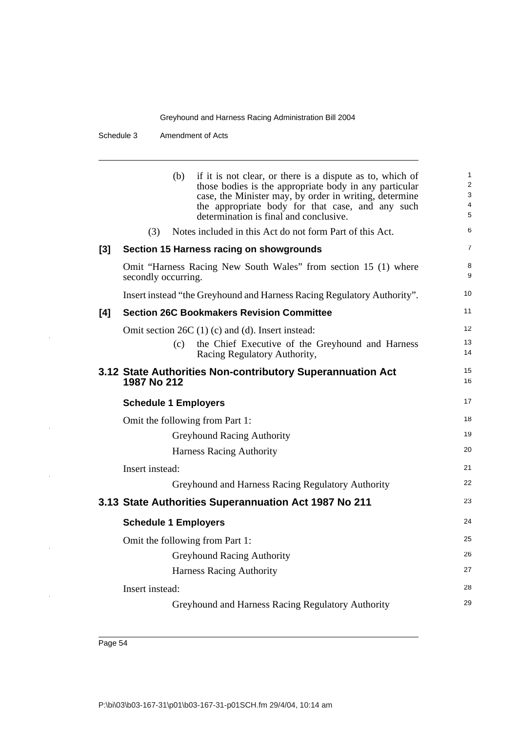Schedule 3 Amendment of Acts

|     |                             | (b) | if it is not clear, or there is a dispute as to, which of<br>those bodies is the appropriate body in any particular<br>case, the Minister may, by order in writing, determine<br>the appropriate body for that case, and any such<br>determination is final and conclusive. | $\mathbf{1}$<br>$\overline{2}$<br>3<br>$\overline{4}$<br>5 |
|-----|-----------------------------|-----|-----------------------------------------------------------------------------------------------------------------------------------------------------------------------------------------------------------------------------------------------------------------------------|------------------------------------------------------------|
|     | (3)                         |     | Notes included in this Act do not form Part of this Act.                                                                                                                                                                                                                    | 6                                                          |
| [3] |                             |     | Section 15 Harness racing on showgrounds                                                                                                                                                                                                                                    | $\overline{7}$                                             |
|     | secondly occurring.         |     | Omit "Harness Racing New South Wales" from section 15 (1) where                                                                                                                                                                                                             | 8<br>9                                                     |
|     |                             |     | Insert instead "the Greyhound and Harness Racing Regulatory Authority".                                                                                                                                                                                                     | 10                                                         |
| [4] |                             |     | <b>Section 26C Bookmakers Revision Committee</b>                                                                                                                                                                                                                            | 11                                                         |
|     |                             | (c) | Omit section $26C(1)(c)$ and (d). Insert instead:<br>the Chief Executive of the Greyhound and Harness<br>Racing Regulatory Authority,                                                                                                                                       | 12 <sup>2</sup><br>13<br>14                                |
|     | 1987 No 212                 |     | 3.12 State Authorities Non-contributory Superannuation Act                                                                                                                                                                                                                  | 15<br>16                                                   |
|     | <b>Schedule 1 Employers</b> |     |                                                                                                                                                                                                                                                                             | 17                                                         |
|     |                             |     | Omit the following from Part 1:                                                                                                                                                                                                                                             | 18                                                         |
|     |                             |     | <b>Greyhound Racing Authority</b>                                                                                                                                                                                                                                           | 19                                                         |
|     |                             |     | Harness Racing Authority                                                                                                                                                                                                                                                    | 20                                                         |
|     | Insert instead:             |     |                                                                                                                                                                                                                                                                             | 21                                                         |
|     |                             |     | Greyhound and Harness Racing Regulatory Authority                                                                                                                                                                                                                           | 22                                                         |
|     |                             |     | 3.13 State Authorities Superannuation Act 1987 No 211                                                                                                                                                                                                                       | 23                                                         |
|     | <b>Schedule 1 Employers</b> |     |                                                                                                                                                                                                                                                                             | 24                                                         |
|     |                             |     | Omit the following from Part 1:                                                                                                                                                                                                                                             | 25                                                         |
|     |                             |     | <b>Greyhound Racing Authority</b>                                                                                                                                                                                                                                           | 26                                                         |
|     |                             |     | Harness Racing Authority                                                                                                                                                                                                                                                    | 27                                                         |
|     | Insert instead:             |     |                                                                                                                                                                                                                                                                             | 28                                                         |
|     |                             |     | Greyhound and Harness Racing Regulatory Authority                                                                                                                                                                                                                           | 29                                                         |
|     |                             |     |                                                                                                                                                                                                                                                                             |                                                            |

Page 54

ý,

 $\overline{\phantom{a}}$ 

 $\bar{z}$ 

 $\frac{1}{2}$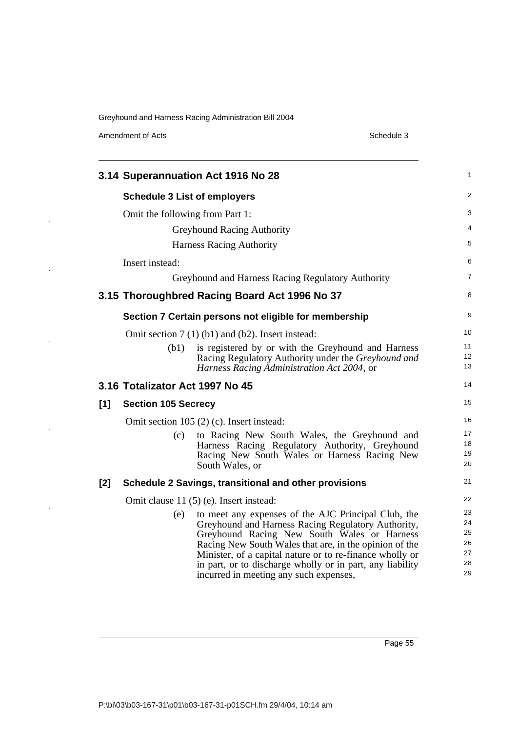Amendment of Acts Schedule 3

 $\ddot{\phantom{1}}$ 

 $\ddot{\phantom{a}}$ 

 $\bar{z}$ 

|       |                                     | 3.14 Superannuation Act 1916 No 28                                                                                                                                                                                                                                                                                                                                                    | 1                                      |  |  |
|-------|-------------------------------------|---------------------------------------------------------------------------------------------------------------------------------------------------------------------------------------------------------------------------------------------------------------------------------------------------------------------------------------------------------------------------------------|----------------------------------------|--|--|
|       | <b>Schedule 3 List of employers</b> |                                                                                                                                                                                                                                                                                                                                                                                       | $\overline{c}$                         |  |  |
|       | Omit the following from Part 1:     |                                                                                                                                                                                                                                                                                                                                                                                       |                                        |  |  |
|       |                                     | <b>Greyhound Racing Authority</b>                                                                                                                                                                                                                                                                                                                                                     | 4                                      |  |  |
|       |                                     | Harness Racing Authority                                                                                                                                                                                                                                                                                                                                                              | 5                                      |  |  |
|       | Insert instead:                     |                                                                                                                                                                                                                                                                                                                                                                                       | 6                                      |  |  |
|       |                                     | Greyhound and Harness Racing Regulatory Authority                                                                                                                                                                                                                                                                                                                                     | 7                                      |  |  |
|       |                                     | 3.15 Thoroughbred Racing Board Act 1996 No 37                                                                                                                                                                                                                                                                                                                                         | 8                                      |  |  |
|       |                                     | Section 7 Certain persons not eligible for membership                                                                                                                                                                                                                                                                                                                                 | 9                                      |  |  |
|       |                                     | Omit section $7(1)(b1)$ and $(b2)$ . Insert instead:                                                                                                                                                                                                                                                                                                                                  | 10                                     |  |  |
|       | (b1)                                | is registered by or with the Greyhound and Harness<br>Racing Regulatory Authority under the Greyhound and<br>Harness Racing Administration Act 2004, or                                                                                                                                                                                                                               | 11<br>12<br>13                         |  |  |
|       | 3.16 Totalizator Act 1997 No 45     |                                                                                                                                                                                                                                                                                                                                                                                       | 14                                     |  |  |
| $[1]$ | <b>Section 105 Secrecy</b>          |                                                                                                                                                                                                                                                                                                                                                                                       | 15                                     |  |  |
|       |                                     | Omit section 105 (2) (c). Insert instead:                                                                                                                                                                                                                                                                                                                                             | 16                                     |  |  |
|       | (c)                                 | to Racing New South Wales, the Greyhound and<br>Harness Racing Regulatory Authority, Greyhound<br>Racing New South Wales or Harness Racing New<br>South Wales, or                                                                                                                                                                                                                     | 17<br>18<br>19<br>20                   |  |  |
| [2]   |                                     | Schedule 2 Savings, transitional and other provisions                                                                                                                                                                                                                                                                                                                                 | 21                                     |  |  |
|       |                                     | Omit clause 11 (5) (e). Insert instead:                                                                                                                                                                                                                                                                                                                                               | 22                                     |  |  |
|       | (e)                                 | to meet any expenses of the AJC Principal Club, the<br>Greyhound and Harness Racing Regulatory Authority,<br>Greyhound Racing New South Wales or Harness<br>Racing New South Wales that are, in the opinion of the<br>Minister, of a capital nature or to re-finance wholly or<br>in part, or to discharge wholly or in part, any liability<br>incurred in meeting any such expenses, | 23<br>24<br>25<br>26<br>27<br>28<br>29 |  |  |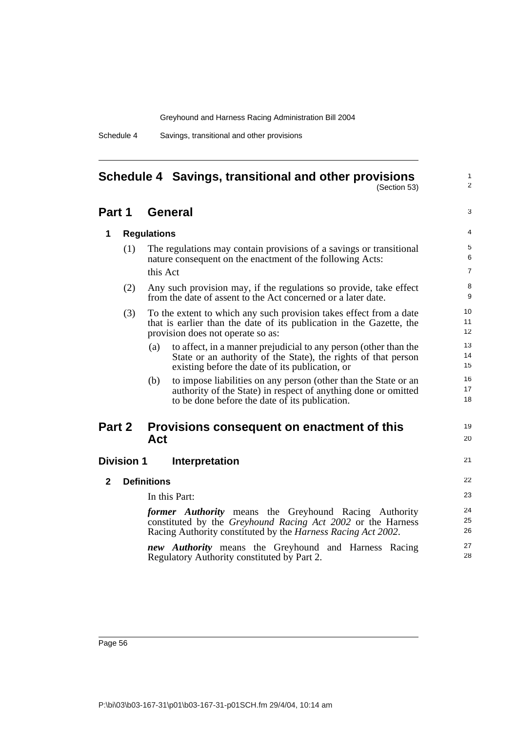Schedule 4 Savings, transitional and other provisions

| Schedule 4 Savings, transitional and other provisions |  |  |              |
|-------------------------------------------------------|--|--|--------------|
|                                                       |  |  | (Section 53) |

1 2

3

19 20

21

| <b>General</b><br>Part 1 |  |
|--------------------------|--|
|--------------------------|--|

### **1 Regulations**

- (1) The regulations may contain provisions of a savings or transitional nature consequent on the enactment of the following Acts: this Act
- (2) Any such provision may, if the regulations so provide, take effect from the date of assent to the Act concerned or a later date.
- (3) To the extent to which any such provision takes effect from a date that is earlier than the date of its publication in the Gazette, the provision does not operate so as:
	- (a) to affect, in a manner prejudicial to any person (other than the State or an authority of the State), the rights of that person existing before the date of its publication, or
	- (b) to impose liabilities on any person (other than the State or an authority of the State) in respect of anything done or omitted to be done before the date of its publication.

# **Part 2 Provisions consequent on enactment of this Act**

### **Division 1 Interpretation**

| $\mathbf{2}^-$ | <b>Definitions</b>                                                                                                                                                                   | 22             |
|----------------|--------------------------------------------------------------------------------------------------------------------------------------------------------------------------------------|----------------|
|                | In this Part:                                                                                                                                                                        | 23             |
|                | former Authority means the Greyhound Racing Authority<br>constituted by the Greyhound Racing Act 2002 or the Harness<br>Racing Authority constituted by the Harness Racing Act 2002. | 24<br>25<br>26 |
|                | new Authority means the Greyhound and Harness Racing<br>Regulatory Authority constituted by Part 2.                                                                                  | 27<br>28       |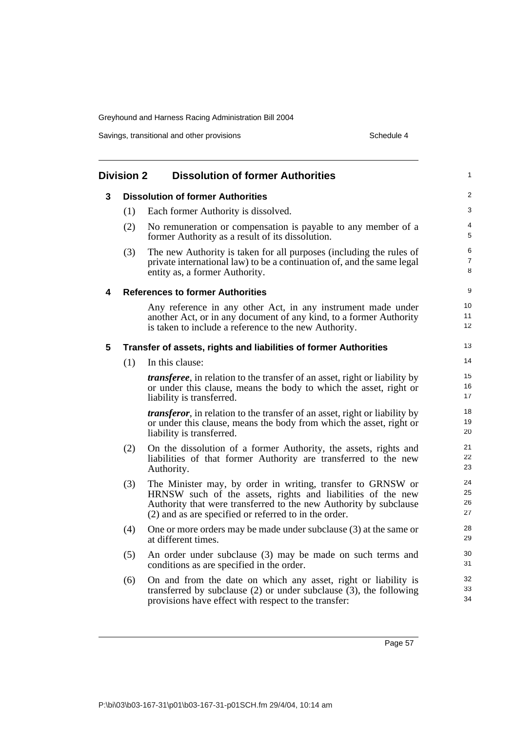Savings, transitional and other provisions Schedule 4

|                 | <b>Division 2</b>                                                | <b>Dissolution of former Authorities</b>                                                                                                                                                                                                                 | $\mathbf{1}$         |  |  |
|-----------------|------------------------------------------------------------------|----------------------------------------------------------------------------------------------------------------------------------------------------------------------------------------------------------------------------------------------------------|----------------------|--|--|
| 3               |                                                                  | <b>Dissolution of former Authorities</b>                                                                                                                                                                                                                 | $\overline{2}$       |  |  |
|                 | (1)                                                              | Each former Authority is dissolved.                                                                                                                                                                                                                      | 3                    |  |  |
|                 | (2)                                                              | No remuneration or compensation is payable to any member of a<br>former Authority as a result of its dissolution.                                                                                                                                        | 4<br>5               |  |  |
|                 | (3)                                                              | The new Authority is taken for all purposes (including the rules of<br>private international law) to be a continuation of, and the same legal<br>entity as, a former Authority.                                                                          | 6<br>7<br>8          |  |  |
| 4               | <b>References to former Authorities</b>                          |                                                                                                                                                                                                                                                          |                      |  |  |
|                 |                                                                  | Any reference in any other Act, in any instrument made under<br>another Act, or in any document of any kind, to a former Authority<br>is taken to include a reference to the new Authority.                                                              | 10<br>11<br>12       |  |  |
| $5\phantom{.0}$ | Transfer of assets, rights and liabilities of former Authorities |                                                                                                                                                                                                                                                          |                      |  |  |
|                 | (1)                                                              | In this clause:                                                                                                                                                                                                                                          | 14                   |  |  |
|                 |                                                                  | <i>transferee</i> , in relation to the transfer of an asset, right or liability by<br>or under this clause, means the body to which the asset, right or<br>liability is transferred.                                                                     | 15<br>16<br>17       |  |  |
|                 |                                                                  | <i>transferor</i> , in relation to the transfer of an asset, right or liability by<br>or under this clause, means the body from which the asset, right or<br>liability is transferred.                                                                   | 18<br>19<br>20       |  |  |
|                 | (2)                                                              | On the dissolution of a former Authority, the assets, rights and<br>liabilities of that former Authority are transferred to the new<br>Authority.                                                                                                        | 21<br>22<br>23       |  |  |
|                 | (3)                                                              | The Minister may, by order in writing, transfer to GRNSW or<br>HRNSW such of the assets, rights and liabilities of the new<br>Authority that were transferred to the new Authority by subclause<br>(2) and as are specified or referred to in the order. | 24<br>25<br>26<br>27 |  |  |
|                 | (4)                                                              | One or more orders may be made under subclause (3) at the same or<br>at different times.                                                                                                                                                                 | 28<br>29             |  |  |
|                 | (5)                                                              | An order under subclause (3) may be made on such terms and<br>conditions as are specified in the order.                                                                                                                                                  | 30<br>31             |  |  |
|                 | (6)                                                              | On and from the date on which any asset, right or liability is<br>transferred by subclause $(2)$ or under subclause $(3)$ , the following<br>provisions have effect with respect to the transfer:                                                        | 32<br>33<br>34       |  |  |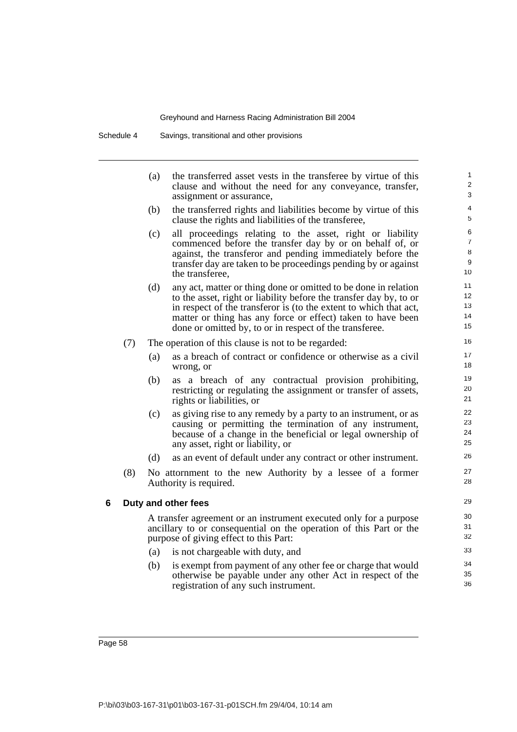|   |     | (a) | the transferred asset vests in the transferee by virtue of this<br>clause and without the need for any conveyance, transfer,                                                                                                                                                                                                         | 1<br>2                                             |
|---|-----|-----|--------------------------------------------------------------------------------------------------------------------------------------------------------------------------------------------------------------------------------------------------------------------------------------------------------------------------------------|----------------------------------------------------|
|   |     |     | assignment or assurance,                                                                                                                                                                                                                                                                                                             | 3                                                  |
|   |     | (b) | the transferred rights and liabilities become by virtue of this<br>clause the rights and liabilities of the transferee,                                                                                                                                                                                                              | 4<br>5                                             |
|   |     | (c) | all proceedings relating to the asset, right or liability<br>commenced before the transfer day by or on behalf of, or<br>against, the transferor and pending immediately before the<br>transfer day are taken to be proceedings pending by or against<br>the transferee,                                                             | 6<br>$\overline{7}$<br>8<br>$\boldsymbol{9}$<br>10 |
|   |     | (d) | any act, matter or thing done or omitted to be done in relation<br>to the asset, right or liability before the transfer day by, to or<br>in respect of the transferor is (to the extent to which that act,<br>matter or thing has any force or effect) taken to have been<br>done or omitted by, to or in respect of the transferee. | 11<br>12<br>13<br>14<br>15                         |
|   | (7) |     | The operation of this clause is not to be regarded:                                                                                                                                                                                                                                                                                  | 16                                                 |
|   |     | (a) | as a breach of contract or confidence or otherwise as a civil<br>wrong, or                                                                                                                                                                                                                                                           | 17<br>18                                           |
|   |     | (b) | as a breach of any contractual provision prohibiting,<br>restricting or regulating the assignment or transfer of assets,<br>rights or liabilities, or                                                                                                                                                                                | 19<br>20<br>21                                     |
|   |     | (c) | as giving rise to any remedy by a party to an instrument, or as<br>causing or permitting the termination of any instrument,<br>because of a change in the beneficial or legal ownership of<br>any asset, right or liability, or                                                                                                      | 22<br>23<br>24<br>25                               |
|   |     | (d) | as an event of default under any contract or other instrument.                                                                                                                                                                                                                                                                       | 26                                                 |
|   | (8) |     | No attornment to the new Authority by a lessee of a former<br>Authority is required.                                                                                                                                                                                                                                                 | 27<br>28                                           |
| 6 |     |     | Duty and other fees                                                                                                                                                                                                                                                                                                                  | 29                                                 |
|   |     |     | A transfer agreement or an instrument executed only for a purpose<br>ancillary to or consequential on the operation of this Part or the<br>purpose of giving effect to this Part:                                                                                                                                                    | 30<br>31<br>32                                     |
|   |     | (a) | is not chargeable with duty, and                                                                                                                                                                                                                                                                                                     | 33                                                 |
|   |     | (b) | is exempt from payment of any other fee or charge that would<br>otherwise be payable under any other Act in respect of the<br>registration of any such instrument.                                                                                                                                                                   | 34<br>35<br>36                                     |
|   |     |     |                                                                                                                                                                                                                                                                                                                                      |                                                    |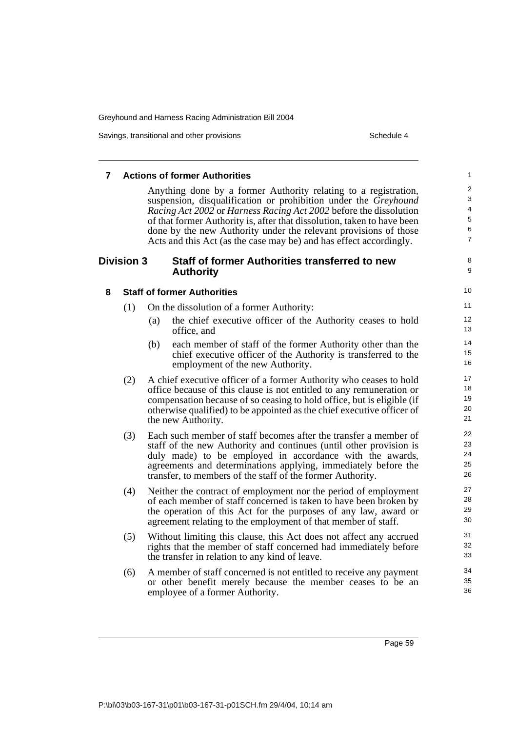Savings, transitional and other provisions Schedule 4 and the state of the Schedule 4

### **7 Actions of former Authorities** Anything done by a former Authority relating to a registration, suspension, disqualification or prohibition under the *Greyhound Racing Act 2002* or *Harness Racing Act 2002* before the dissolution of that former Authority is, after that dissolution, taken to have been done by the new Authority under the relevant provisions of those Acts and this Act (as the case may be) and has effect accordingly. **Division 3 Staff of former Authorities transferred to new Authority 8 Staff of former Authorities** (1) On the dissolution of a former Authority: (a) the chief executive officer of the Authority ceases to hold office, and (b) each member of staff of the former Authority other than the chief executive officer of the Authority is transferred to the employment of the new Authority. (2) A chief executive officer of a former Authority who ceases to hold office because of this clause is not entitled to any remuneration or compensation because of so ceasing to hold office, but is eligible (if otherwise qualified) to be appointed as the chief executive officer of the new Authority. (3) Each such member of staff becomes after the transfer a member of staff of the new Authority and continues (until other provision is duly made) to be employed in accordance with the awards, agreements and determinations applying, immediately before the transfer, to members of the staff of the former Authority. (4) Neither the contract of employment nor the period of employment of each member of staff concerned is taken to have been broken by the operation of this Act for the purposes of any law, award or agreement relating to the employment of that member of staff. (5) Without limiting this clause, this Act does not affect any accrued rights that the member of staff concerned had immediately before the transfer in relation to any kind of leave. (6) A member of staff concerned is not entitled to receive any payment or other benefit merely because the member ceases to be an employee of a former Authority. 1  $\overline{2}$ 3 4 5 6 7 8 9 10 11 12 13 14 15 16 17 18 19 20 21 22 23 24 25 26 27 28 29 30 31 32 33 34 35 36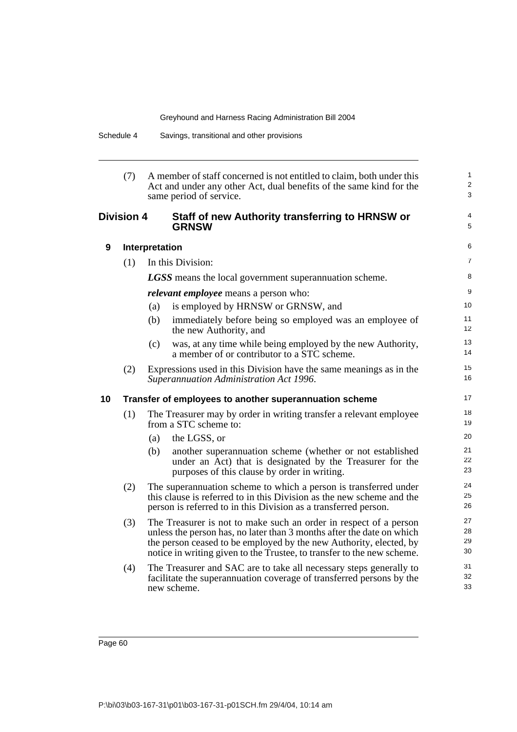| Schedule 4 | Savings, transitional and other provisions |  |  |
|------------|--------------------------------------------|--|--|
|            |                                            |  |  |

|                   | (7) | A member of staff concerned is not entitled to claim, both under this<br>Act and under any other Act, dual benefits of the same kind for the<br>same period of service.                                                                                                                    |                                                                                                                                                                        |                |  |  |
|-------------------|-----|--------------------------------------------------------------------------------------------------------------------------------------------------------------------------------------------------------------------------------------------------------------------------------------------|------------------------------------------------------------------------------------------------------------------------------------------------------------------------|----------------|--|--|
| <b>Division 4</b> |     |                                                                                                                                                                                                                                                                                            | Staff of new Authority transferring to HRNSW or<br><b>GRNSW</b>                                                                                                        | 4<br>5         |  |  |
| 9                 |     | Interpretation                                                                                                                                                                                                                                                                             |                                                                                                                                                                        | 6              |  |  |
|                   | (1) |                                                                                                                                                                                                                                                                                            | In this Division:                                                                                                                                                      | $\overline{7}$ |  |  |
|                   |     |                                                                                                                                                                                                                                                                                            | <b>LGSS</b> means the local government superannuation scheme.                                                                                                          | 8              |  |  |
|                   |     |                                                                                                                                                                                                                                                                                            | <i>relevant employee</i> means a person who:                                                                                                                           | 9              |  |  |
|                   |     | (a)                                                                                                                                                                                                                                                                                        | is employed by HRNSW or GRNSW, and                                                                                                                                     | 10             |  |  |
|                   |     | (b)                                                                                                                                                                                                                                                                                        | immediately before being so employed was an employee of<br>the new Authority, and                                                                                      | 11<br>12       |  |  |
|                   |     | (c)                                                                                                                                                                                                                                                                                        | was, at any time while being employed by the new Authority,<br>a member of or contributor to a STC scheme.                                                             | 13<br>14       |  |  |
|                   | (2) |                                                                                                                                                                                                                                                                                            | Expressions used in this Division have the same meanings as in the<br>Superannuation Administration Act 1996.                                                          | 15<br>16       |  |  |
| 10                |     |                                                                                                                                                                                                                                                                                            | Transfer of employees to another superannuation scheme                                                                                                                 | 17             |  |  |
|                   | (1) |                                                                                                                                                                                                                                                                                            | The Treasurer may by order in writing transfer a relevant employee<br>from a STC scheme to:                                                                            | 18<br>19       |  |  |
|                   |     | (a)                                                                                                                                                                                                                                                                                        | the LGSS, or                                                                                                                                                           | 20             |  |  |
|                   |     | (b)                                                                                                                                                                                                                                                                                        | another superannuation scheme (whether or not established<br>under an Act) that is designated by the Treasurer for the<br>purposes of this clause by order in writing. | 21<br>22<br>23 |  |  |
|                   | (2) | The superannuation scheme to which a person is transferred under<br>this clause is referred to in this Division as the new scheme and the<br>person is referred to in this Division as a transferred person.                                                                               |                                                                                                                                                                        |                |  |  |
|                   | (3) | The Treasurer is not to make such an order in respect of a person<br>unless the person has, no later than 3 months after the date on which<br>the person ceased to be employed by the new Authority, elected, by<br>notice in writing given to the Trustee, to transfer to the new scheme. |                                                                                                                                                                        |                |  |  |
|                   | (4) |                                                                                                                                                                                                                                                                                            | The Treasurer and SAC are to take all necessary steps generally to<br>facilitate the superannuation coverage of transferred persons by the<br>new scheme.              | 31<br>32<br>33 |  |  |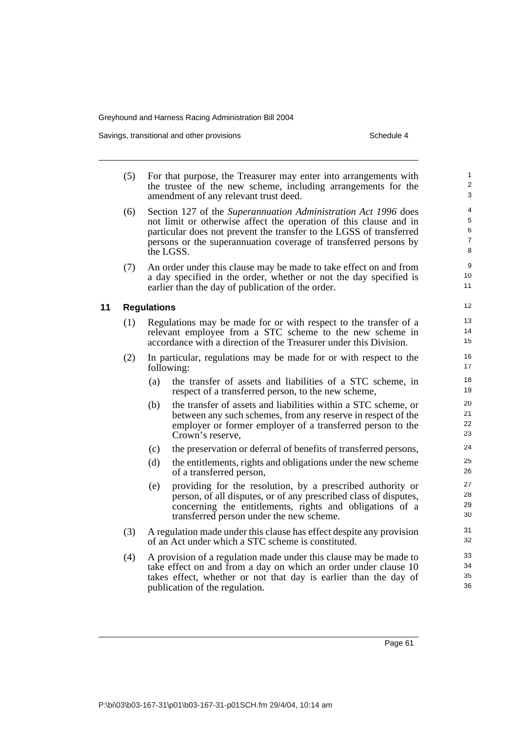Savings, transitional and other provisions Schedule 4

|    | (5)                |                                                                                                                            | For that purpose, the Treasurer may enter into arrangements with<br>the trustee of the new scheme, including arrangements for the<br>amendment of any relevant trust deed.                                                                                                                  | $\mathbf{1}$<br>$\overline{2}$<br>3 |
|----|--------------------|----------------------------------------------------------------------------------------------------------------------------|---------------------------------------------------------------------------------------------------------------------------------------------------------------------------------------------------------------------------------------------------------------------------------------------|-------------------------------------|
|    | (6)                |                                                                                                                            | Section 127 of the Superannuation Administration Act 1996 does<br>not limit or otherwise affect the operation of this clause and in<br>particular does not prevent the transfer to the LGSS of transferred<br>persons or the superannuation coverage of transferred persons by<br>the LGSS. | 4<br>5<br>6<br>$\overline{7}$<br>8  |
|    | (7)                |                                                                                                                            | An order under this clause may be made to take effect on and from<br>a day specified in the order, whether or not the day specified is<br>earlier than the day of publication of the order.                                                                                                 | 9<br>10<br>11                       |
| 11 | <b>Regulations</b> |                                                                                                                            |                                                                                                                                                                                                                                                                                             |                                     |
|    | (1)                |                                                                                                                            | Regulations may be made for or with respect to the transfer of a<br>relevant employee from a STC scheme to the new scheme in<br>accordance with a direction of the Treasurer under this Division.                                                                                           | 13<br>14<br>15                      |
|    | (2)                | In particular, regulations may be made for or with respect to the<br>following:                                            |                                                                                                                                                                                                                                                                                             | 16<br>17                            |
|    |                    | (a)                                                                                                                        | the transfer of assets and liabilities of a STC scheme, in<br>respect of a transferred person, to the new scheme,                                                                                                                                                                           | 18<br>19                            |
|    |                    | (b)                                                                                                                        | the transfer of assets and liabilities within a STC scheme, or<br>between any such schemes, from any reserve in respect of the<br>employer or former employer of a transferred person to the<br>Crown's reserve,                                                                            | 20<br>21<br>22<br>23                |
|    |                    | (c)                                                                                                                        | the preservation or deferral of benefits of transferred persons,                                                                                                                                                                                                                            | 24                                  |
|    |                    | (d)                                                                                                                        | the entitlements, rights and obligations under the new scheme<br>of a transferred person,                                                                                                                                                                                                   | 25<br>26                            |
|    |                    | (e)                                                                                                                        | providing for the resolution, by a prescribed authority or<br>person, of all disputes, or of any prescribed class of disputes,<br>concerning the entitlements, rights and obligations of a<br>transferred person under the new scheme.                                                      | 27<br>28<br>29<br>30                |
|    | (3)                | A regulation made under this clause has effect despite any provision<br>of an Act under which a STC scheme is constituted. |                                                                                                                                                                                                                                                                                             |                                     |
|    | (4)                |                                                                                                                            | A provision of a regulation made under this clause may be made to<br>take effect on and from a day on which an order under clause 10<br>takes effect, whether or not that day is earlier than the day of<br>publication of the regulation.                                                  | 33<br>34<br>35<br>36                |

Page 61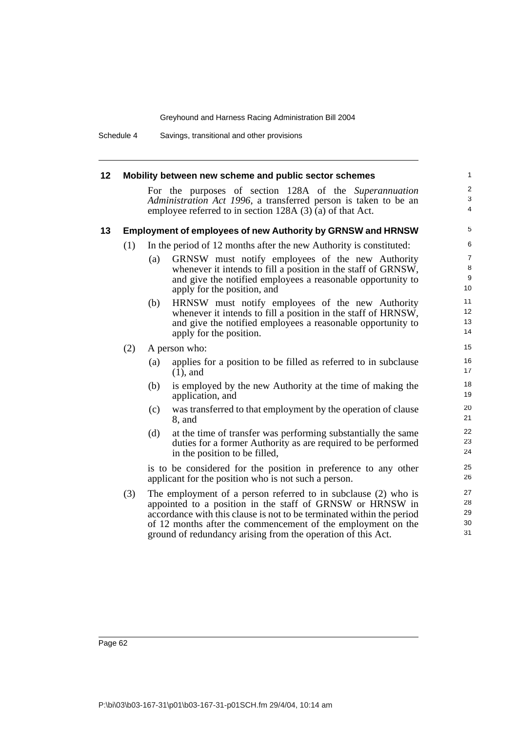Schedule 4 Savings, transitional and other provisions

| 12 |                                                                    |                                                                                                                         | Mobility between new scheme and public sector schemes                                                                                                                                                                                                                                                                                | $\mathbf{1}$                                       |
|----|--------------------------------------------------------------------|-------------------------------------------------------------------------------------------------------------------------|--------------------------------------------------------------------------------------------------------------------------------------------------------------------------------------------------------------------------------------------------------------------------------------------------------------------------------------|----------------------------------------------------|
|    |                                                                    |                                                                                                                         | For the purposes of section 128A of the Superannuation<br>Administration Act 1996, a transferred person is taken to be an<br>employee referred to in section 128A (3) (a) of that Act.                                                                                                                                               | $\boldsymbol{2}$<br>$\mathbf{3}$<br>$\overline{4}$ |
| 13 | <b>Employment of employees of new Authority by GRNSW and HRNSW</b> |                                                                                                                         |                                                                                                                                                                                                                                                                                                                                      |                                                    |
|    | (1)                                                                | In the period of 12 months after the new Authority is constituted:                                                      |                                                                                                                                                                                                                                                                                                                                      | 6                                                  |
|    |                                                                    | (a)                                                                                                                     | GRNSW must notify employees of the new Authority<br>whenever it intends to fill a position in the staff of GRNSW,<br>and give the notified employees a reasonable opportunity to<br>apply for the position, and                                                                                                                      | $\overline{7}$<br>8<br>$\boldsymbol{9}$<br>10      |
|    |                                                                    | (b)                                                                                                                     | HRNSW must notify employees of the new Authority<br>whenever it intends to fill a position in the staff of HRNSW,<br>and give the notified employees a reasonable opportunity to<br>apply for the position.                                                                                                                          | 11<br>12<br>13<br>14                               |
|    | (2)<br>A person who:                                               |                                                                                                                         | 15                                                                                                                                                                                                                                                                                                                                   |                                                    |
|    |                                                                    | (a)                                                                                                                     | applies for a position to be filled as referred to in subclause<br>$(1)$ , and                                                                                                                                                                                                                                                       | 16<br>17                                           |
|    |                                                                    | (b)                                                                                                                     | is employed by the new Authority at the time of making the<br>application, and                                                                                                                                                                                                                                                       | 18<br>19                                           |
|    |                                                                    | (c)                                                                                                                     | was transferred to that employment by the operation of clause<br>8, and                                                                                                                                                                                                                                                              | 20<br>21                                           |
|    |                                                                    | (d)                                                                                                                     | at the time of transfer was performing substantially the same<br>duties for a former Authority as are required to be performed<br>in the position to be filled,                                                                                                                                                                      | 22<br>23<br>24                                     |
|    |                                                                    | is to be considered for the position in preference to any other<br>applicant for the position who is not such a person. |                                                                                                                                                                                                                                                                                                                                      | 25<br>26                                           |
|    | (3)                                                                |                                                                                                                         | The employment of a person referred to in subclause (2) who is<br>appointed to a position in the staff of GRNSW or HRNSW in<br>accordance with this clause is not to be terminated within the period<br>of 12 months after the commencement of the employment on the<br>ground of redundancy arising from the operation of this Act. | 27<br>28<br>29<br>30<br>31                         |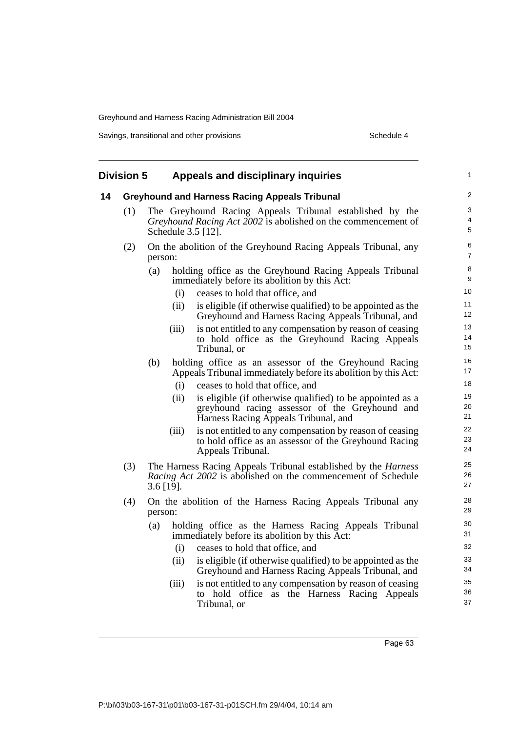Savings, transitional and other provisions Schedule 4

| <b>Division 5</b> |                                                                                                                                                             | <b>Appeals and disciplinary inquiries</b>                                                                                                                   | 1                     |  |  |
|-------------------|-------------------------------------------------------------------------------------------------------------------------------------------------------------|-------------------------------------------------------------------------------------------------------------------------------------------------------------|-----------------------|--|--|
| 14                | <b>Greyhound and Harness Racing Appeals Tribunal</b>                                                                                                        |                                                                                                                                                             |                       |  |  |
|                   | (1)                                                                                                                                                         | The Greyhound Racing Appeals Tribunal established by the<br>Greyhound Racing Act 2002 is abolished on the commencement of<br>Schedule 3.5 [12].             | 3<br>4<br>5           |  |  |
|                   | (2)                                                                                                                                                         | On the abolition of the Greyhound Racing Appeals Tribunal, any<br>person:                                                                                   | 6<br>$\overline{7}$   |  |  |
|                   |                                                                                                                                                             | (a)<br>holding office as the Greyhound Racing Appeals Tribunal<br>immediately before its abolition by this Act:                                             |                       |  |  |
|                   |                                                                                                                                                             | ceases to hold that office, and<br>(i)                                                                                                                      | 10 <sup>°</sup>       |  |  |
|                   |                                                                                                                                                             | is eligible (if otherwise qualified) to be appointed as the<br>(ii)<br>Greyhound and Harness Racing Appeals Tribunal, and                                   | 11<br>12 <sup>2</sup> |  |  |
|                   |                                                                                                                                                             | is not entitled to any compensation by reason of ceasing<br>(iii)<br>to hold office as the Greyhound Racing Appeals<br>Tribunal, or                         | 13<br>14<br>15        |  |  |
|                   |                                                                                                                                                             | holding office as an assessor of the Greyhound Racing<br>(b)<br>Appeals Tribunal immediately before its abolition by this Act:                              | 16<br>17              |  |  |
|                   |                                                                                                                                                             | ceases to hold that office, and<br>(i)                                                                                                                      | 18                    |  |  |
|                   |                                                                                                                                                             | (ii)<br>is eligible (if otherwise qualified) to be appointed as a<br>greyhound racing assessor of the Greyhound and<br>Harness Racing Appeals Tribunal, and | 19<br>20<br>21        |  |  |
|                   |                                                                                                                                                             | is not entitled to any compensation by reason of ceasing<br>(iii)<br>to hold office as an assessor of the Greyhound Racing<br>Appeals Tribunal.             | 22<br>23<br>24        |  |  |
|                   | (3)<br>The Harness Racing Appeals Tribunal established by the <i>Harness</i><br>Racing Act 2002 is abolished on the commencement of Schedule<br>$3.6$ [19]. |                                                                                                                                                             | 25<br>26<br>27        |  |  |
|                   | (4)                                                                                                                                                         | On the abolition of the Harness Racing Appeals Tribunal any<br>person:                                                                                      | 28<br>29              |  |  |
|                   | holding office as the Harness Racing Appeals Tribunal<br>(a)<br>immediately before its abolition by this Act:                                               |                                                                                                                                                             | 30<br>31              |  |  |
|                   |                                                                                                                                                             | ceases to hold that office, and<br>(i)                                                                                                                      | 32                    |  |  |
|                   |                                                                                                                                                             | (ii)<br>is eligible (if otherwise qualified) to be appointed as the<br>Greyhound and Harness Racing Appeals Tribunal, and                                   | 33<br>34              |  |  |
|                   |                                                                                                                                                             | is not entitled to any compensation by reason of ceasing<br>(iii)<br>office as the Harness Racing Appeals<br>hold<br>to<br>Tribunal, or                     | 35<br>36<br>37        |  |  |

Page 63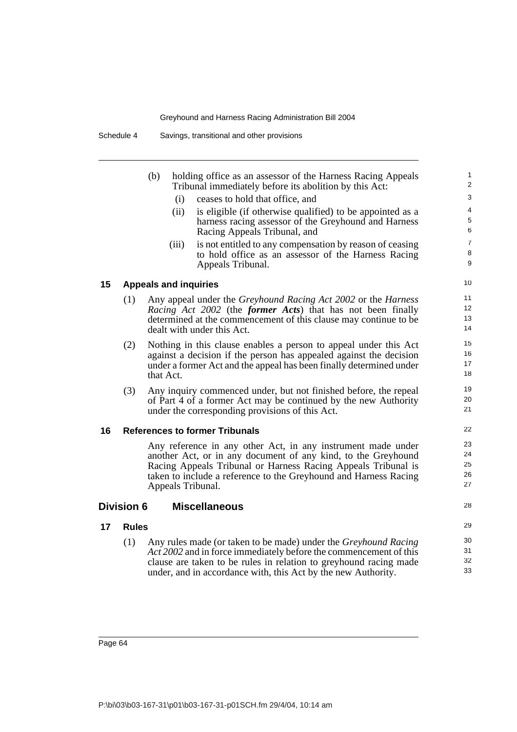|    |                                       | (b)               | holding office as an assessor of the Harness Racing Appeals                                                                                 | $\mathbf{1}$<br>2 |
|----|---------------------------------------|-------------------|---------------------------------------------------------------------------------------------------------------------------------------------|-------------------|
|    |                                       |                   | Tribunal immediately before its abolition by this Act:                                                                                      | 3                 |
|    |                                       | (i)               | ceases to hold that office, and                                                                                                             | 4                 |
|    |                                       | (ii)              | is eligible (if otherwise qualified) to be appointed as a                                                                                   | $\sqrt{5}$        |
|    |                                       |                   | harness racing assessor of the Greyhound and Harness<br>Racing Appeals Tribunal, and                                                        | 6                 |
|    |                                       | (iii)             | is not entitled to any compensation by reason of ceasing                                                                                    | $\overline{7}$    |
|    |                                       |                   | to hold office as an assessor of the Harness Racing<br>Appeals Tribunal.                                                                    | 8<br>9            |
| 15 | <b>Appeals and inquiries</b>          |                   |                                                                                                                                             |                   |
|    | (1)                                   |                   | Any appeal under the <i>Greyhound Racing Act 2002</i> or the <i>Harness</i>                                                                 | 11                |
|    |                                       |                   | Racing Act 2002 (the former Acts) that has not been finally                                                                                 | 12                |
|    |                                       |                   | determined at the commencement of this clause may continue to be                                                                            | 13<br>14          |
|    |                                       |                   | dealt with under this Act.                                                                                                                  |                   |
|    | (2)                                   |                   | Nothing in this clause enables a person to appeal under this Act                                                                            | 15                |
|    |                                       |                   | against a decision if the person has appealed against the decision                                                                          | 16<br>17          |
|    |                                       | that Act.         | under a former Act and the appeal has been finally determined under                                                                         | 18                |
|    | (3)                                   |                   | Any inquiry commenced under, but not finished before, the repeal                                                                            | 19                |
|    |                                       |                   | of Part 4 of a former Act may be continued by the new Authority                                                                             | 20                |
|    |                                       |                   | under the corresponding provisions of this Act.                                                                                             | 21                |
| 16 | <b>References to former Tribunals</b> |                   |                                                                                                                                             | 22                |
|    |                                       |                   | Any reference in any other Act, in any instrument made under                                                                                | 23                |
|    |                                       |                   | another Act, or in any document of any kind, to the Greyhound                                                                               | 24                |
|    |                                       |                   | Racing Appeals Tribunal or Harness Racing Appeals Tribunal is                                                                               | 25<br>26          |
|    |                                       | Appeals Tribunal. | taken to include a reference to the Greyhound and Harness Racing                                                                            | 27                |
|    | <b>Division 6</b>                     |                   | <b>Miscellaneous</b>                                                                                                                        | 28                |
| 17 | <b>Rules</b>                          |                   |                                                                                                                                             | 29                |
|    |                                       |                   |                                                                                                                                             | 30                |
|    | (1)                                   |                   | Any rules made (or taken to be made) under the <i>Greyhound Racing</i><br>Act 2002 and in force immediately before the commencement of this | 31                |
|    |                                       |                   | clause are taken to be rules in relation to greyhound racing made                                                                           | 32                |
|    |                                       |                   | under, and in accordance with, this Act by the new Authority.                                                                               | 33                |

Page 64